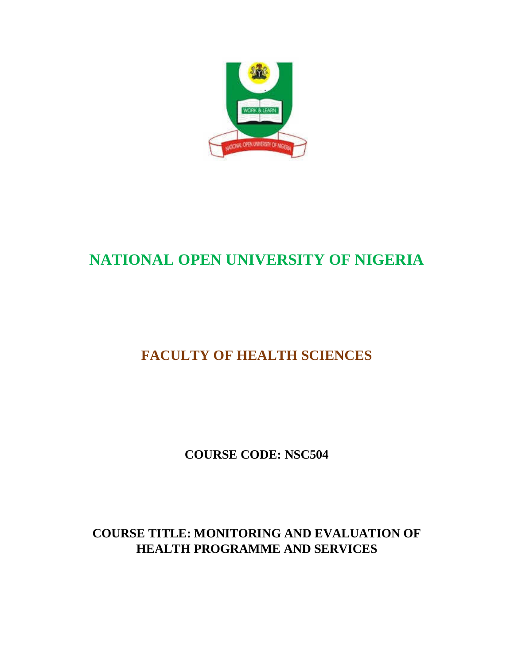

# **NATIONAL OPEN UNIVERSITY OF NIGERIA**

# **FACULTY OF HEALTH SCIENCES**

**COURSE CODE: NSC504** 

**COURSE TITLE: MONITORING AND EVALUATION OF HEALTH PROGRAMME AND SERVICES**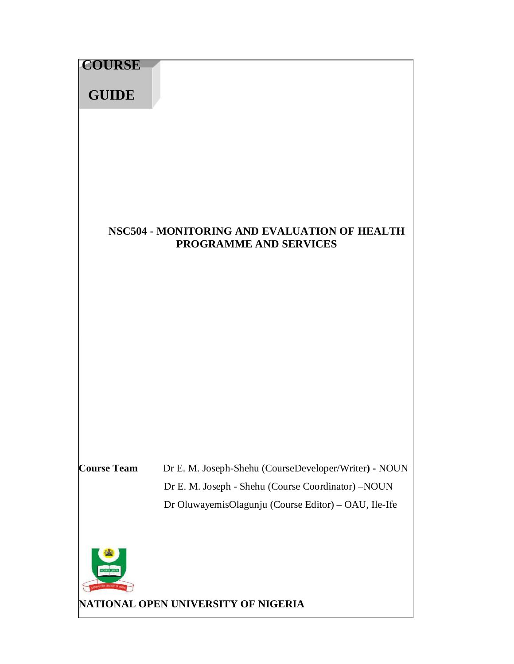| <b>COURSE</b><br><b>GUIDE</b> |                                                                                                                                                                                                            |
|-------------------------------|------------------------------------------------------------------------------------------------------------------------------------------------------------------------------------------------------------|
|                               | NSC504 - MONITORING AND EVALUATION OF HEALTH<br><b>PROGRAMME AND SERVICES</b>                                                                                                                              |
| <b>Course Team</b>            | Dr E. M. Joseph-Shehu (CourseDeveloper/Writer) - NOUN<br>Dr E. M. Joseph - Shehu (Course Coordinator) -NOUN<br>Dr OluwayemisOlagunju (Course Editor) - OAU, Ile-Ife<br>NATIONAL OPEN UNIVERSITY OF NIGERIA |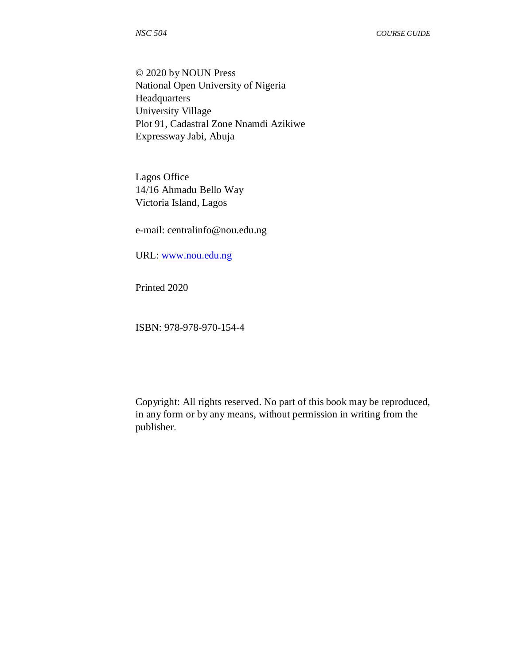© 2020 by NOUN Press National Open University of Nigeria Headquarters University Village Plot 91, Cadastral Zone Nnamdi Azikiwe Expressway Jabi, Abuja

Lagos Office 14/16 Ahmadu Bello Way Victoria Island, Lagos

e-mail: centralinfo@nou.edu.ng

URL: www.nou.edu.ng

Printed 2020

ISBN: 978-978-970-154-4

Copyright: All rights reserved. No part of this book may be reproduced, in any form or by any means, without permission in writing from the publisher.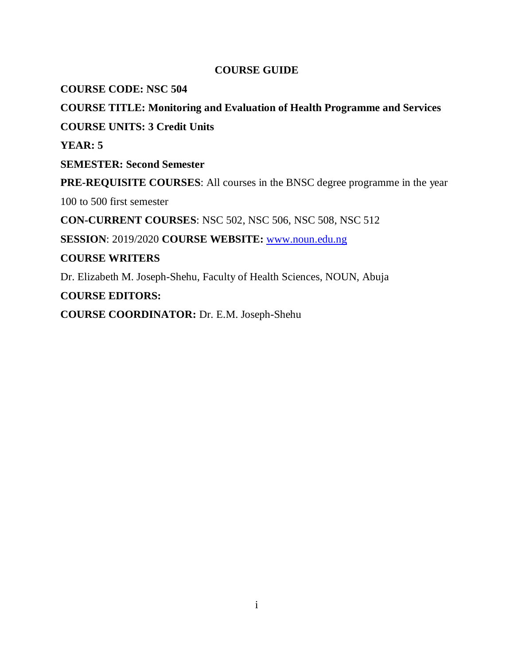# **COURSE GUIDE**

**COURSE CODE: NSC 504**

**COURSE TITLE: Monitoring and Evaluation of Health Programme and Services COURSE UNITS: 3 Credit Units YEAR: 5 SEMESTER: Second Semester PRE-REQUISITE COURSES**: All courses in the BNSC degree programme in the year 100 to 500 first semester **CON-CURRENT COURSES**: NSC 502, NSC 506, NSC 508, NSC 512 **SESSION**: 2019/2020 **COURSE WEBSITE:** www.noun.edu.ng **COURSE WRITERS**  Dr. Elizabeth M. Joseph-Shehu, Faculty of Health Sciences, NOUN, Abuja **COURSE EDITORS:** 

**COURSE COORDINATOR:** Dr. E.M. Joseph-Shehu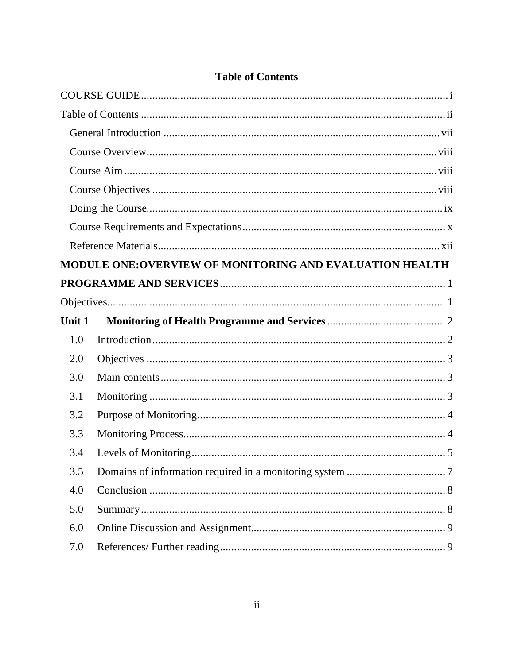|        | <b>MODULE ONE:OVERVIEW OF MONITORING AND EVALUATION HEALTH</b> |
|--------|----------------------------------------------------------------|
|        |                                                                |
|        |                                                                |
| Unit 1 |                                                                |
| 1.0    |                                                                |
| 2.0    |                                                                |
| 3.0    |                                                                |
| 3.1    |                                                                |
| 3.2    |                                                                |
| 3.3    |                                                                |
| 3.4    |                                                                |
| 3.5    |                                                                |
| 4.0    |                                                                |
| 5.0    |                                                                |
| 6.0    |                                                                |
| 7.0    |                                                                |

# **Table of Contents**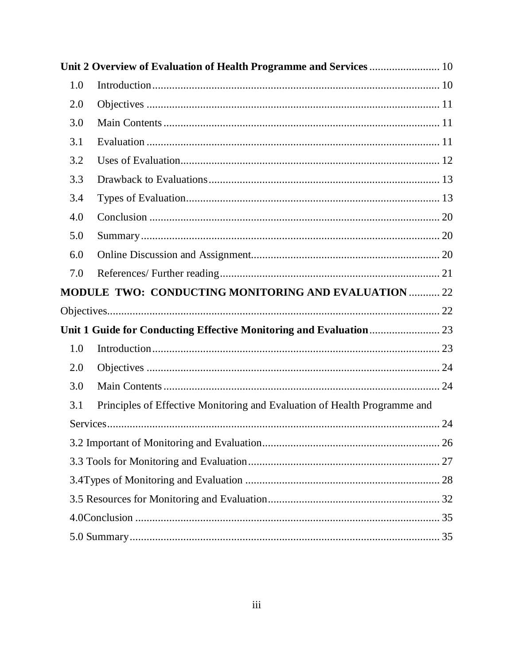|     | Unit 2 Overview of Evaluation of Health Programme and Services 10         |  |
|-----|---------------------------------------------------------------------------|--|
| 1.0 |                                                                           |  |
| 2.0 |                                                                           |  |
| 3.0 |                                                                           |  |
| 3.1 |                                                                           |  |
| 3.2 |                                                                           |  |
| 3.3 |                                                                           |  |
| 3.4 |                                                                           |  |
| 4.0 |                                                                           |  |
| 5.0 |                                                                           |  |
| 6.0 |                                                                           |  |
| 7.0 |                                                                           |  |
|     | MODULE TWO: CONDUCTING MONITORING AND EVALUATION  22                      |  |
|     |                                                                           |  |
|     |                                                                           |  |
| 1.0 |                                                                           |  |
| 2.0 |                                                                           |  |
| 3.0 |                                                                           |  |
| 3.1 | Principles of Effective Monitoring and Evaluation of Health Programme and |  |
|     |                                                                           |  |
|     |                                                                           |  |
|     |                                                                           |  |
|     |                                                                           |  |
|     |                                                                           |  |
|     |                                                                           |  |
|     |                                                                           |  |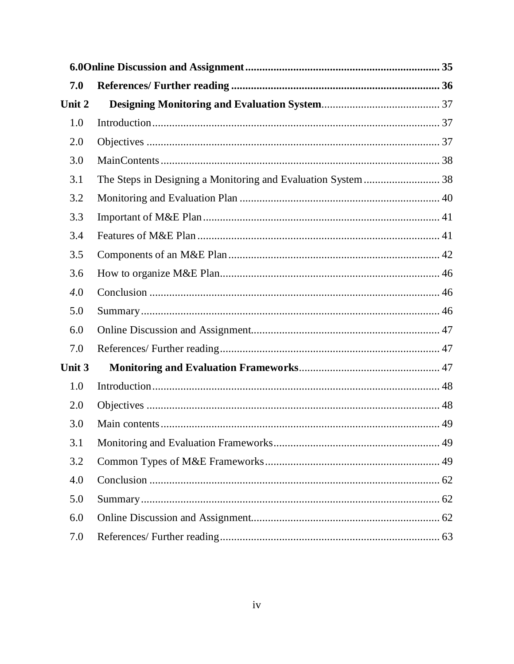| 7.0    |  |  |  |  |
|--------|--|--|--|--|
| Unit 2 |  |  |  |  |
| 1.0    |  |  |  |  |
| 2.0    |  |  |  |  |
| 3.0    |  |  |  |  |
| 3.1    |  |  |  |  |
| 3.2    |  |  |  |  |
| 3.3    |  |  |  |  |
| 3.4    |  |  |  |  |
| 3.5    |  |  |  |  |
| 3.6    |  |  |  |  |
| 4.0    |  |  |  |  |
| 5.0    |  |  |  |  |
| 6.0    |  |  |  |  |
| 7.0    |  |  |  |  |
| Unit 3 |  |  |  |  |
| 1.0    |  |  |  |  |
| 2.0    |  |  |  |  |
| 3.0    |  |  |  |  |
| 3.1    |  |  |  |  |
| 3.2    |  |  |  |  |
| 4.0    |  |  |  |  |
| 5.0    |  |  |  |  |
| 6.0    |  |  |  |  |
| 7.0    |  |  |  |  |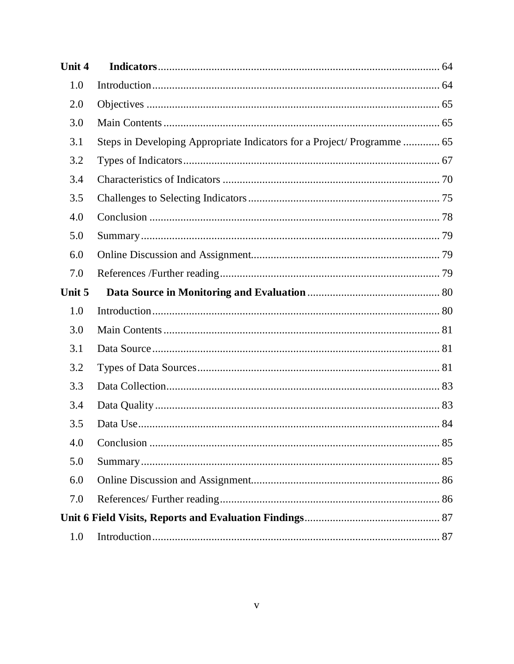| Unit 4 |                                                                         |
|--------|-------------------------------------------------------------------------|
| 1.0    |                                                                         |
| 2.0    |                                                                         |
| 3.0    |                                                                         |
| 3.1    | Steps in Developing Appropriate Indicators for a Project/ Programme  65 |
| 3.2    |                                                                         |
| 3.4    |                                                                         |
| 3.5    |                                                                         |
| 4.0    |                                                                         |
| 5.0    |                                                                         |
| 6.0    |                                                                         |
| 7.0    |                                                                         |
| Unit 5 |                                                                         |
|        |                                                                         |
| 1.0    |                                                                         |
| 3.0    |                                                                         |
| 3.1    |                                                                         |
| 3.2    |                                                                         |
| 3.3    |                                                                         |
| 3.4    |                                                                         |
| 3.5    |                                                                         |
| 4.0    |                                                                         |
| 5.0    |                                                                         |
| 6.0    |                                                                         |
| 7.0    |                                                                         |
|        |                                                                         |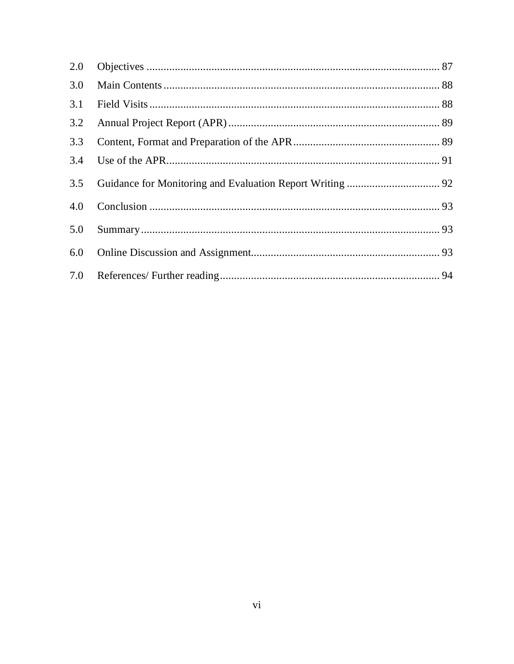| 3.0 |  |
|-----|--|
| 3.1 |  |
| 3.2 |  |
| 3.3 |  |
|     |  |
| 3.5 |  |
| 4.0 |  |
| 5.0 |  |
| 6.0 |  |
|     |  |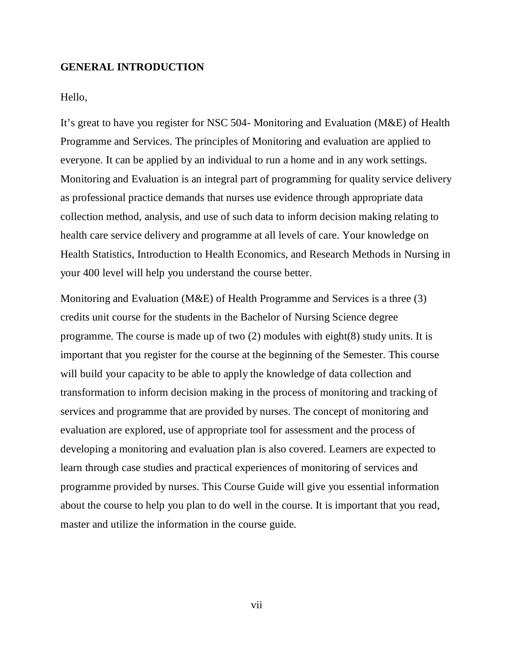#### **GENERAL INTRODUCTION**

Hello,

It's great to have you register for NSC 504- Monitoring and Evaluation (M&E) of Health Programme and Services. The principles of Monitoring and evaluation are applied to everyone. It can be applied by an individual to run a home and in any work settings. Monitoring and Evaluation is an integral part of programming for quality service delivery as professional practice demands that nurses use evidence through appropriate data collection method, analysis, and use of such data to inform decision making relating to health care service delivery and programme at all levels of care. Your knowledge on Health Statistics, Introduction to Health Economics, and Research Methods in Nursing in your 400 level will help you understand the course better.

Monitoring and Evaluation (M&E) of Health Programme and Services is a three (3) credits unit course for the students in the Bachelor of Nursing Science degree programme. The course is made up of two (2) modules with eight(8) study units. It is important that you register for the course at the beginning of the Semester. This course will build your capacity to be able to apply the knowledge of data collection and transformation to inform decision making in the process of monitoring and tracking of services and programme that are provided by nurses. The concept of monitoring and evaluation are explored, use of appropriate tool for assessment and the process of developing a monitoring and evaluation plan is also covered. Learners are expected to learn through case studies and practical experiences of monitoring of services and programme provided by nurses. This Course Guide will give you essential information about the course to help you plan to do well in the course. It is important that you read, master and utilize the information in the course guide.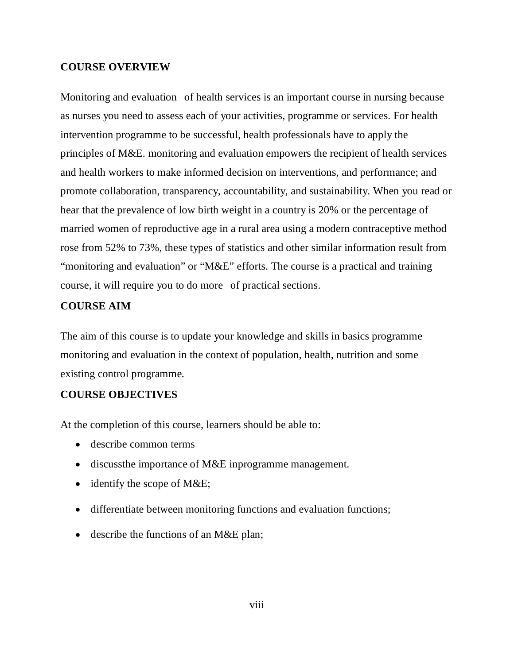#### **COURSE OVERVIEW**

Monitoring and evaluation of health services is an important course in nursing because as nurses you need to assess each of your activities, programme or services. For health intervention programme to be successful, health professionals have to apply the principles of M&E. monitoring and evaluation empowers the recipient of health services and health workers to make informed decision on interventions, and performance; and promote collaboration, transparency, accountability, and sustainability. When you read or hear that the prevalence of low birth weight in a country is 20% or the percentage of married women of reproductive age in a rural area using a modern contraceptive method rose from 52% to 73%, these types of statistics and other similar information result from "monitoring and evaluation" or "M&E" efforts. The course is a practical and training course, it will require you to do more" of practical sections.

#### **COURSE AIM**

The aim of this course is to update your knowledge and skills in basics programme monitoring and evaluation in the context of population, health, nutrition and some existing control programme.

#### **COURSE OBJECTIVES**

At the completion of this course, learners should be able to:

- describe common terms
- discussthe importance of M&E inprogramme management.
- identify the scope of M&E;
- differentiate between monitoring functions and evaluation functions;
- describe the functions of an M&E plan;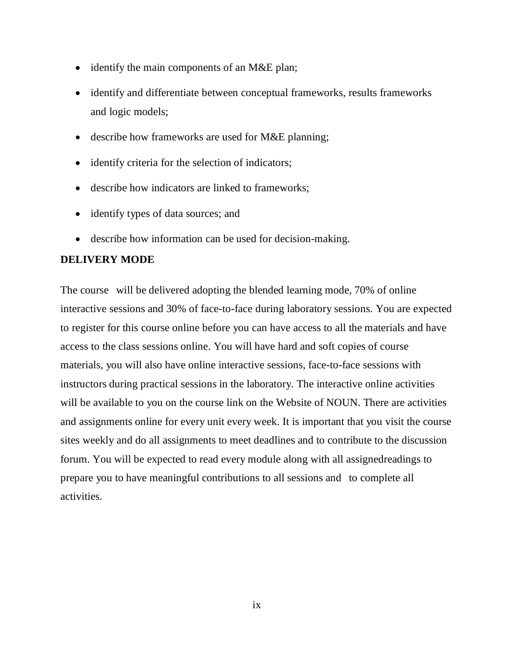- identify the main components of an M&E plan;
- identify and differentiate between conceptual frameworks, results frameworks and logic models;
- describe how frameworks are used for M&E planning;
- identify criteria for the selection of indicators;
- describe how indicators are linked to frameworks;
- identify types of data sources; and
- describe how information can be used for decision-making.

#### **DELIVERY MODE**

The course will be delivered adopting the blended learning mode, 70% of online interactive sessions and 30% of face-to-face during laboratory sessions. You are expected to register for this course online before you can have access to all the materials and have access to the class sessions online. You will have hard and soft copies of course materials, you will also have online interactive sessions, face-to-face sessions with instructors during practical sessions in the laboratory. The interactive online activities will be available to you on the course link on the Website of NOUN. There are activities and assignments online for every unit every week. It is important that you visit the course sites weekly and do all assignments to meet deadlines and to contribute to the discussion forum. You will be expected to read every module along with all assignedreadings to prepare you to have meaningful contributions to all sessions and" to complete all activities.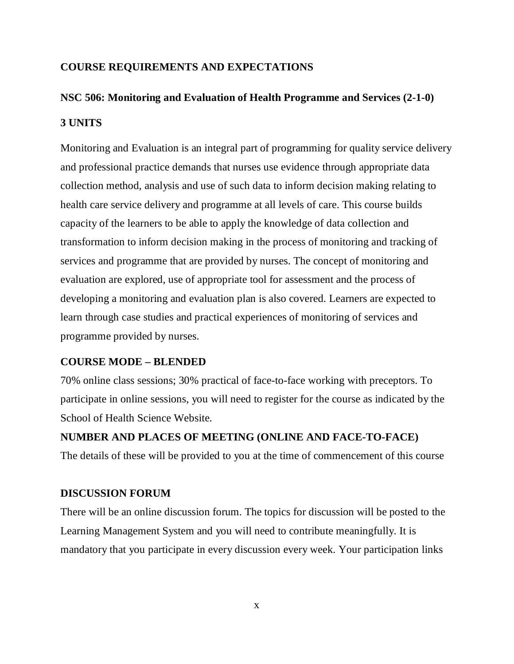#### **COURSE REQUIREMENTS AND EXPECTATIONS**

# **NSC 506: Monitoring and Evaluation of Health Programme and Services (2-1-0) 3 UNITS**

Monitoring and Evaluation is an integral part of programming for quality service delivery and professional practice demands that nurses use evidence through appropriate data collection method, analysis and use of such data to inform decision making relating to health care service delivery and programme at all levels of care. This course builds capacity of the learners to be able to apply the knowledge of data collection and transformation to inform decision making in the process of monitoring and tracking of services and programme that are provided by nurses. The concept of monitoring and evaluation are explored, use of appropriate tool for assessment and the process of developing a monitoring and evaluation plan is also covered. Learners are expected to learn through case studies and practical experiences of monitoring of services and programme provided by nurses.

#### **COURSE MODE – BLENDED**

70% online class sessions; 30% practical of face-to-face working with preceptors. To participate in online sessions, you will need to register for the course as indicated by the School of Health Science Website.

**NUMBER AND PLACES OF MEETING (ONLINE AND FACE-TO-FACE)**  The details of these will be provided to you at the time of commencement of this course

#### **DISCUSSION FORUM**

There will be an online discussion forum. The topics for discussion will be posted to the Learning Management System and you will need to contribute meaningfully. It is mandatory that you participate in every discussion every week. Your participation links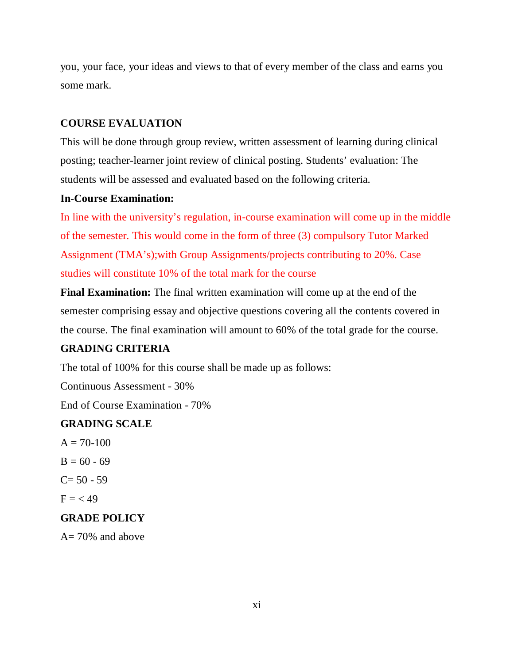you, your face, your ideas and views to that of every member of the class and earns you some mark.

## **COURSE EVALUATION**

This will be done through group review, written assessment of learning during clinical posting; teacher-learner joint review of clinical posting. Students' evaluation: The students will be assessed and evaluated based on the following criteria.

## **In-Course Examination:**

In line with the university's regulation, in-course examination will come up in the middle of the semester. This would come in the form of three (3) compulsory Tutor Marked Assignment (TMA's);with Group Assignments/projects contributing to 20%. Case studies will constitute 10% of the total mark for the course

**Final Examination:** The final written examination will come up at the end of the semester comprising essay and objective questions covering all the contents covered in the course. The final examination will amount to 60% of the total grade for the course.

# **GRADING CRITERIA**

The total of 100% for this course shall be made up as follows:

Continuous Assessment - 30%

End of Course Examination - 70%

# **GRADING SCALE**

- $A = 70-100$  $B = 60 - 69$  $C= 50 - 59$
- $F = < 49$

# **GRADE POLICY**

A= 70% and above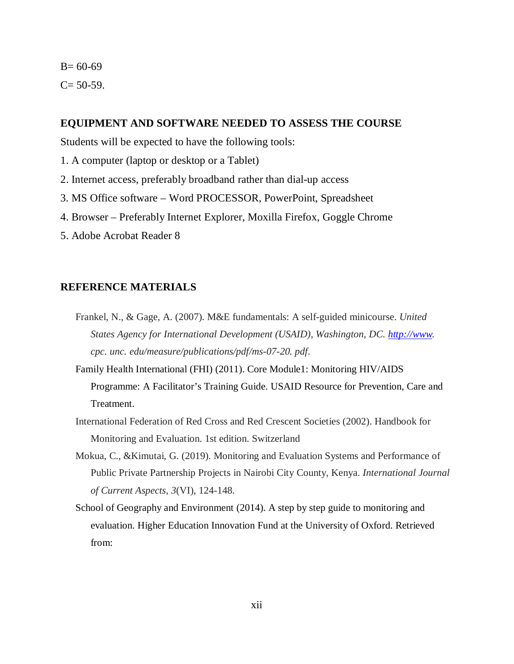# $B = 60-69$  $C = 50-59$ .

#### **EQUIPMENT AND SOFTWARE NEEDED TO ASSESS THE COURSE**

Students will be expected to have the following tools:

- 1. A computer (laptop or desktop or a Tablet)
- 2. Internet access, preferably broadband rather than dial-up access
- 3. MS Office software Word PROCESSOR, PowerPoint, Spreadsheet
- 4. Browser Preferably Internet Explorer, Moxilla Firefox, Goggle Chrome
- 5. Adobe Acrobat Reader 8

#### **REFERENCE MATERIALS**

- Frankel, N., & Gage, A. (2007). M&E fundamentals: A self-guided minicourse. *United States Agency for International Development (USAID), Washington, DC. http://www. cpc. unc. edu/measure/publications/pdf/ms-07-20. pdf*.
- Family Health International (FHI) (2011). Core Module1: Monitoring HIV/AIDS Programme: A Facilitator's Training Guide. USAID Resource for Prevention, Care and Treatment.
- International Federation of Red Cross and Red Crescent Societies (2002). Handbook for Monitoring and Evaluation. 1st edition. Switzerland
- Mokua, C., &Kimutai, G. (2019). Monitoring and Evaluation Systems and Performance of Public Private Partnership Projects in Nairobi City County, Kenya. *International Journal of Current Aspects*, *3*(VI), 124-148.
- School of Geography and Environment (2014). A step by step guide to monitoring and evaluation. Higher Education Innovation Fund at the University of Oxford. Retrieved from: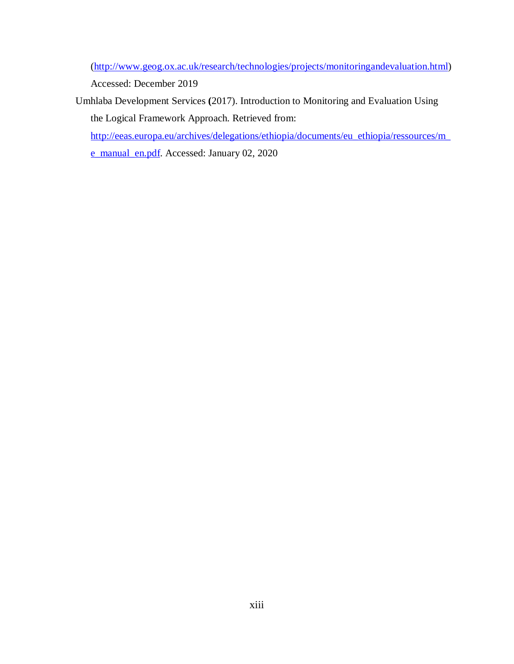(http://www.geog.ox.ac.uk/research/technologies/projects/monitoringandevaluation.html)

Accessed: December 2019

Umhlaba Development Services **(**2017). Introduction to Monitoring and Evaluation Using the Logical Framework Approach. Retrieved from:

http://eeas.europa.eu/archives/delegations/ethiopia/documents/eu\_ethiopia/ressources/m\_

e\_manual\_en.pdf. Accessed: January 02, 2020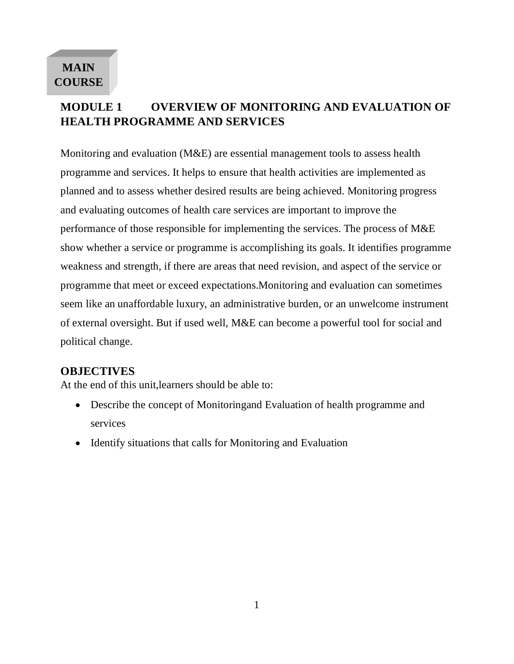# **MAIN COURSE**

# **MODULE 1 OVERVIEW OF MONITORING AND EVALUATION OF HEALTH PROGRAMME AND SERVICES**

Monitoring and evaluation (M&E) are essential management tools to assess health programme and services. It helps to ensure that health activities are implemented as planned and to assess whether desired results are being achieved. Monitoring progress and evaluating outcomes of health care services are important to improve the performance of those responsible for implementing the services. The process of M&E show whether a service or programme is accomplishing its goals. It identifies programme weakness and strength, if there are areas that need revision, and aspect of the service or programme that meet or exceed expectations.Monitoring and evaluation can sometimes seem like an unaffordable luxury, an administrative burden, or an unwelcome instrument of external oversight. But if used well, M&E can become a powerful tool for social and" political change.

# **OBJECTIVES**

At the end of this unit,learners should be able to:

- Describe the concept of Monitoringand Evaluation of health programme and services
- Identify situations that calls for Monitoring and Evaluation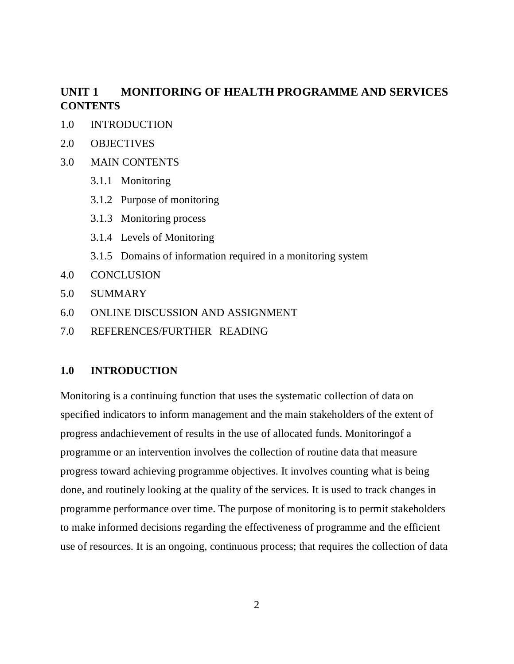# **UNIT 1 MONITORING OF HEALTH PROGRAMME AND SERVICES CONTENTS**

- 1.0 INTRODUCTION
- 2.0 OBJECTIVES
- 3.0 MAIN CONTENTS
	- 3.1.1 Monitoring
	- 3.1.2 Purpose of monitoring
	- 3.1.3 Monitoring process
	- 3.1.4 Levels of Monitoring
	- 3.1.5 Domains of information required in a monitoring system
- 4.0 CONCLUSION
- 5.0 SUMMARY
- 6.0 ONLINE DISCUSSION AND ASSIGNMENT
- 7.0 REFERENCES/FURTHER" READING

#### **1.0 INTRODUCTION**

Monitoring is a continuing function that uses the systematic collection of data on specified indicators to inform management and the main stakeholders of the extent of progress andachievement of results in the use of allocated funds. Monitoringof a programme or an intervention involves the collection of routine data that measure progress toward achieving programme objectives. It involves counting what is being done, and routinely looking at the quality of the services. It is used to track changes in programme performance over time. The purpose of monitoring is to permit stakeholders to make informed decisions regarding the effectiveness of programme and the efficient use of resources. It is an ongoing, continuous process; that requires the collection of data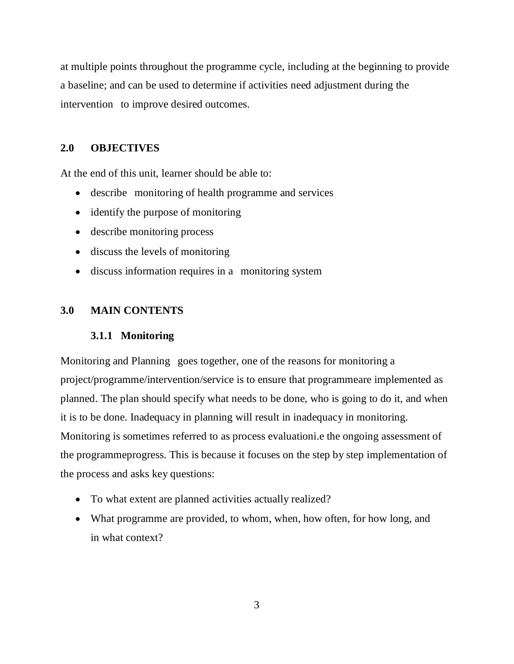at multiple points throughout the programme cycle, including at the beginning to provide a baseline; and can be used to determine if activities need adjustment during the intervention to improve desired outcomes.

# **2.0 OBJECTIVES**

At the end of this unit, learner should be able to:

- describe monitoring of health programme and services
- identify the purpose of monitoring
- describe monitoring process
- discuss the levels of monitoring
- discuss information requires in a monitoring system

# **3.0 MAIN CONTENTS**

# **3.1.1 Monitoring**

Monitoring and Planning goes together, one of the reasons for monitoring a project/programme/intervention/service is to ensure that programmeare implemented as planned. The plan should specify what needs to be done, who is going to do it, and when it is to be done. Inadequacy in planning will result in inadequacy in monitoring. Monitoring is sometimes referred to as process evaluationi.e the ongoing assessment of the programmeprogress. This is because it focuses on the step by step implementation of the process and asks key questions:

- To what extent are planned activities actually realized?
- What programme are provided, to whom, when, how often, for how long, and in what context?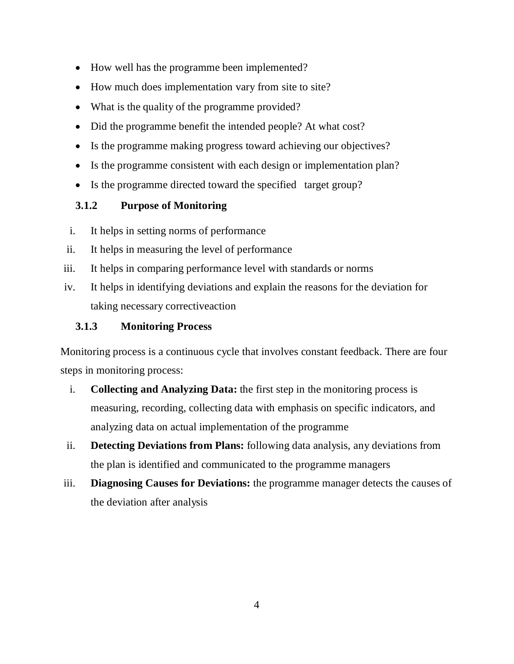- How well has the programme been implemented?
- How much does implementation vary from site to site?
- What is the quality of the programme provided?
- Did the programme benefit the intended people? At what cost?
- Is the programme making progress toward achieving our objectives?
- Is the programme consistent with each design or implementation plan?
- Is the programme directed toward the specified target group?

# **3.1.2 Purpose of Monitoring**

- i. It helps in setting norms of performance
- ii. It helps in measuring the level of performance
- iii. It helps in comparing performance level with standards or norms
- iv. It helps in identifying deviations and explain the reasons for the deviation for taking necessary correctiveaction

# **3.1.3 Monitoring Process**

Monitoring process is a continuous cycle that involves constant feedback. There are four steps in monitoring process:

- i. **Collecting and Analyzing Data:** the first step in the monitoring process is measuring, recording, collecting data with emphasis on specific indicators, and analyzing data on actual implementation of the programme
- ii. **Detecting Deviations from Plans:** following data analysis, any deviations from the plan is identified and communicated to the programme managers
- iii. **Diagnosing Causes for Deviations:** the programme manager detects the causes of the deviation after analysis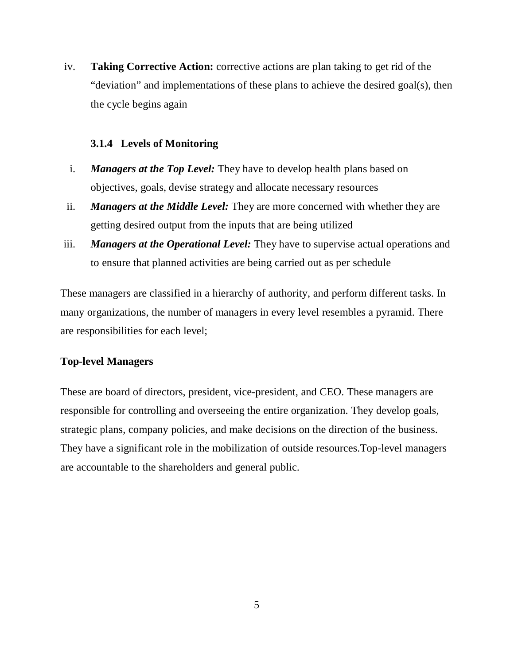iv. **Taking Corrective Action:** corrective actions are plan taking to get rid of the "deviation" and implementations of these plans to achieve the desired goal(s), then the cycle begins again

#### **3.1.4 Levels of Monitoring**

- i. *Managers at the Top Level:* They have to develop health plans based on objectives, goals, devise strategy and allocate necessary resources
- ii. *Managers at the Middle Level:* They are more concerned with whether they are getting desired output from the inputs that are being utilized
- iii. *Managers at the Operational Level:* They have to supervise actual operations and to ensure that planned activities are being carried out as per schedule

These managers are classified in a hierarchy of authority, and perform different tasks. In many organizations, the number of managers in every level resembles a pyramid. There are responsibilities for each level;

## **Top-level Managers**

These are board of directors, president, vice-president, and CEO. These managers are responsible for controlling and overseeing the entire organization. They develop goals, strategic plans, company policies, and make decisions on the direction of the business. They have a significant role in the mobilization of outside resources.Top-level managers are accountable to the shareholders and general public.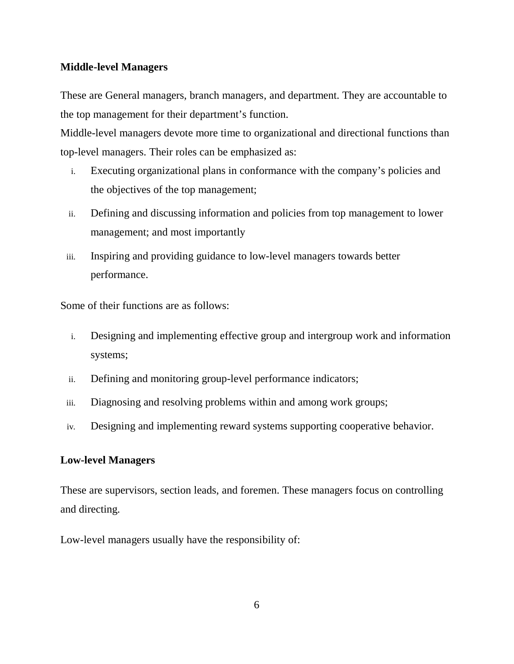#### **Middle-level Managers**

These are General managers, branch managers, and department. They are accountable to the top management for their department's function.

Middle-level managers devote more time to organizational and directional functions than top-level managers. Their roles can be emphasized as:

- i. Executing organizational plans in conformance with the company's policies and the objectives of the top management;
- ii. Defining and discussing information and policies from top management to lower management; and most importantly
- iii. Inspiring and providing guidance to low-level managers towards better performance.

Some of their functions are as follows:

- i. Designing and implementing effective group and intergroup work and information systems;
- ii. Defining and monitoring group-level performance indicators;
- iii. Diagnosing and resolving problems within and among work groups;
- iv. Designing and implementing reward systems supporting cooperative behavior.

#### **Low-level Managers**

These are supervisors, section leads, and foremen. These managers focus on controlling and directing.

Low-level managers usually have the responsibility of: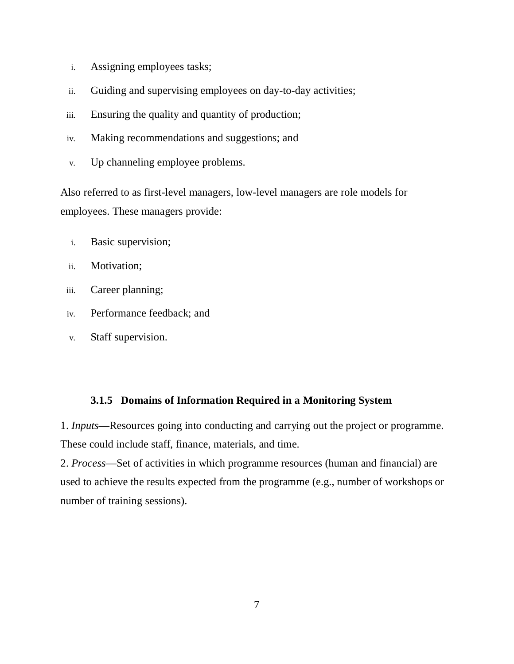- i. Assigning employees tasks;
- ii. Guiding and supervising employees on day-to-day activities;
- iii. Ensuring the quality and quantity of production;
- iv. Making recommendations and suggestions; and
- v. Up channeling employee problems.

Also referred to as first-level managers, low-level managers are role models for employees. These managers provide:

- i. Basic supervision;
- ii. Motivation;
- iii. Career planning;
- iv. Performance feedback; and
- v. Staff supervision.

#### **3.1.5 Domains of Information Required in a Monitoring System**

1. *Inputs*—Resources going into conducting and carrying out the project or programme. These could include staff, finance, materials, and time.

2. *Process*—Set of activities in which programme resources (human and financial) are used to achieve the results expected from the programme (e.g., number of workshops or number of training sessions).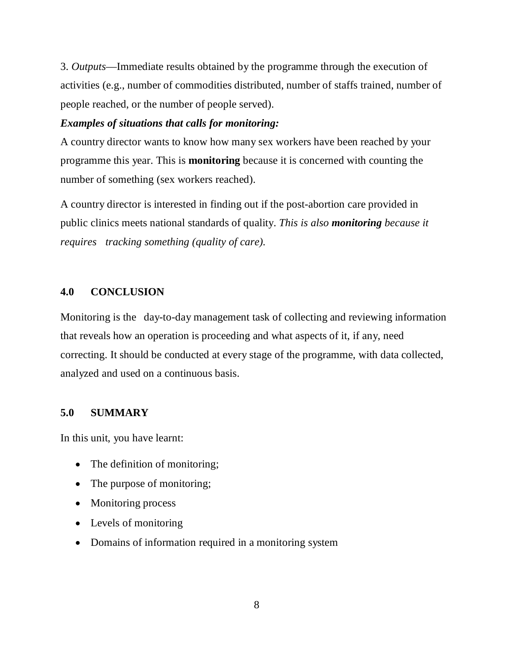3. *Outputs*—Immediate results obtained by the programme through the execution of activities (e.g., number of commodities distributed, number of staffs trained, number of people reached, or the number of people served).

#### *Examples of situations that calls for monitoring:*

A country director wants to know how many sex workers have been reached by your programme this year. This is **monitoring** because it is concerned with counting the number of something (sex workers reached).

A country director is interested in finding out if the post-abortion care provided in public clinics meets national standards of quality. *This is also monitoring because it requires" tracking something (quality of care).*

#### **4.0 CONCLUSION**

Monitoring is the day-to-day management task of collecting and reviewing information that reveals how an operation is proceeding and what aspects of it, if any, need correcting. It should be conducted at every stage of the programme, with data collected, analyzed and used on a continuous basis.

#### **5.0 SUMMARY**

In this unit, you have learnt:

- The definition of monitoring;
- The purpose of monitoring;
- Monitoring process
- Levels of monitoring
- Domains of information required in a monitoring system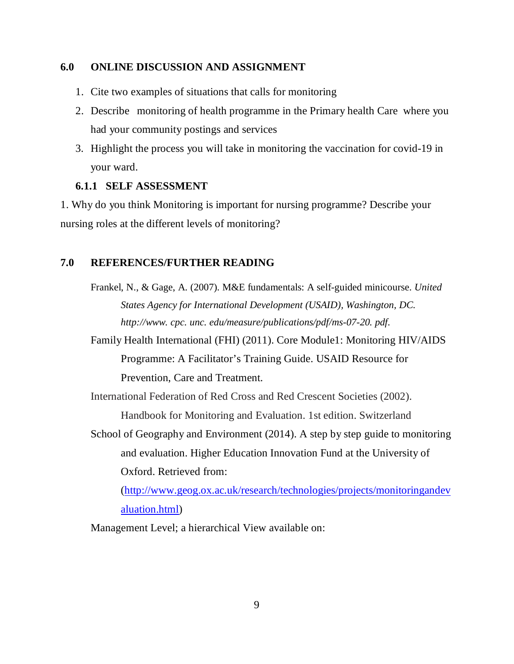#### **6.0 ONLINE DISCUSSION AND ASSIGNMENT**

- 1. Cite two examples of situations that calls for monitoring
- 2. Describe monitoring of health programme in the Primary health Care where you had your community postings and services
- 3. Highlight the process you will take in monitoring the vaccination for covid-19 in your ward.

#### **6.1.1 SELF ASSESSMENT**

1. Why do you think Monitoring is important for nursing programme? Describe your nursing roles at the different levels of monitoring?

#### **7.0 REFERENCES/FURTHER READING**

Frankel, N., & Gage, A. (2007). M&E fundamentals: A self-guided minicourse. *United States Agency for International Development (USAID), Washington, DC. http://www. cpc. unc. edu/measure/publications/pdf/ms-07-20. pdf*.

Family Health International (FHI) (2011). Core Module1: Monitoring HIV/AIDS Programme: A Facilitator's Training Guide. USAID Resource for Prevention, Care and Treatment.

International Federation of Red Cross and Red Crescent Societies (2002). Handbook for Monitoring and Evaluation. 1st edition. Switzerland

School of Geography and Environment (2014). A step by step guide to monitoring and evaluation. Higher Education Innovation Fund at the University of Oxford. Retrieved from:

(http://www.geog.ox.ac.uk/research/technologies/projects/monitoringandev aluation.html)

Management Level; a hierarchical View available on: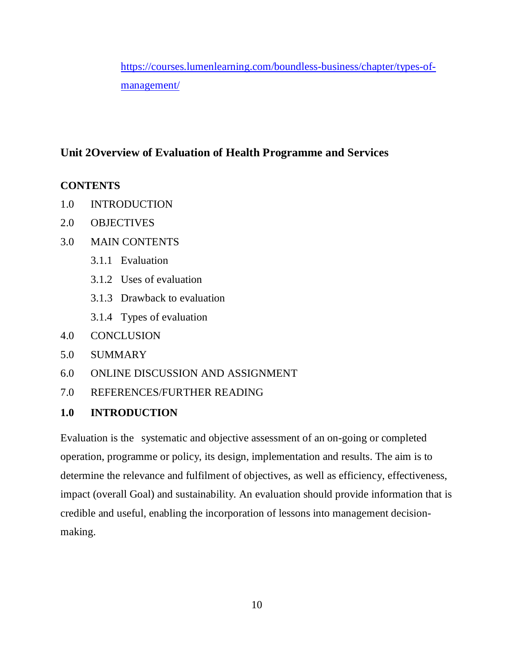https://courses.lumenlearning.com/boundless-business/chapter/types-ofmanagement/

# **Unit 2Overview of Evaluation of Health Programme and Services**

# **CONTENTS**

- 1.0 INTRODUCTION
- 2.0 OBJECTIVES
- 3.0 MAIN CONTENTS
	- 3.1.1 Evaluation
	- 3.1.2 Uses of evaluation
	- 3.1.3 Drawback to evaluation
	- 3.1.4 Types of evaluation
- 4.0 CONCLUSION
- 5.0 SUMMARY
- 6.0 ONLINE DISCUSSION AND ASSIGNMENT
- 7.0 REFERENCES/FURTHER READING

# **1.0 INTRODUCTION**

Evaluation is the systematic and objective assessment of an on-going or completed operation, programme or policy, its design, implementation and results. The aim is to determine the relevance and fulfilment of objectives, as well as efficiency, effectiveness, impact (overall Goal) and sustainability. An evaluation should provide information that is credible and useful, enabling the incorporation of lessons into management decisionmaking.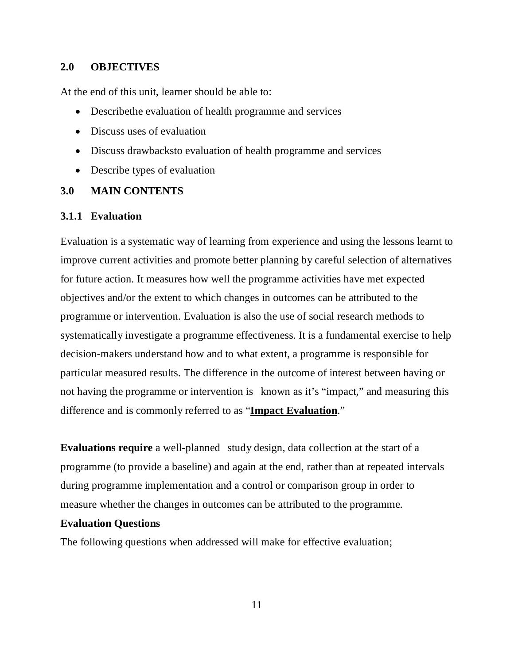#### **2.0 OBJECTIVES**

At the end of this unit, learner should be able to:

- Describethe evaluation of health programme and services
- Discuss uses of evaluation
- Discuss drawbacksto evaluation of health programme and services
- Describe types of evaluation

#### **3.0 MAIN CONTENTS**

#### **3.1.1 Evaluation**

Evaluation is a systematic way of learning from experience and using the lessons learnt to improve current activities and promote better planning by careful selection of alternatives for future action. It measures how well the programme activities have met expected objectives and/or the extent to which changes in outcomes can be attributed to the programme or intervention. Evaluation is also the use of social research methods to systematically investigate a programme effectiveness. It is a fundamental exercise to help decision-makers understand how and to what extent, a programme is responsible for particular measured results. The difference in the outcome of interest between having or not having the programme or intervention is known as it's "impact," and measuring this difference and is commonly referred to as "**Impact Evaluation**."

**Evaluations require** a well-planned study design, data collection at the start of a programme (to provide a baseline) and again at the end, rather than at repeated intervals during programme implementation and a control or comparison group in order to measure whether the changes in outcomes can be attributed to the programme.

#### **Evaluation Questions**

The following questions when addressed will make for effective evaluation;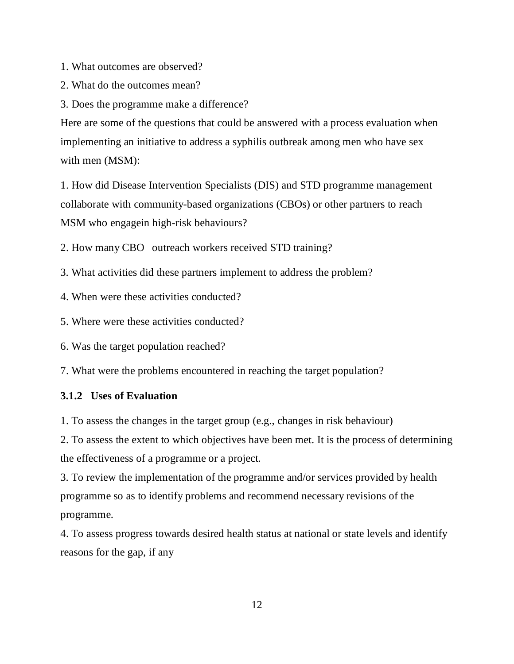1. What outcomes are observed?

2. What do the outcomes mean?

3. Does the programme make a difference?

Here are some of the questions that could be answered with a process evaluation when implementing an initiative to address a syphilis outbreak among men who have sex with men (MSM):

1. How did Disease Intervention Specialists (DIS) and STD programme management collaborate with community-based organizations (CBOs) or other partners to reach MSM who engagein high-risk behaviours?

2. How many CBO outreach workers received STD training?

- 3. What activities did these partners implement to address the problem?
- 4. When were these activities conducted?
- 5. Where were these activities conducted?
- 6. Was the target population reached?

7. What were the problems encountered in reaching the target population?

#### **3.1.2 Uses of Evaluation**

1. To assess the changes in the target group (e.g., changes in risk behaviour)

2. To assess the extent to which objectives have been met. It is the process of determining the effectiveness of a programme or a project.

3. To review the implementation of the programme and/or services provided by health programme so as to identify problems and recommend necessary revisions of the programme.

4. To assess progress towards desired health status at national or state levels and identify reasons for the gap, if any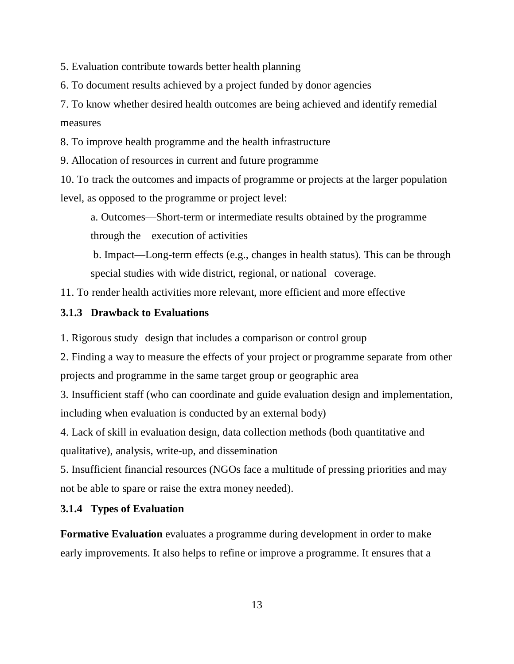5. Evaluation contribute towards better health planning

6. To document results achieved by a project funded by donor agencies

7. To know whether desired health outcomes are being achieved and identify remedial measures

8. To improve health programme and the health infrastructure

9. Allocation of resources in current and future programme

10. To track the outcomes and impacts of programme or projects at the larger population level, as opposed to the programme or project level:

a. Outcomes—Short-term or intermediate results obtained by the programme through the execution of activities

b. Impact—Long-term effects (e.g., changes in health status). This can be through special studies with wide district, regional, or national coverage.

11. To render health activities more relevant, more efficient and more effective

## **3.1.3 Drawback to Evaluations**

1. Rigorous study "design that includes a comparison or control group

2. Finding a way to measure the effects of your project or programme separate from other projects and programme in the same target group or geographic area

3. Insufficient staff (who can coordinate and guide evaluation design and implementation, including when evaluation is conducted by an external body)

4. Lack of skill in evaluation design, data collection methods (both quantitative and qualitative), analysis, write-up, and dissemination

5. Insufficient financial resources (NGOs face a multitude of pressing priorities and may not be able to spare or raise the extra money needed).

## **3.1.4 Types of Evaluation**

**Formative Evaluation** evaluates a programme during development in order to make early improvements. It also helps to refine or improve a programme. It ensures that a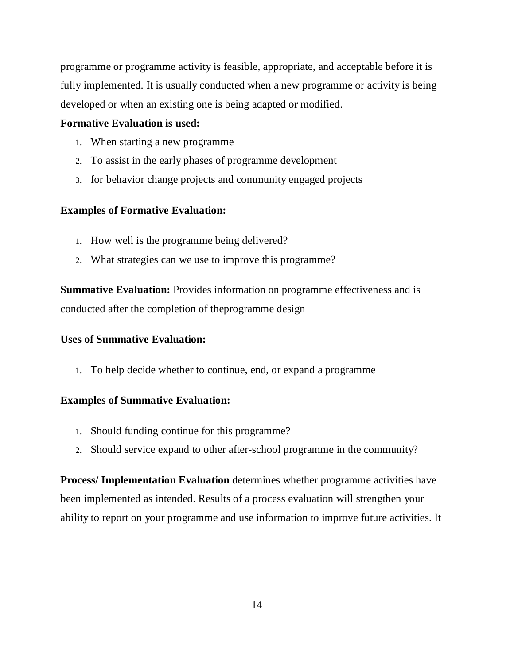programme or programme activity is feasible, appropriate, and acceptable before it is fully implemented. It is usually conducted when a new programme or activity is being developed or when an existing one is being adapted or modified.

#### **Formative Evaluation is used:**

- 1. When starting a new programme
- 2. To assist in the early phases of programme development
- 3. for behavior change projects and community engaged projects

#### **Examples of Formative Evaluation:**

- 1. How well is the programme being delivered?
- 2. What strategies can we use to improve this programme?

**Summative Evaluation:** Provides information on programme effectiveness and is conducted after the completion of theprogramme design

#### **Uses of Summative Evaluation:**

1. To help decide whether to continue, end, or expand a programme

#### **Examples of Summative Evaluation:**

- 1. Should funding continue for this programme?
- 2. Should service expand to other after-school programme in the community?

**Process/ Implementation Evaluation** determines whether programme activities have been implemented as intended. Results of a process evaluation will strengthen your ability to report on your programme and use information to improve future activities. It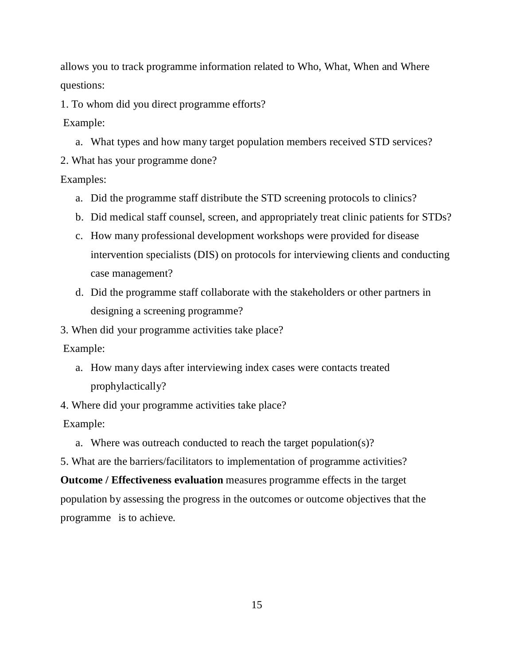allows you to track programme information related to Who, What, When and Where questions:

1. To whom did you direct programme efforts?

Example:

a. What types and how many target population members received STD services?

2. What has your programme done?

Examples:

- a. Did the programme staff distribute the STD screening protocols to clinics?
- b. Did medical staff counsel, screen, and appropriately treat clinic patients for STDs?
- c. How many professional development workshops were provided for disease intervention specialists (DIS) on protocols for interviewing clients and conducting case management?
- d. Did the programme staff collaborate with the stakeholders or other partners in designing a screening programme?

3. When did your programme activities take place?

Example:

- a. How many days after interviewing index cases were contacts treated prophylactically?
- 4. Where did your programme activities take place?

Example:

a. Where was outreach conducted to reach the target population(s)?

5. What are the barriers/facilitators to implementation of programme activities?

**Outcome / Effectiveness evaluation** measures programme effects in the target population by assessing the progress in the outcomes or outcome objectives that the programme is to achieve.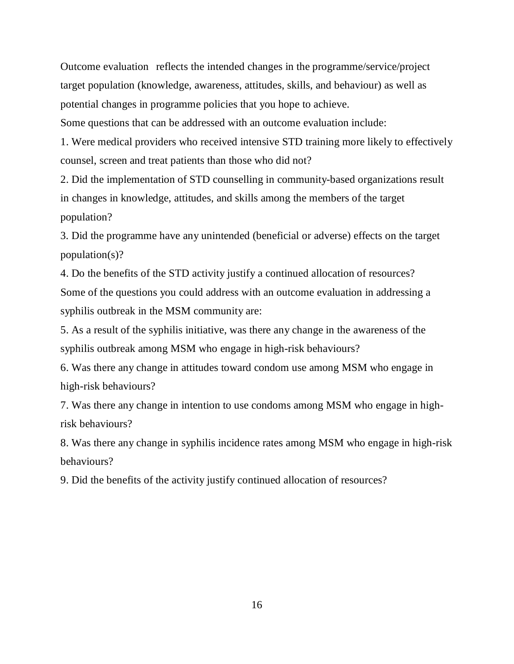Outcome evaluation reflects the intended changes in the programme/service/project target population (knowledge, awareness, attitudes, skills, and behaviour) as well as potential changes in programme policies that you hope to achieve.

Some questions that can be addressed with an outcome evaluation include:

1. Were medical providers who received intensive STD training more likely to effectively counsel, screen and treat patients than those who did not?

2. Did the implementation of STD counselling in community-based organizations result in changes in knowledge, attitudes, and skills among the members of the target population?

3. Did the programme have any unintended (beneficial or adverse) effects on the target population(s)?

4. Do the benefits of the STD activity justify a continued allocation of resources? Some of the questions you could address with an outcome evaluation in addressing a syphilis outbreak in the MSM community are:

5. As a result of the syphilis initiative, was there any change in the awareness of the syphilis outbreak among MSM who engage in high-risk behaviours?

6. Was there any change in attitudes toward condom use among MSM who engage in high-risk behaviours?

7. Was there any change in intention to use condoms among MSM who engage in highrisk behaviours?

8. Was there any change in syphilis incidence rates among MSM who engage in high-risk behaviours?

9. Did the benefits of the activity justify continued allocation of resources?

16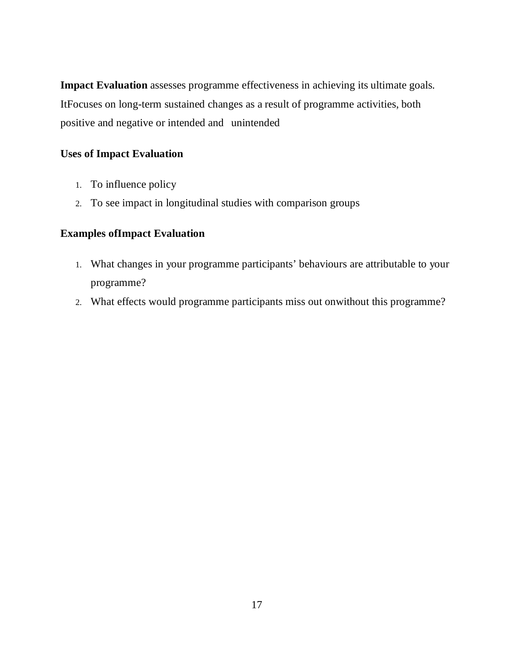**Impact Evaluation** assesses programme effectiveness in achieving its ultimate goals. ItFocuses on long-term sustained changes as a result of programme activities, both positive and negative or intended and" unintended

## **Uses of Impact Evaluation**

- 1. To influence policy
- 2. To see impact in longitudinal studies with comparison groups

#### **Examples ofImpact Evaluation**

- 1. What changes in your programme participants' behaviours are attributable to your programme?
- 2. What effects would programme participants miss out onwithout this programme?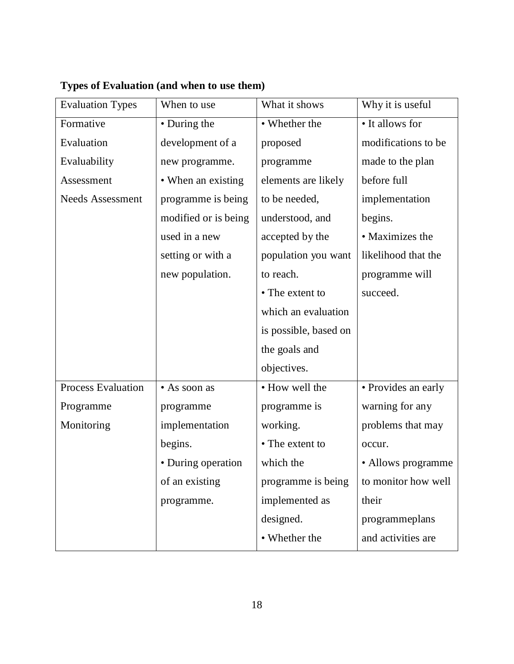| <b>Evaluation Types</b>   | When to use          | What it shows         | Why it is useful    |
|---------------------------|----------------------|-----------------------|---------------------|
| Formative                 | • During the         | • Whether the         | • It allows for     |
| Evaluation                | development of a     | proposed              | modifications to be |
| Evaluability              | new programme.       | programme             | made to the plan    |
| Assessment                | • When an existing   | elements are likely   | before full         |
| <b>Needs Assessment</b>   | programme is being   | to be needed,         | implementation      |
|                           | modified or is being | understood, and       | begins.             |
|                           | used in a new        | accepted by the       | • Maximizes the     |
|                           | setting or with a    | population you want   | likelihood that the |
|                           | new population.      | to reach.             | programme will      |
|                           |                      | • The extent to       | succeed.            |
|                           |                      | which an evaluation   |                     |
|                           |                      | is possible, based on |                     |
|                           |                      | the goals and         |                     |
|                           |                      | objectives.           |                     |
| <b>Process Evaluation</b> | • As soon as         | · How well the        | · Provides an early |
| Programme                 | programme            | programme is          | warning for any     |
| Monitoring                | implementation       | working.              | problems that may   |
|                           | begins.              | • The extent to       | occur.              |
|                           | • During operation   | which the             | • Allows programme  |
|                           | of an existing       | programme is being    | to monitor how well |
|                           | programme.           | implemented as        | their               |
|                           |                      | designed.             | programmeplans      |
|                           |                      | • Whether the         | and activities are  |
|                           |                      |                       |                     |

# **Types of Evaluation (and when to use them)**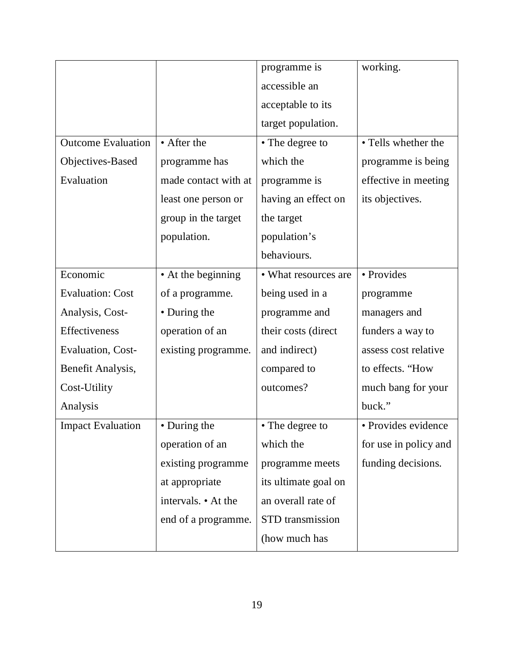|                           |                      | programme is         | working.              |
|---------------------------|----------------------|----------------------|-----------------------|
|                           |                      | accessible an        |                       |
|                           |                      | acceptable to its    |                       |
|                           |                      | target population.   |                       |
| <b>Outcome Evaluation</b> | • After the          | • The degree to      | • Tells whether the   |
| Objectives-Based          | programme has        | which the            | programme is being    |
| Evaluation                | made contact with at | programme is         | effective in meeting  |
|                           | least one person or  | having an effect on  | its objectives.       |
|                           | group in the target  | the target           |                       |
|                           | population.          | population's         |                       |
|                           |                      | behaviours.          |                       |
| Economic                  | • At the beginning   | • What resources are | • Provides            |
| <b>Evaluation: Cost</b>   | of a programme.      | being used in a      | programme             |
| Analysis, Cost-           | • During the         | programme and        | managers and          |
| Effectiveness             | operation of an      | their costs (direct  | funders a way to      |
| Evaluation, Cost-         | existing programme.  | and indirect)        | assess cost relative  |
| Benefit Analysis,         |                      | compared to          | to effects. "How      |
| Cost-Utility              |                      | outcomes?            | much bang for your    |
| Analysis                  |                      |                      | buck."                |
| <b>Impact Evaluation</b>  | • During the         | • The degree to      | · Provides evidence   |
|                           | operation of an      | which the            | for use in policy and |
|                           | existing programme   | programme meets      | funding decisions.    |
|                           | at appropriate       | its ultimate goal on |                       |
|                           | intervals. • At the  | an overall rate of   |                       |
|                           | end of a programme.  | STD transmission     |                       |
|                           |                      | (how much has        |                       |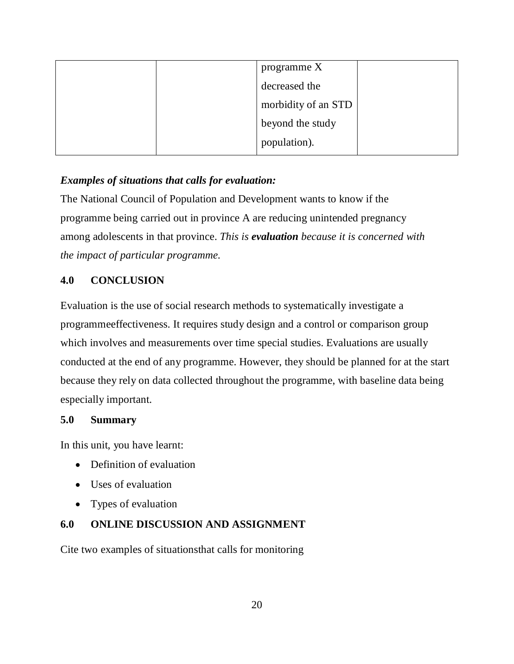|  | programme $X$       |  |
|--|---------------------|--|
|  | decreased the       |  |
|  | morbidity of an STD |  |
|  | beyond the study    |  |
|  | population).        |  |

# *Examples of situations that calls for evaluation:*

The National Council of Population and Development wants to know if the programme being carried out in province A are reducing unintended pregnancy among adolescents in that province. *This is evaluation because it is concerned with the impact of particular programme.* 

# **4.0 CONCLUSION**

Evaluation is the use of social research methods to systematically investigate a programmeeffectiveness. It requires study design and a control or comparison group which involves and measurements over time special studies. Evaluations are usually conducted at the end of any programme. However, they should be planned for at the start because they rely on data collected throughout the programme, with baseline data being especially important.

## **5.0 Summary**

In this unit, you have learnt:

- Definition of evaluation
- Uses of evaluation
- Types of evaluation

## **6.0 ONLINE DISCUSSION AND ASSIGNMENT**

Cite two examples of situationsthat calls for monitoring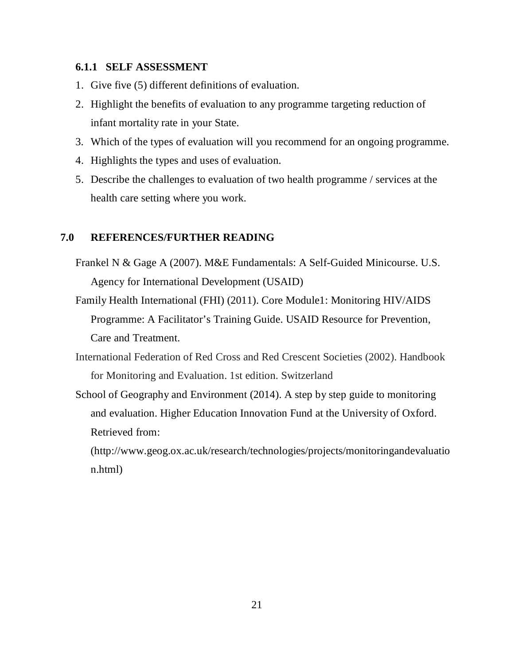#### **6.1.1 SELF ASSESSMENT**

- 1. Give five (5) different definitions of evaluation.
- 2. Highlight the benefits of evaluation to any programme targeting reduction of infant mortality rate in your State.
- 3. Which of the types of evaluation will you recommend for an ongoing programme.
- 4. Highlights the types and uses of evaluation.
- 5. Describe the challenges to evaluation of two health programme / services at the health care setting where you work.

#### **7.0 REFERENCES/FURTHER READING**

- Frankel N & Gage A (2007). M&E Fundamentals: A Self-Guided Minicourse. U.S. Agency for International Development (USAID)
- Family Health International (FHI) (2011). Core Module1: Monitoring HIV/AIDS Programme: A Facilitator's Training Guide. USAID Resource for Prevention, Care and Treatment.
- International Federation of Red Cross and Red Crescent Societies (2002). Handbook for Monitoring and Evaluation. 1st edition. Switzerland
- School of Geography and Environment (2014). A step by step guide to monitoring and evaluation. Higher Education Innovation Fund at the University of Oxford. Retrieved from:

(http://www.geog.ox.ac.uk/research/technologies/projects/monitoringandevaluatio n.html)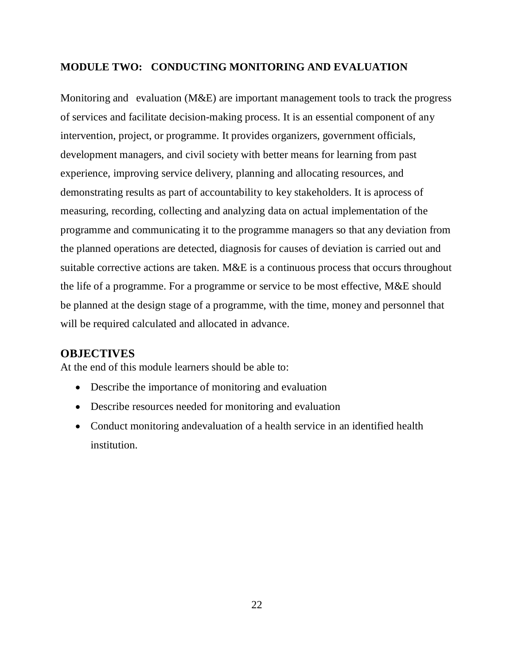### **MODULE TWO: CONDUCTING MONITORING AND EVALUATION**

Monitoring and evaluation (M&E) are important management tools to track the progress of services and facilitate decision-making process. It is an essential component of any intervention, project, or programme. It provides organizers, government officials, development managers, and civil society with better means for learning from past experience, improving service delivery, planning and allocating resources, and demonstrating results as part of accountability to key stakeholders. It is aprocess of measuring, recording, collecting and analyzing data on actual implementation of the programme and communicating it to the programme managers so that any deviation from the planned operations are detected, diagnosis for causes of deviation is carried out and suitable corrective actions are taken. M&E is a continuous process that occurs throughout the life of a programme. For a programme or service to be most effective, M&E should be planned at the design stage of a programme, with the time, money and personnel that will be required calculated and allocated in advance.

### **OBJECTIVES**

At the end of this module learners should be able to:

- Describe the importance of monitoring and evaluation
- Describe resources needed for monitoring and evaluation
- Conduct monitoring andevaluation of a health service in an identified health institution.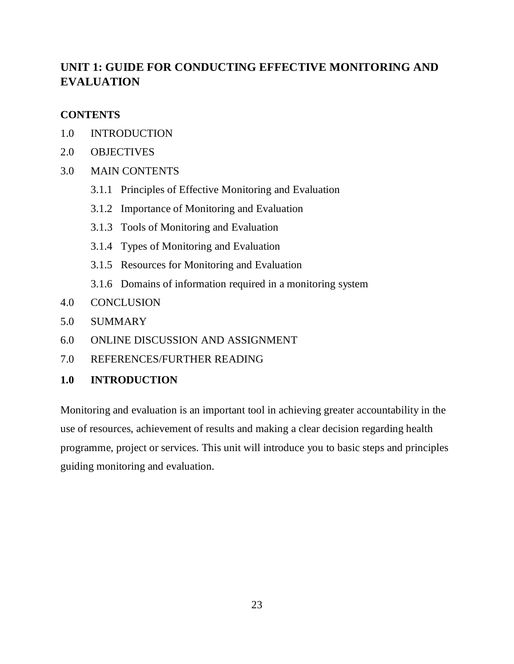# **UNIT 1: GUIDE FOR CONDUCTING EFFECTIVE MONITORING AND EVALUATION**

### **CONTENTS**

- 1.0 INTRODUCTION
- 2.0 OBJECTIVES
- 3.0 MAIN CONTENTS
	- 3.1.1 Principles of Effective Monitoring and Evaluation
	- 3.1.2 Importance of Monitoring and Evaluation
	- 3.1.3 Tools of Monitoring and Evaluation
	- 3.1.4 Types of Monitoring and Evaluation
	- 3.1.5 Resources for Monitoring and Evaluation
	- 3.1.6 Domains of information required in a monitoring system
- 4.0 CONCLUSION
- 5.0 SUMMARY
- 6.0 ONLINE DISCUSSION AND ASSIGNMENT
- 7.0 REFERENCES/FURTHER READING

### **1.0 INTRODUCTION**

Monitoring and evaluation is an important tool in achieving greater accountability in the use of resources, achievement of results and making a clear decision regarding health programme, project or services. This unit will introduce you to basic steps and principles guiding monitoring and evaluation.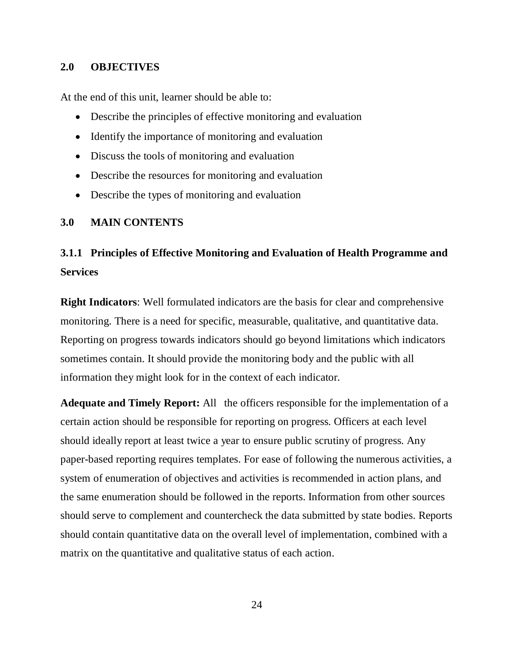#### **2.0 OBJECTIVES**

At the end of this unit, learner should be able to:

- Describe the principles of effective monitoring and evaluation
- Identify the importance of monitoring and evaluation
- Discuss the tools of monitoring and evaluation
- Describe the resources for monitoring and evaluation
- Describe the types of monitoring and evaluation

#### **3.0 MAIN CONTENTS**

# **3.1.1 Principles of Effective Monitoring and Evaluation of Health Programme and Services**

**Right Indicators**: Well formulated indicators are the basis for clear and comprehensive monitoring. There is a need for specific, measurable, qualitative, and quantitative data. Reporting on progress towards indicators should go beyond limitations which indicators sometimes contain. It should provide the monitoring body and the public with all information they might look for in the context of each indicator.

**Adequate and Timely Report:** All the officers responsible for the implementation of a certain action should be responsible for reporting on progress. Officers at each level should ideally report at least twice a year to ensure public scrutiny of progress. Any paper-based reporting requires templates. For ease of following the numerous activities, a system of enumeration of objectives and activities is recommended in action plans, and the same enumeration should be followed in the reports. Information from other sources should serve to complement and countercheck the data submitted by state bodies. Reports should contain quantitative data on the overall level of implementation, combined with a matrix on the quantitative and qualitative status of each action.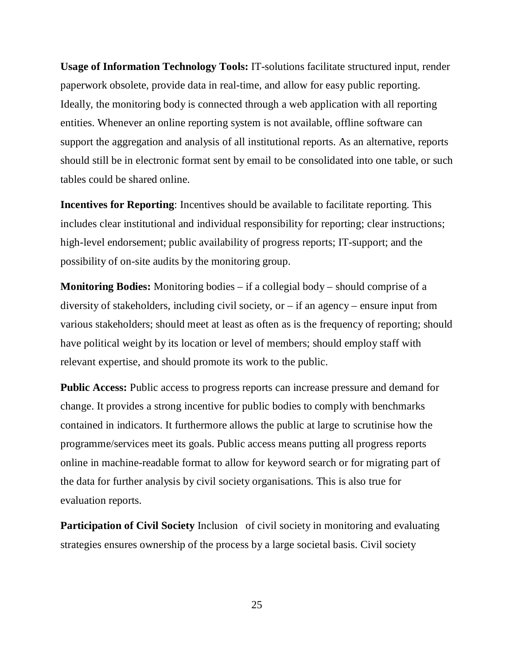**Usage of Information Technology Tools:** IT-solutions facilitate structured input, render paperwork obsolete, provide data in real-time, and allow for easy public reporting. Ideally, the monitoring body is connected through a web application with all reporting entities. Whenever an online reporting system is not available, offline software can support the aggregation and analysis of all institutional reports. As an alternative, reports should still be in electronic format sent by email to be consolidated into one table, or such tables could be shared online.

**Incentives for Reporting**: Incentives should be available to facilitate reporting. This includes clear institutional and individual responsibility for reporting; clear instructions; high-level endorsement; public availability of progress reports; IT-support; and the possibility of on-site audits by the monitoring group.

**Monitoring Bodies:** Monitoring bodies – if a collegial body – should comprise of a diversity of stakeholders, including civil society, or – if an agency – ensure input from various stakeholders; should meet at least as often as is the frequency of reporting; should have political weight by its location or level of members; should employ staff with relevant expertise, and should promote its work to the public.

**Public Access:** Public access to progress reports can increase pressure and demand for change. It provides a strong incentive for public bodies to comply with benchmarks contained in indicators. It furthermore allows the public at large to scrutinise how the programme/services meet its goals. Public access means putting all progress reports online in machine-readable format to allow for keyword search or for migrating part of the data for further analysis by civil society organisations. This is also true for" evaluation reports.

**Participation of Civil Society** Inclusion of civil society in monitoring and evaluating strategies ensures ownership of the process by a large societal basis. Civil society

25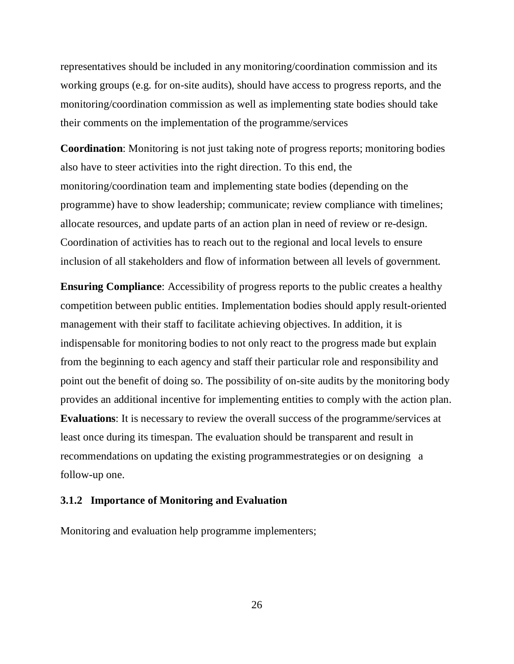representatives should be included in any monitoring/coordination commission and its working groups (e.g. for on-site audits), should have access to progress reports, and the monitoring/coordination commission as well as implementing state bodies should take their comments on the implementation of the programme/services

**Coordination**: Monitoring is not just taking note of progress reports; monitoring bodies also have to steer activities into the right direction. To this end, the monitoring/coordination team and implementing state bodies (depending on the programme) have to show leadership; communicate; review compliance with timelines; allocate resources, and update parts of an action plan in need of review or re-design. Coordination of activities has to reach out to the regional and local levels to ensure inclusion of all stakeholders and flow of information between all levels of government.

**Ensuring Compliance**: Accessibility of progress reports to the public creates a healthy competition between public entities. Implementation bodies should apply result-oriented management with their staff to facilitate achieving objectives. In addition, it is indispensable for monitoring bodies to not only react to the progress made but explain from the beginning to each agency and staff their particular role and responsibility and point out the benefit of doing so. The possibility of on-site audits by the monitoring body provides an additional incentive for implementing entities to comply with the action plan. **Evaluations**: It is necessary to review the overall success of the programme/services at least once during its timespan. The evaluation should be transparent and result in recommendations on updating the existing programmestrategies or on designing a follow-up one.

#### **3.1.2 Importance of Monitoring and Evaluation**

Monitoring and evaluation help programme implementers;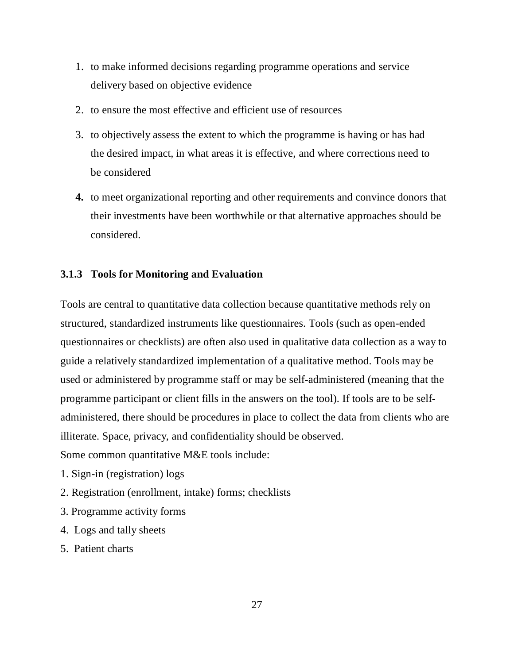- 1. to make informed decisions regarding programme operations and service delivery based on objective evidence
- 2. to ensure the most effective and efficient use of resources
- 3. to objectively assess the extent to which the programme is having or has had the desired impact, in what areas it is effective, and where corrections need to be considered
- **4.** to meet organizational reporting and other requirements and convince donors that their investments have been worthwhile or that alternative approaches should be considered.

### **3.1.3 Tools for Monitoring and Evaluation**

Tools are central to quantitative data collection because quantitative methods rely on structured, standardized instruments like questionnaires. Tools (such as open-ended questionnaires or checklists) are often also used in qualitative data collection as a way to guide a relatively standardized implementation of a qualitative method. Tools may be used or administered by programme staff or may be self-administered (meaning that the programme participant or client fills in the answers on the tool). If tools are to be selfadministered, there should be procedures in place to collect the data from clients who are illiterate. Space, privacy, and confidentiality should be observed.

Some common quantitative M&E tools include:

- 1. Sign-in (registration) logs
- 2. Registration (enrollment, intake) forms; checklists
- 3. Programme activity forms
- 4. Logs and tally sheets
- 5. Patient charts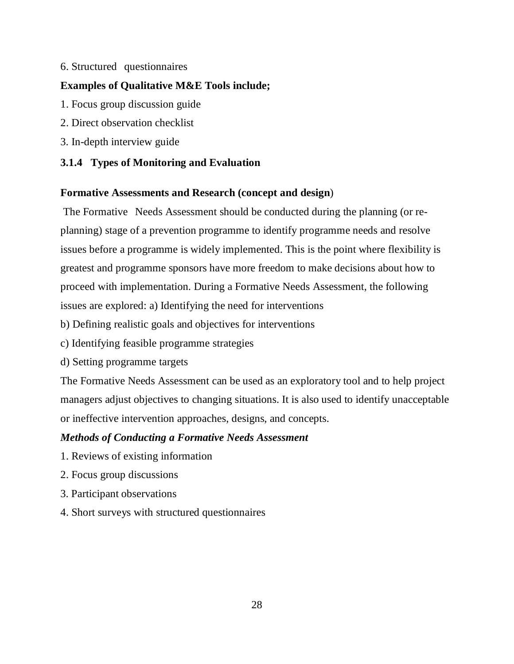### 6. Structured" questionnaires

### **Examples of Qualitative M&E Tools include;**

- 1. Focus group discussion guide
- 2. Direct observation checklist
- 3. In-depth interview guide

### **3.1.4 Types of Monitoring and Evaluation**

### **Formative Assessments and Research (concept and design**)

The Formative Needs Assessment should be conducted during the planning (or replanning) stage of a prevention programme to identify programme needs and resolve issues before a programme is widely implemented. This is the point where flexibility is greatest and programme sponsors have more freedom to make decisions about how to proceed with implementation. During a Formative Needs Assessment, the following issues are explored: a) Identifying the need for interventions

b) Defining realistic goals and objectives for interventions

- c) Identifying feasible programme strategies
- d) Setting programme targets

The Formative Needs Assessment can be used as an exploratory tool and to help project managers adjust objectives to changing situations. It is also used to identify unacceptable or ineffective intervention approaches, designs, and concepts.

### *Methods of Conducting a Formative Needs Assessment*

- 1. Reviews of existing information
- 2. Focus group discussions
- 3. Participant observations
- 4. Short surveys with structured questionnaires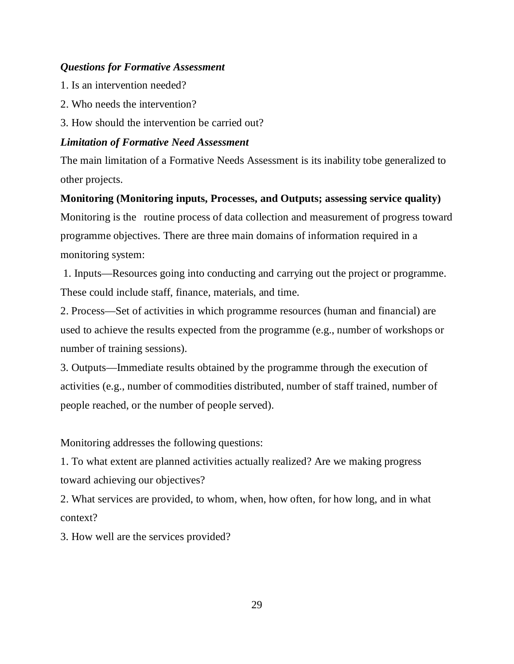### *Questions for Formative Assessment*

- 1. Is an intervention needed?
- 2. Who needs the intervention?
- 3. How should the intervention be carried out?

### *Limitation of Formative Need Assessment*

The main limitation of a Formative Needs Assessment is its inability tobe generalized to other projects.

**Monitoring (Monitoring inputs, Processes, and Outputs; assessing service quality)** Monitoring is the routine process of data collection and measurement of progress toward programme objectives. There are three main domains of information required in a monitoring system:

 1. Inputs—Resources going into conducting and carrying out the project or programme. These could include staff, finance, materials, and time.

2. Process—Set of activities in which programme resources (human and financial) are used to achieve the results expected from the programme (e.g., number of workshops or number of training sessions).

3. Outputs—Immediate results obtained by the programme through the execution of activities (e.g., number of commodities distributed, number of staff trained, number of people reached, or the number of people served).

Monitoring addresses the following questions:

1. To what extent are planned activities actually realized? Are we making progress toward achieving our objectives?

2. What services are provided, to whom, when, how often, for how long, and in what context?

3. How well are the services provided?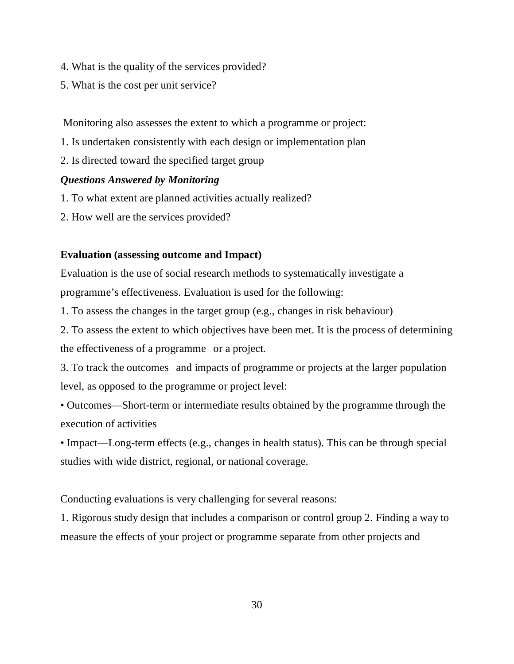- 4. What is the quality of the services provided?
- 5. What is the cost per unit service?

Monitoring also assesses the extent to which a programme or project:

- 1. Is undertaken consistently with each design or implementation plan
- 2. Is directed toward the specified target group

### *Questions Answered by Monitoring*

- 1. To what extent are planned activities actually realized?
- 2. How well are the services provided?

### **Evaluation (assessing outcome and Impact)**

Evaluation is the use of social research methods to systematically investigate a programme's effectiveness. Evaluation is used for the following:

1. To assess the changes in the target group (e.g., changes in risk behaviour)

2. To assess the extent to which objectives have been met. It is the process of determining the effectiveness of a programme or a project.

3. To track the outcomes and impacts of programme or projects at the larger population level, as opposed to the programme or project level:

• Outcomes—Short-term or intermediate results obtained by the programme through the execution of activities

• Impact—Long-term effects (e.g., changes in health status). This can be through special studies with wide district, regional, or national coverage.

Conducting evaluations is very challenging for several reasons:

1. Rigorous study design that includes a comparison or control group 2. Finding a way to measure the effects of your project or programme separate from other projects and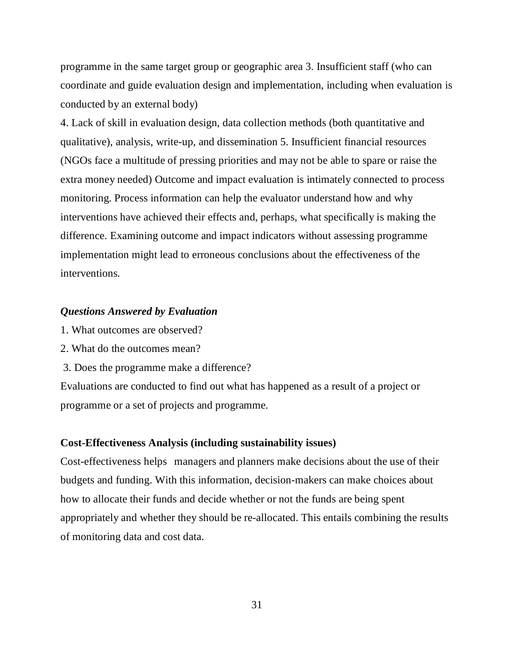programme in the same target group or geographic area 3. Insufficient staff (who can coordinate and guide evaluation design and implementation, including when evaluation is conducted by an external body)

4. Lack of skill in evaluation design, data collection methods (both quantitative and qualitative), analysis, write-up, and dissemination 5. Insufficient financial resources (NGOs face a multitude of pressing priorities and may not be able to spare or raise the extra money needed) Outcome and impact evaluation is intimately connected to process monitoring. Process information can help the evaluator understand how and why interventions have achieved their effects and, perhaps, what specifically is making the difference. Examining outcome and impact indicators without assessing programme implementation might lead to erroneous conclusions about the effectiveness of the interventions.

#### *Questions Answered by Evaluation*

- 1. What outcomes are observed?
- 2. What do the outcomes mean?
- 3. Does the programme make a difference?

Evaluations are conducted to find out what has happened as a result of a project or programme or a set of projects and programme.

#### **Cost-Effectiveness Analysis (including sustainability issues)**

Cost-effectiveness helps managers and planners make decisions about the use of their budgets and funding. With this information, decision-makers can make choices about how to allocate their funds and decide whether or not the funds are being spent appropriately and whether they should be re-allocated. This entails combining the results of monitoring data and cost data.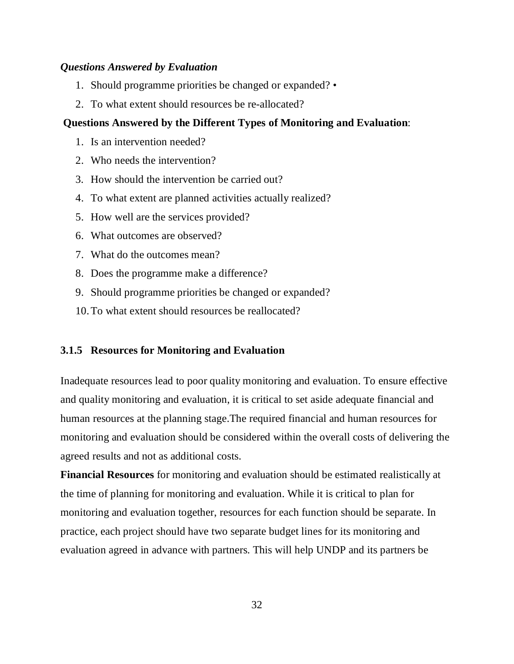#### *Questions Answered by Evaluation*

- 1. Should programme priorities be changed or expanded? •
- 2. To what extent should resources be re-allocated?

#### **Questions Answered by the Different Types of Monitoring and Evaluation**:

- 1. Is an intervention needed?
- 2. Who needs the intervention?
- 3. How should the intervention be carried out?
- 4. To what extent are planned activities actually realized?
- 5. How well are the services provided?
- 6. What outcomes are observed?
- 7. What do the outcomes mean?
- 8. Does the programme make a difference?
- 9. Should programme priorities be changed or expanded?
- 10.To what extent should resources be reallocated?

### **3.1.5 Resources for Monitoring and Evaluation**

Inadequate resources lead to poor quality monitoring and evaluation. To ensure effective and quality monitoring and evaluation, it is critical to set aside adequate financial and human resources at the planning stage.The required financial and human resources for monitoring and evaluation should be considered within the overall costs of delivering the agreed results and not as additional costs.

**Financial Resources** for monitoring and evaluation should be estimated realistically at the time of planning for monitoring and evaluation. While it is critical to plan for monitoring and evaluation together, resources for each function should be separate. In practice, each project should have two separate budget lines for its monitoring and evaluation agreed in advance with partners. This will help UNDP and its partners be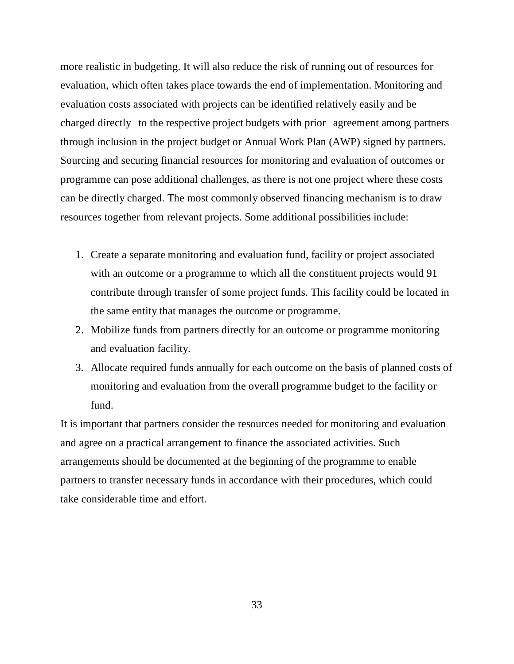more realistic in budgeting. It will also reduce the risk of running out of resources for evaluation, which often takes place towards the end of implementation. Monitoring and evaluation costs associated with projects can be identified relatively easily and be charged directly to the respective project budgets with prior agreement among partners through inclusion in the project budget or Annual Work Plan (AWP) signed by partners. Sourcing and securing financial resources for monitoring and evaluation of outcomes or programme can pose additional challenges, as there is not one project where these costs can be directly charged. The most commonly observed financing mechanism is to draw resources together from relevant projects. Some additional possibilities include:

- 1. Create a separate monitoring and evaluation fund, facility or project associated with an outcome or a programme to which all the constituent projects would 91 contribute through transfer of some project funds. This facility could be located in the same entity that manages the outcome or programme.
- 2. Mobilize funds from partners directly for an outcome or programme monitoring and evaluation facility.
- 3. Allocate required funds annually for each outcome on the basis of planned costs of monitoring and evaluation from the overall programme budget to the facility or fund.

It is important that partners consider the resources needed for monitoring and evaluation and agree on a practical arrangement to finance the associated activities. Such arrangements should be documented at the beginning of the programme to enable partners to transfer necessary funds in accordance with their procedures, which could take considerable time and effort.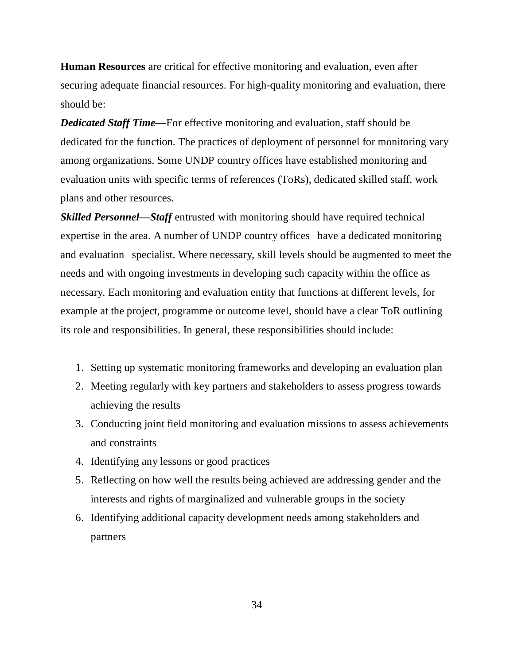**Human Resources** are critical for effective monitoring and evaluation, even after securing adequate financial resources. For high-quality monitoring and evaluation, there should be:

*Dedicated Staff Time—*For effective monitoring and evaluation, staff should be dedicated for the function. The practices of deployment of personnel for monitoring vary among organizations. Some UNDP country offices have established monitoring and evaluation units with specific terms of references (ToRs), dedicated skilled staff, work plans and other resources.

*Skilled Personnel—Staff* entrusted with monitoring should have required technical expertise in the area. A number of UNDP country offices have a dedicated monitoring and evaluation specialist. Where necessary, skill levels should be augmented to meet the needs and with ongoing investments in developing such capacity within the office as necessary. Each monitoring and evaluation entity that functions at different levels, for example at the project, programme or outcome level, should have a clear ToR outlining its role and responsibilities. In general, these responsibilities should include:

- 1. Setting up systematic monitoring frameworks and developing an evaluation plan
- 2. Meeting regularly with key partners and stakeholders to assess progress towards achieving the results
- 3. Conducting joint field monitoring and evaluation missions to assess achievements and constraints
- 4. Identifying any lessons or good practices
- 5. Reflecting on how well the results being achieved are addressing gender and the interests and rights of marginalized and vulnerable groups in the society
- 6. Identifying additional capacity development needs among stakeholders and partners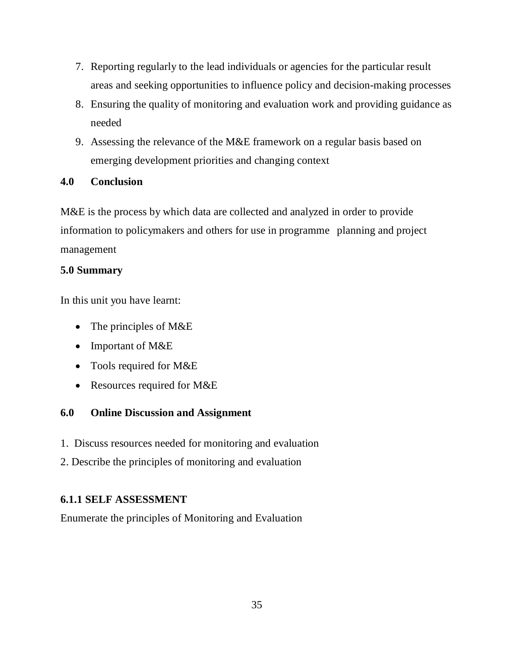- 7. Reporting regularly to the lead individuals or agencies for the particular result areas and seeking opportunities to influence policy and decision-making processes
- 8. Ensuring the quality of monitoring and evaluation work and providing guidance as needed
- 9. Assessing the relevance of the M&E framework on a regular basis based on emerging development priorities and changing context

### **4.0 Conclusion**

M&E is the process by which data are collected and analyzed in order to provide information to policymakers and others for use in programme planning and project management

### **5.0 Summary**

In this unit you have learnt:

- The principles of M&E
- Important of M&E
- Tools required for M&E
- Resources required for M&E

### **6.0 Online Discussion and Assignment**

- 1. Discuss resources needed for monitoring and evaluation
- 2. Describe the principles of monitoring and evaluation

### **6.1.1 SELF ASSESSMENT**

Enumerate the principles of Monitoring and Evaluation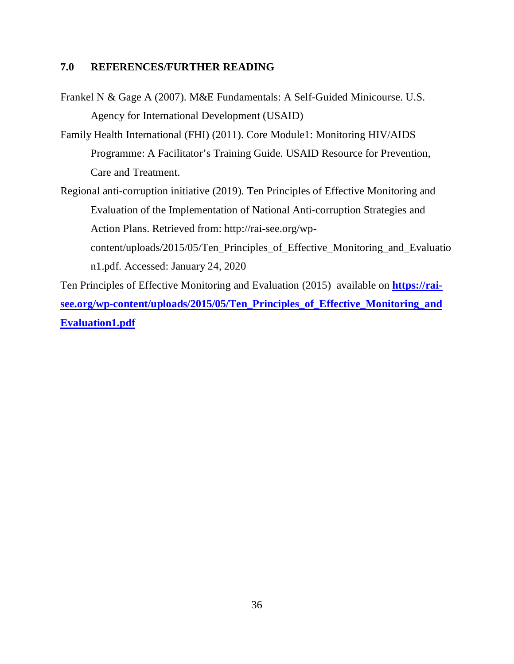### **7.0 REFERENCES/FURTHER READING**

Frankel N & Gage A (2007). M&E Fundamentals: A Self-Guided Minicourse. U.S. Agency for International Development (USAID)

Family Health International (FHI) (2011). Core Module1: Monitoring HIV/AIDS Programme: A Facilitator's Training Guide. USAID Resource for Prevention, Care and Treatment.

Regional anti-corruption initiative (2019). Ten Principles of Effective Monitoring and Evaluation of the Implementation of National Anti-corruption Strategies and Action Plans. Retrieved from: http://rai-see.org/wpcontent/uploads/2015/05/Ten\_Principles\_of\_Effective\_Monitoring\_and\_Evaluatio n1.pdf. Accessed: January 24, 2020

Ten Principles of Effective Monitoring and Evaluation (2015) available on **https://raisee.org/wp-content/uploads/2015/05/Ten\_Principles\_of\_Effective\_Monitoring\_and Evaluation1.pdf**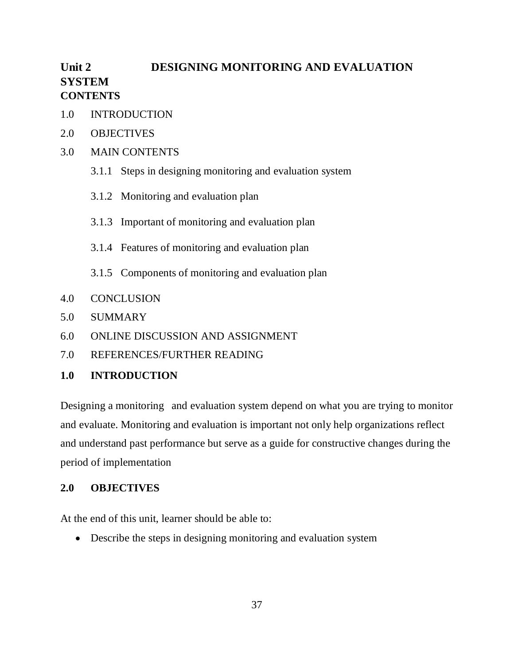# Unit 2 **DESIGNING MONITORING AND EVALUATION SYSTEM CONTENTS**

- 1.0 INTRODUCTION
- 2.0 OBJECTIVES
- 3.0 MAIN CONTENTS
	- 3.1.1 Steps in designing monitoring and evaluation system
	- 3.1.2 Monitoring and evaluation plan
	- 3.1.3 Important of monitoring and evaluation plan
	- 3.1.4 Features of monitoring and evaluation plan
	- 3.1.5 Components of monitoring and evaluation plan
- 4.0 CONCLUSION
- 5.0 SUMMARY
- 6.0 ONLINE DISCUSSION AND ASSIGNMENT
- 7.0 REFERENCES/FURTHER READING

### **1.0 INTRODUCTION**

Designing a monitoring and evaluation system depend on what you are trying to monitor and evaluate. Monitoring and evaluation is important not only help organizations reflect and understand past performance but serve as a guide for constructive changes during the period of implementation

#### **2.0 OBJECTIVES**

At the end of this unit, learner should be able to:

• Describe the steps in designing monitoring and evaluation system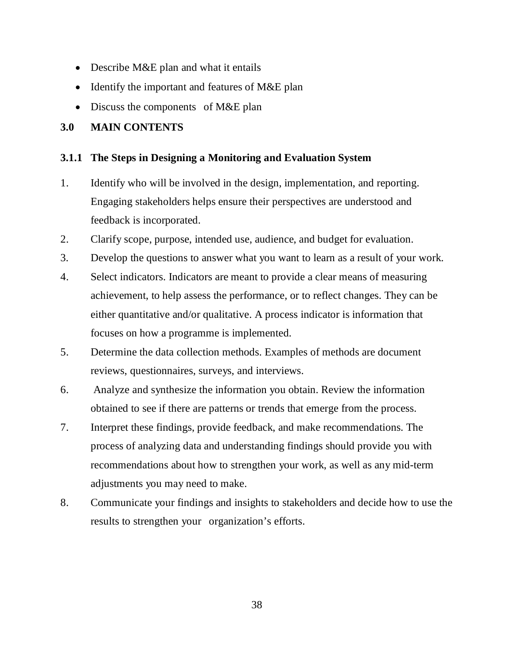- Describe M&E plan and what it entails
- Identify the important and features of M&E plan
- $\bullet$  Discuss the components of M&E plan

### **3.0 MAIN CONTENTS**

### **3.1.1 The Steps in Designing a Monitoring and Evaluation System**

- 1. Identify who will be involved in the design, implementation, and reporting. Engaging stakeholders helps ensure their perspectives are understood and feedback is incorporated.
- 2. Clarify scope, purpose, intended use, audience, and budget for evaluation.
- 3. Develop the questions to answer what you want to learn as a result of your work.
- 4. Select indicators. Indicators are meant to provide a clear means of measuring achievement, to help assess the performance, or to reflect changes. They can be either quantitative and/or qualitative. A process indicator is information that focuses on how a programme is implemented.
- 5. Determine the data collection methods. Examples of methods are document reviews, questionnaires, surveys, and interviews.
- 6. Analyze and synthesize the information you obtain. Review the information obtained to see if there are patterns or trends that emerge from the process.
- 7. Interpret these findings, provide feedback, and make recommendations. The process of analyzing data and understanding findings should provide you with recommendations about how to strengthen your work, as well as any mid-term adjustments you may need to make.
- 8. Communicate your findings and insights to stakeholders and decide how to use the results to strengthen your organization's efforts.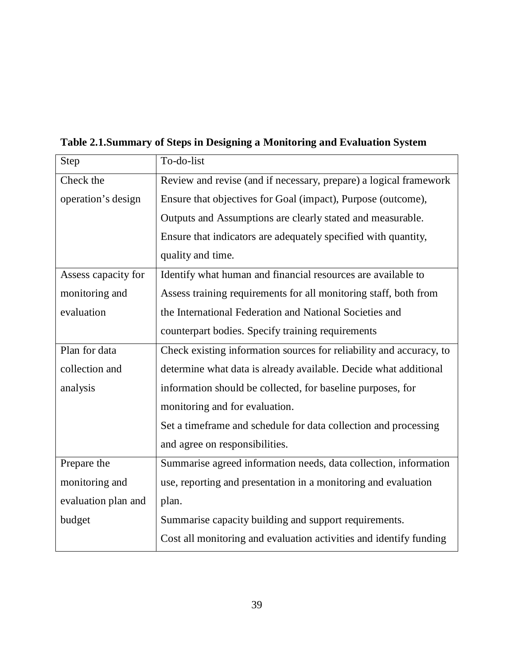| Step                | To-do-list                                                          |  |  |
|---------------------|---------------------------------------------------------------------|--|--|
| Check the           | Review and revise (and if necessary, prepare) a logical framework   |  |  |
| operation's design  | Ensure that objectives for Goal (impact), Purpose (outcome),        |  |  |
|                     | Outputs and Assumptions are clearly stated and measurable.          |  |  |
|                     | Ensure that indicators are adequately specified with quantity,      |  |  |
|                     | quality and time.                                                   |  |  |
| Assess capacity for | Identify what human and financial resources are available to        |  |  |
| monitoring and      | Assess training requirements for all monitoring staff, both from    |  |  |
| evaluation          | the International Federation and National Societies and             |  |  |
|                     | counterpart bodies. Specify training requirements                   |  |  |
| Plan for data       | Check existing information sources for reliability and accuracy, to |  |  |
| collection and      | determine what data is already available. Decide what additional    |  |  |
| analysis            | information should be collected, for baseline purposes, for         |  |  |
|                     | monitoring and for evaluation.                                      |  |  |
|                     | Set a timeframe and schedule for data collection and processing     |  |  |
|                     | and agree on responsibilities.                                      |  |  |
| Prepare the         | Summarise agreed information needs, data collection, information    |  |  |
| monitoring and      | use, reporting and presentation in a monitoring and evaluation      |  |  |
| evaluation plan and | plan.                                                               |  |  |
| budget              | Summarise capacity building and support requirements.               |  |  |
|                     | Cost all monitoring and evaluation activities and identify funding  |  |  |

**Table 2.1.Summary of Steps in Designing a Monitoring and Evaluation System**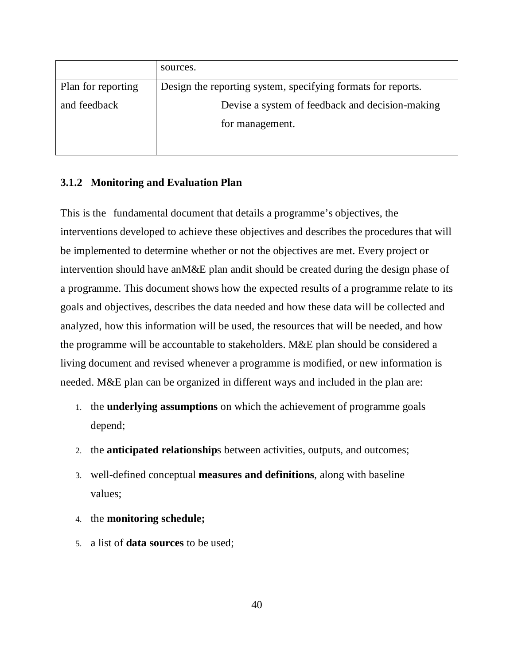|                    | sources.                                                     |  |  |
|--------------------|--------------------------------------------------------------|--|--|
| Plan for reporting | Design the reporting system, specifying formats for reports. |  |  |
| and feedback       | Devise a system of feedback and decision-making              |  |  |
|                    | for management.                                              |  |  |
|                    |                                                              |  |  |

### **3.1.2 Monitoring and Evaluation Plan**

This is the fundamental document that details a programme's objectives, the interventions developed to achieve these objectives and describes the procedures that will be implemented to determine whether or not the objectives are met. Every project or intervention should have anM&E plan andit should be created during the design phase of a programme. This document shows how the expected results of a programme relate to its goals and objectives, describes the data needed and how these data will be collected and analyzed, how this information will be used, the resources that will be needed, and how the programme will be accountable to stakeholders. M&E plan should be considered a living document and revised whenever a programme is modified, or new information is needed. M&E plan can be organized in different ways and included in the plan are:

- 1. the **underlying assumptions** on which the achievement of programme goals depend;
- 2. the **anticipated relationship**s between activities, outputs, and outcomes;
- 3. well-defined conceptual **measures and definitions**, along with baseline values;
- 4. the **monitoring schedule;**
- 5. a list of **data sources** to be used;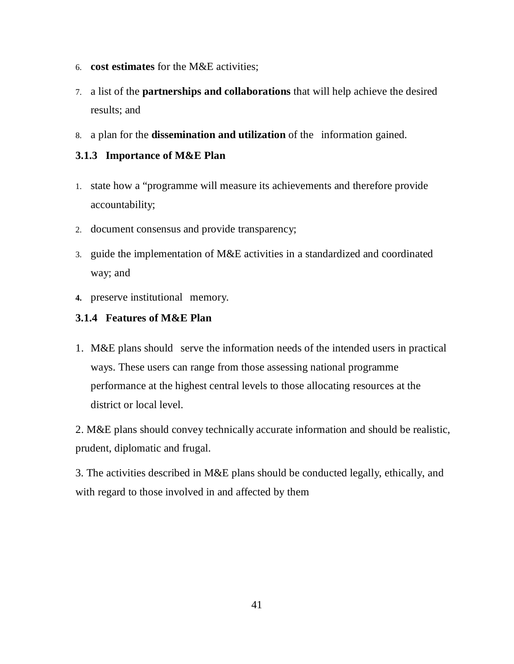- 6. **cost estimates** for the M&E activities;
- 7. a list of the **partnerships and collaborations** that will help achieve the desired results; and
- 8. a plan for the **dissemination and utilization** of the information gained.

### **3.1.3 Importance of M&E Plan**

- 1. state how a "programme will measure its achievements and therefore provide accountability;
- 2. document consensus and provide transparency;
- 3. guide the implementation of M&E activities in a standardized and coordinated way; and
- 4. preserve institutional memory.

### **3.1.4 Features of M&E Plan**

1. M&E plans should "serve the information needs of the intended users in practical ways. These users can range from those assessing national programme performance at the highest central levels to those allocating resources at the district or local level.

2. M&E plans should convey technically accurate information and should be realistic, prudent, diplomatic and frugal.

3. The activities described in M&E plans should be conducted legally, ethically, and with regard to those involved in and affected by them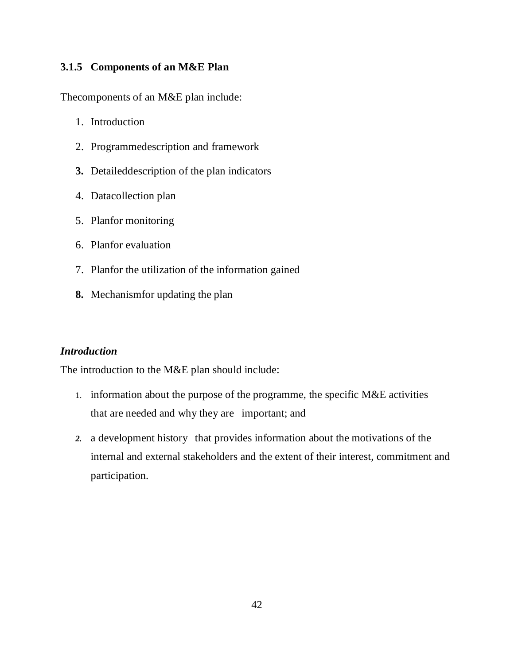### **3.1.5 Components of an M&E Plan**

Thecomponents of an M&E plan include:

- 1. Introduction
- 2. Programmedescription and framework
- **3.** Detaileddescription of the plan indicators
- 4. Datacollection plan
- 5. Planfor monitoring
- 6. Planfor evaluation
- 7. Planfor the utilization of the information gained
- **8.** Mechanismfor updating the plan

### *Introduction*

The introduction to the M&E plan should include:

- 1. information about the purpose of the programme, the specific M&E activities that are needed and why they are important; and
- 2. a development history that provides information about the motivations of the internal and external stakeholders and the extent of their interest, commitment and participation.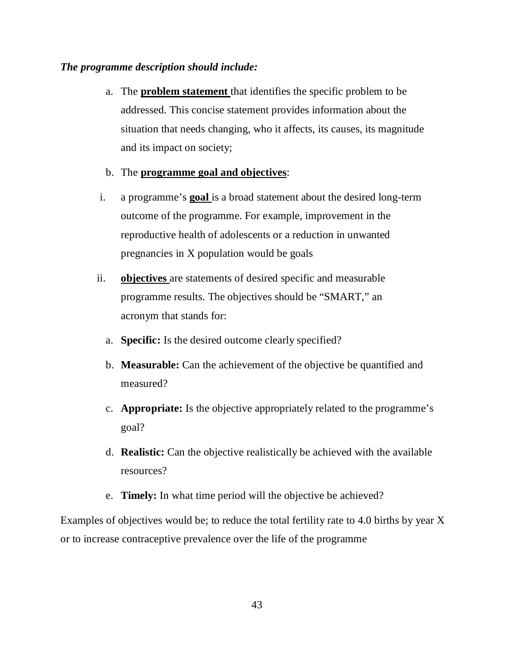#### *The programme description should include:*

a. The **problem statement** that identifies the specific problem to be addressed. This concise statement provides information about the situation that needs changing, who it affects, its causes, its magnitude and its impact on society;

#### b. The **programme goal and objectives**:

- i. a programme's **goal** is a broad statement about the desired long-term outcome of the programme. For example, improvement in the reproductive health of adolescents or a reduction in unwanted pregnancies in X population would be goals
- ii. **objectives** are statements of desired specific and measurable programme results. The objectives should be "SMART," an acronym that stands for:
	- a. **Specific:** Is the desired outcome clearly specified?
	- b. **Measurable:** Can the achievement of the objective be quantified and measured?
	- c. **Appropriate:** Is the objective appropriately related to the programme's goal?
	- d. **Realistic:** Can the objective realistically be achieved with the available resources?
	- e. **Timely:** In what time period will the objective be achieved?

Examples of objectives would be; to reduce the total fertility rate to 4.0 births by year X or to increase contraceptive prevalence over the life of the programme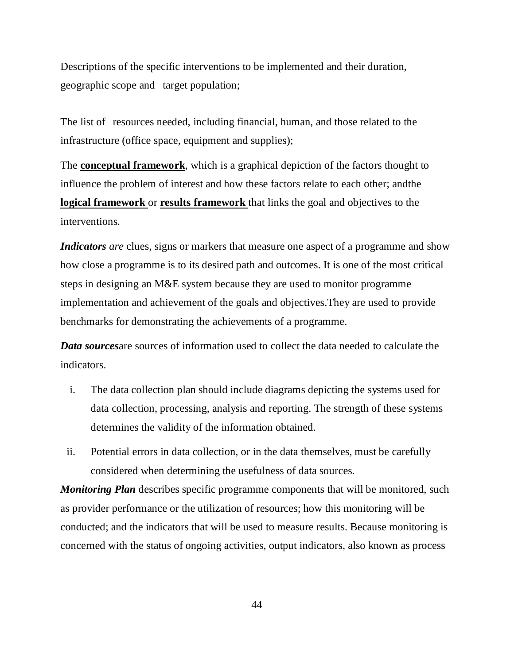Descriptions of the specific interventions to be implemented and their duration, geographic scope and" target population;

The list of resources needed, including financial, human, and those related to the infrastructure (office space, equipment and supplies);

The **conceptual framework**, which is a graphical depiction of the factors thought to influence the problem of interest and how these factors relate to each other; andthe **logical framework** or **results framework** that links the goal and objectives to the interventions.

*Indicators are* clues, signs or markers that measure one aspect of a programme and show how close a programme is to its desired path and outcomes. It is one of the most critical steps in designing an M&E system because they are used to monitor programme implementation and achievement of the goals and objectives.They are used to provide benchmarks for demonstrating the achievements of a programme.

*Data sources*are sources of information used to collect the data needed to calculate the indicators.

- i. The data collection plan should include diagrams depicting the systems used for data collection, processing, analysis and reporting. The strength of these systems determines the validity of the information obtained.
- ii. Potential errors in data collection, or in the data themselves, must be carefully considered when determining the usefulness of data sources.

*Monitoring Plan* describes specific programme components that will be monitored, such as provider performance or the utilization of resources; how this monitoring will be conducted; and the indicators that will be used to measure results. Because monitoring is concerned with the status of ongoing activities, output indicators, also known as process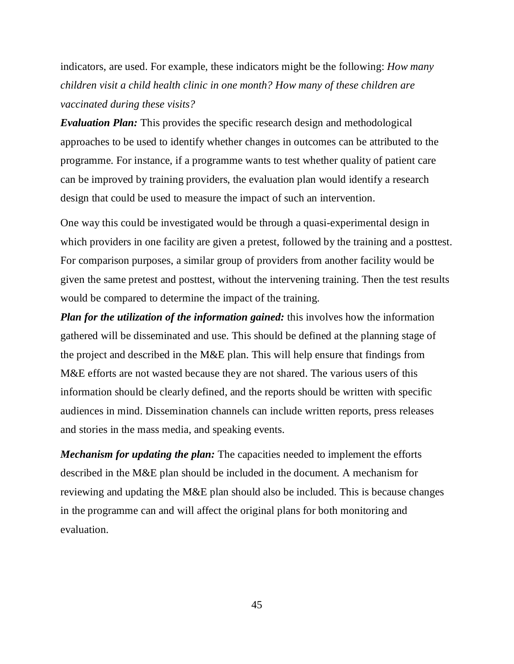indicators, are used. For example, these indicators might be the following: *How many children visit a child health clinic in one month? How many of these children are vaccinated during these visits?* 

*Evaluation Plan:* This provides the specific research design and methodological approaches to be used to identify whether changes in outcomes can be attributed to the programme. For instance, if a programme wants to test whether quality of patient care can be improved by training providers, the evaluation plan would identify a research design that could be used to measure the impact of such an intervention.

One way this could be investigated would be through a quasi-experimental design in which providers in one facility are given a pretest, followed by the training and a posttest. For comparison purposes, a similar group of providers from another facility would be given the same pretest and posttest, without the intervening training. Then the test results would be compared to determine the impact of the training.

*Plan for the utilization of the information gained:* this involves how the information gathered will be disseminated and use. This should be defined at the planning stage of the project and described in the M&E plan. This will help ensure that findings from M&E efforts are not wasted because they are not shared. The various users of this information should be clearly defined, and the reports should be written with specific audiences in mind. Dissemination channels can include written reports, press releases and stories in the mass media, and speaking events.

*Mechanism for updating the plan:* The capacities needed to implement the efforts described in the M&E plan should be included in the document. A mechanism for reviewing and updating the M&E plan should also be included. This is because changes in the programme can and will affect the original plans for both monitoring and evaluation.

45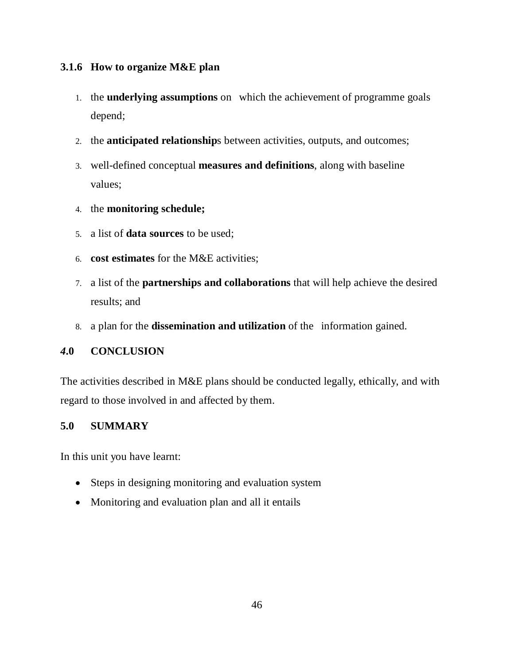### **3.1.6 How to organize M&E plan**

- 1. the **underlying assumptions** on "which the achievement of programme goals depend;
- 2. the **anticipated relationship**s between activities, outputs, and outcomes;
- 3. well-defined conceptual **measures and definitions**, along with baseline values;
- 4. the **monitoring schedule;**
- 5. a list of **data sources** to be used;
- 6. **cost estimates** for the M&E activities;
- 7. a list of the **partnerships and collaborations** that will help achieve the desired results; and
- 8. a plan for the **dissemination and utilization** of the information gained.

### *4***.0 CONCLUSION**

The activities described in M&E plans should be conducted legally, ethically, and with regard to those involved in and affected by them.

### **5.0 SUMMARY**

In this unit you have learnt:

- Steps in designing monitoring and evaluation system
- Monitoring and evaluation plan and all it entails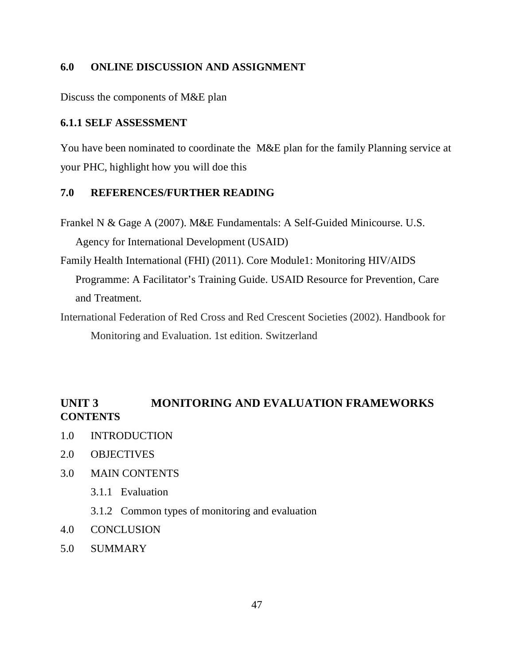### **6.0 ONLINE DISCUSSION AND ASSIGNMENT**

Discuss the components of M&E plan

#### **6.1.1 SELF ASSESSMENT**

You have been nominated to coordinate the M&E plan for the family Planning service at your PHC, highlight how you will doe this

#### **7.0 REFERENCES/FURTHER READING**

Frankel N & Gage A (2007). M&E Fundamentals: A Self-Guided Minicourse. U.S. Agency for International Development (USAID)

Family Health International (FHI) (2011). Core Module1: Monitoring HIV/AIDS Programme: A Facilitator's Training Guide. USAID Resource for Prevention, Care and Treatment.

International Federation of Red Cross and Red Crescent Societies (2002). Handbook for Monitoring and Evaluation. 1st edition. Switzerland

# **UNIT 3 MONITORING AND EVALUATION FRAMEWORKS CONTENTS**

- 1.0 INTRODUCTION
- 2.0 OBJECTIVES
- 3.0 MAIN CONTENTS
	- 3.1.1 Evaluation
	- 3.1.2 Common types of monitoring and evaluation
- 4.0 CONCLUSION
- 5.0 SUMMARY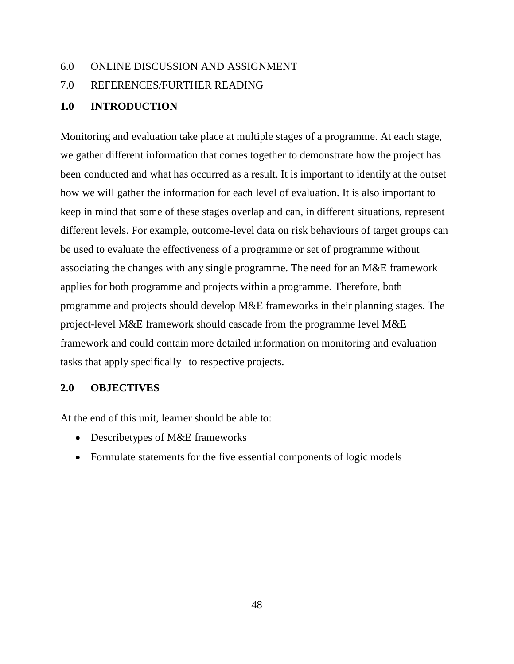#### 6.0 ONLINE DISCUSSION AND ASSIGNMENT

### 7.0 REFERENCES/FURTHER READING

### **1.0 INTRODUCTION**

Monitoring and evaluation take place at multiple stages of a programme. At each stage, we gather different information that comes together to demonstrate how the project has been conducted and what has occurred as a result. It is important to identify at the outset how we will gather the information for each level of evaluation. It is also important to keep in mind that some of these stages overlap and can, in different situations, represent different levels. For example, outcome-level data on risk behaviours of target groups can be used to evaluate the effectiveness of a programme or set of programme without associating the changes with any single programme. The need for an M&E framework applies for both programme and projects within a programme. Therefore, both programme and projects should develop M&E frameworks in their planning stages. The project-level M&E framework should cascade from the programme level M&E framework and could contain more detailed information on monitoring and evaluation tasks that apply specifically to respective projects.

#### **2.0 OBJECTIVES**

At the end of this unit, learner should be able to:

- Describetypes of M&E frameworks
- Formulate statements for the five essential components of logic models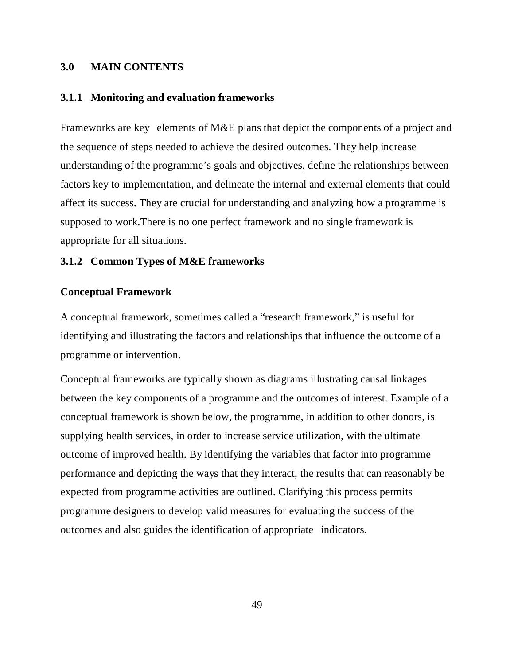#### **3.0 MAIN CONTENTS**

#### **3.1.1 Monitoring and evaluation frameworks**

Frameworks are key elements of M&E plans that depict the components of a project and the sequence of steps needed to achieve the desired outcomes. They help increase understanding of the programme's goals and objectives, define the relationships between factors key to implementation, and delineate the internal and external elements that could affect its success. They are crucial for understanding and analyzing how a programme is supposed to work.There is no one perfect framework and no single framework is appropriate for all situations.

#### **3.1.2 Common Types of M&E frameworks**

#### **Conceptual Framework**

A conceptual framework, sometimes called a "research framework," is useful for identifying and illustrating the factors and relationships that influence the outcome of a programme or intervention.

Conceptual frameworks are typically shown as diagrams illustrating causal linkages between the key components of a programme and the outcomes of interest. Example of a conceptual framework is shown below, the programme, in addition to other donors, is supplying health services, in order to increase service utilization, with the ultimate outcome of improved health. By identifying the variables that factor into programme performance and depicting the ways that they interact, the results that can reasonably be expected from programme activities are outlined. Clarifying this process permits programme designers to develop valid measures for evaluating the success of the outcomes and also guides the identification of appropriate" indicators.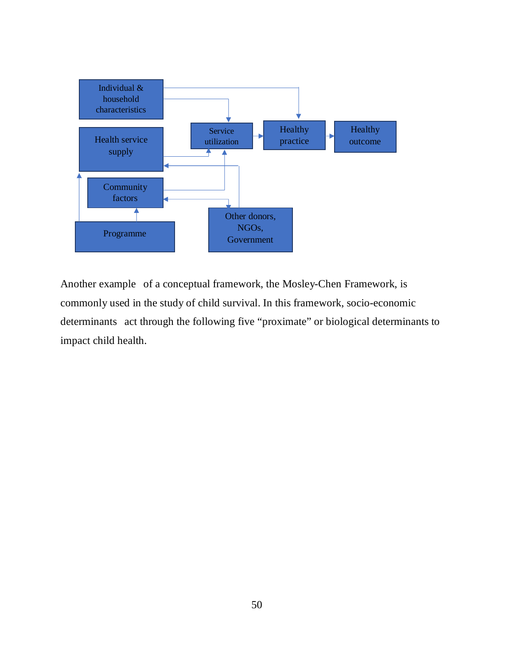

Another example of a conceptual framework, the Mosley-Chen Framework, is commonly used in the study of child survival. In this framework, socio-economic determinants act through the following five "proximate" or biological determinants to impact child health.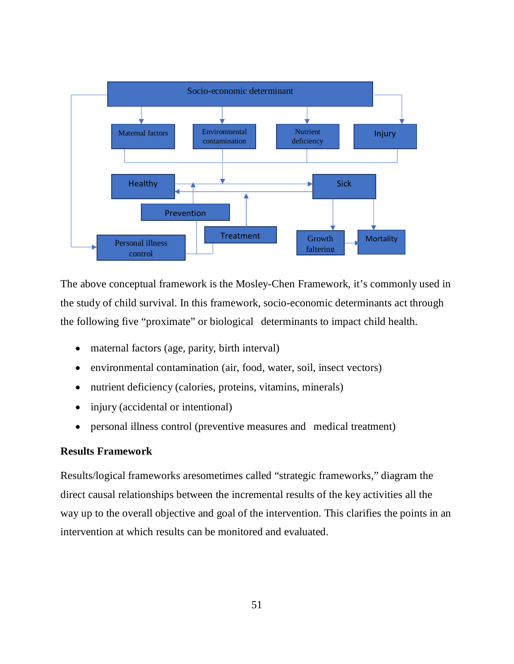

The above conceptual framework is the Mosley-Chen Framework, it's commonly used in the study of child survival. In this framework, socio-economic determinants act through the following five "proximate" or biological determinants to impact child health.

- maternal factors (age, parity, birth interval)
- environmental contamination (air, food, water, soil, insect vectors)
- nutrient deficiency (calories, proteins, vitamins, minerals)
- injury (accidental or intentional)
- personal illness control (preventive measures and medical treatment)

#### **Results Framework**

Results/logical frameworks aresometimes called "strategic frameworks," diagram the direct causal relationships between the incremental results of the key activities all the way up to the overall objective and goal of the intervention. This clarifies the points in an intervention at which results can be monitored and evaluated.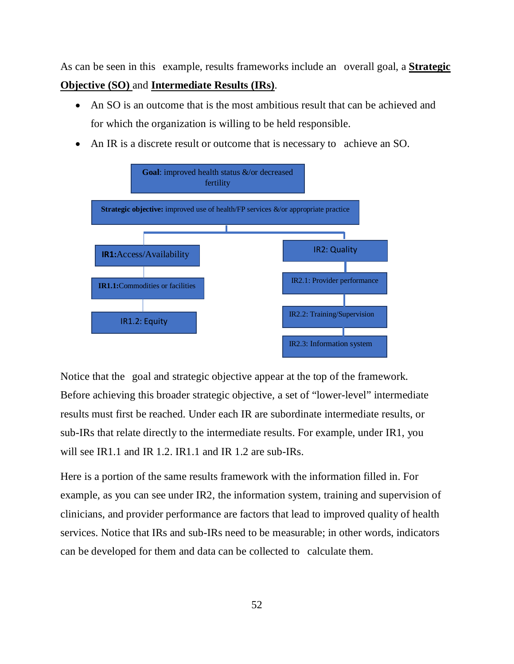As can be seen in this example, results frameworks include an overall goal, a **Strategic Objective (SO)** and **Intermediate Results (IRs)**.

- An SO is an outcome that is the most ambitious result that can be achieved and for which the organization is willing to be held responsible.
- An IR is a discrete result or outcome that is necessary to achieve an SO.



Notice that the goal and strategic objective appear at the top of the framework. Before achieving this broader strategic objective, a set of "lower-level" intermediate results must first be reached. Under each IR are subordinate intermediate results, or sub-IRs that relate directly to the intermediate results. For example, under IR1, you will see IR1.1 and IR 1.2. IR1.1 and IR 1.2 are sub-IRs.

Here is a portion of the same results framework with the information filled in. For example, as you can see under IR2, the information system, training and supervision of clinicians, and provider performance are factors that lead to improved quality of health services. Notice that IRs and sub-IRs need to be measurable; in other words, indicators can be developed for them and data can be collected to calculate them.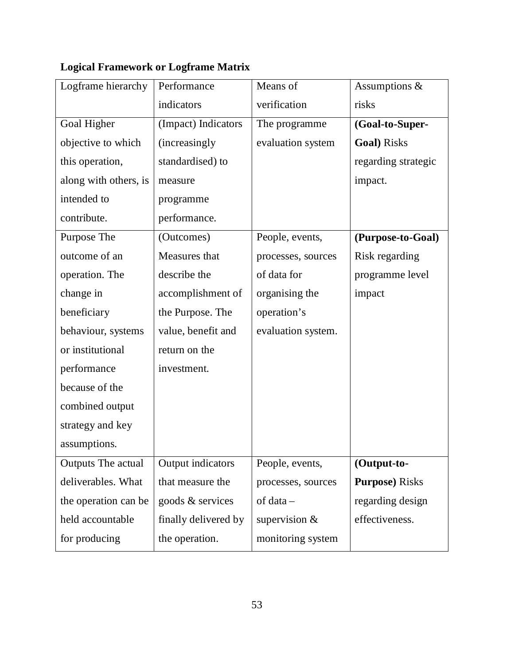| Logframe hierarchy    | Performance           | Means of           | Assumptions &          |
|-----------------------|-----------------------|--------------------|------------------------|
|                       | indicators            | verification       | risks                  |
| Goal Higher           | (Impact) Indicators   | The programme      | (Goal-to-Super-        |
| objective to which    | <i>(increasingly)</i> | evaluation system  | <b>Goal</b> ) Risks    |
| this operation,       | standardised) to      |                    | regarding strategic    |
| along with others, is | measure               |                    | impact.                |
| intended to           | programme             |                    |                        |
| contribute.           | performance.          |                    |                        |
| Purpose The           | (Outcomes)            | People, events,    | (Purpose-to-Goal)      |
| outcome of an         | Measures that         | processes, sources | Risk regarding         |
| operation. The        | describe the          | of data for        | programme level        |
| change in             | accomplishment of     | organising the     | impact                 |
| beneficiary           | the Purpose. The      | operation's        |                        |
| behaviour, systems    | value, benefit and    | evaluation system. |                        |
| or institutional      | return on the         |                    |                        |
| performance           | investment.           |                    |                        |
| because of the        |                       |                    |                        |
| combined output       |                       |                    |                        |
| strategy and key      |                       |                    |                        |
| assumptions.          |                       |                    |                        |
| Outputs The actual    | Output indicators     | People, events,    | (Output-to-            |
| deliverables. What    | that measure the      | processes, sources | <b>Purpose</b> ) Risks |
| the operation can be  | goods & services      | $of data -$        | regarding design       |
| held accountable      | finally delivered by  | supervision $&$    | effectiveness.         |
| for producing         | the operation.        | monitoring system  |                        |

# **Logical Framework or Logframe Matrix**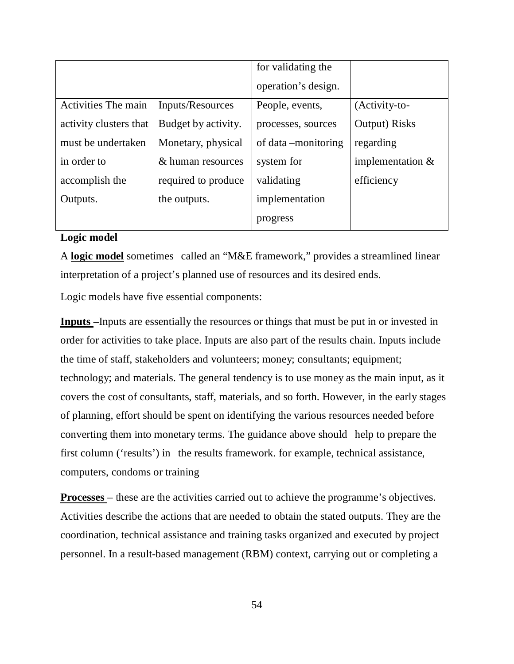|                        |                     | for validating the   |                    |
|------------------------|---------------------|----------------------|--------------------|
|                        |                     | operation's design.  |                    |
| Activities The main    | Inputs/Resources    | People, events,      | (Activity-to-      |
| activity clusters that | Budget by activity. | processes, sources   | Output) Risks      |
| must be undertaken     | Monetary, physical  | of data – monitoring | regarding          |
| in order to            | & human resources   | system for           | implementation $&$ |
| accomplish the         | required to produce | validating           | efficiency         |
| Outputs.               | the outputs.        | implementation       |                    |
|                        |                     | progress             |                    |

### **Logic model**

A **logic model** sometimes called an "M&E framework," provides a streamlined linear interpretation of a project's planned use of resources and its desired ends.

Logic models have five essential components:

**Inputs** –Inputs are essentially the resources or things that must be put in or invested in order for activities to take place. Inputs are also part of the results chain. Inputs include the time of staff, stakeholders and volunteers; money; consultants; equipment; technology; and materials. The general tendency is to use money as the main input, as it covers the cost of consultants, staff, materials, and so forth. However, in the early stages of planning, effort should be spent on identifying the various resources needed before converting them into monetary terms. The guidance above should" help to prepare the first column ('results') in the results framework. for example, technical assistance, computers, condoms or training

**Processes** – these are the activities carried out to achieve the programme's objectives. Activities describe the actions that are needed to obtain the stated outputs. They are the coordination, technical assistance and training tasks organized and executed by project personnel. In a result-based management (RBM) context, carrying out or completing a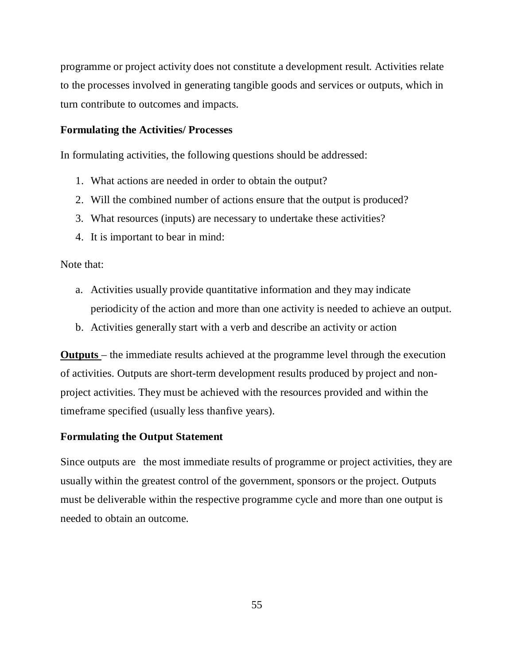programme or project activity does not constitute a development result. Activities relate to the processes involved in generating tangible goods and services or outputs, which in turn contribute to outcomes and impacts.

### **Formulating the Activities/ Processes**

In formulating activities, the following questions should be addressed:

- 1. What actions are needed in order to obtain the output?
- 2. Will the combined number of actions ensure that the output is produced?
- 3. What resources (inputs) are necessary to undertake these activities?
- 4. It is important to bear in mind:

Note that:

- a. Activities usually provide quantitative information and they may indicate periodicity of the action and more than one activity is needed to achieve an output.
- b. Activities generally start with a verb and describe an activity or action

**Outputs** – the immediate results achieved at the programme level through the execution of activities. Outputs are short-term development results produced by project and nonproject activities. They must be achieved with the resources provided and within the timeframe specified (usually less thanfive years).

#### **Formulating the Output Statement**

Since outputs are the most immediate results of programme or project activities, they are usually within the greatest control of the government, sponsors or the project. Outputs must be deliverable within the respective programme cycle and more than one output is needed to obtain an outcome.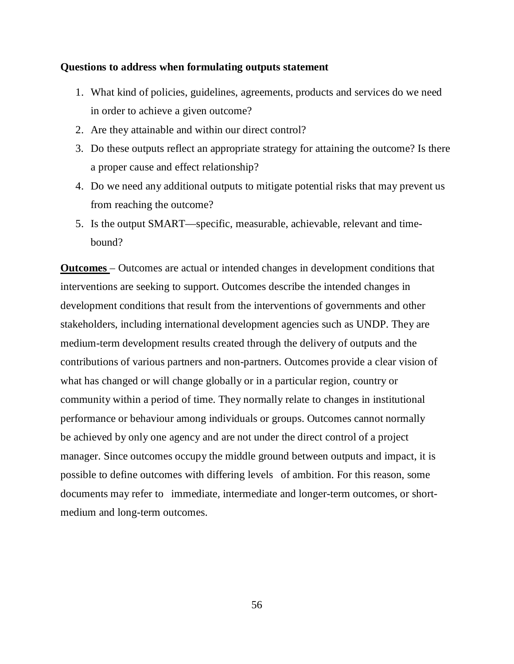#### **Questions to address when formulating outputs statement**

- 1. What kind of policies, guidelines, agreements, products and services do we need in order to achieve a given outcome?
- 2. Are they attainable and within our direct control?
- 3. Do these outputs reflect an appropriate strategy for attaining the outcome? Is there a proper cause and effect relationship?
- 4. Do we need any additional outputs to mitigate potential risks that may prevent us from reaching the outcome?
- 5. Is the output SMART—specific, measurable, achievable, relevant and timebound?

**Outcomes** – Outcomes are actual or intended changes in development conditions that interventions are seeking to support. Outcomes describe the intended changes in development conditions that result from the interventions of governments and other stakeholders, including international development agencies such as UNDP. They are medium-term development results created through the delivery of outputs and the contributions of various partners and non-partners. Outcomes provide a clear vision of what has changed or will change globally or in a particular region, country or community within a period of time. They normally relate to changes in institutional performance or behaviour among individuals or groups. Outcomes cannot normally be achieved by only one agency and are not under the direct control of a project manager. Since outcomes occupy the middle ground between outputs and impact, it is possible to define outcomes with differing levels" of ambition. For this reason, some documents may refer to immediate, intermediate and longer-term outcomes, or shortmedium and long-term outcomes.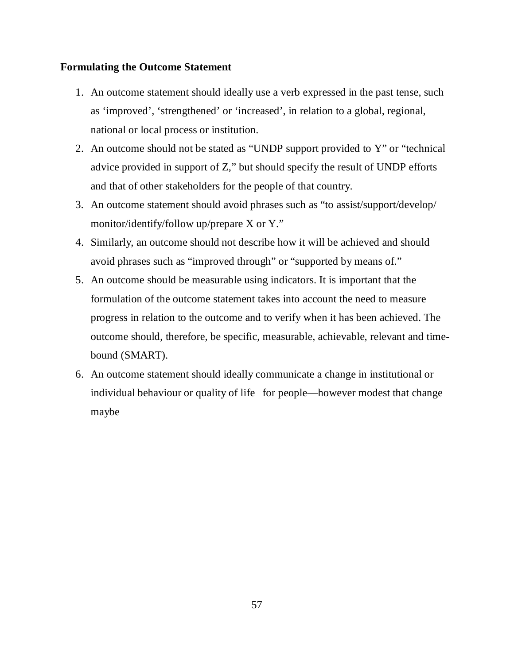## **Formulating the Outcome Statement**

- 1. An outcome statement should ideally use a verb expressed in the past tense, such as 'improved', 'strengthened' or 'increased', in relation to a global, regional, national or local process or institution.
- 2. An outcome should not be stated as "UNDP support provided to Y" or "technical advice provided in support of Z," but should specify the result of UNDP efforts and that of other stakeholders for the people of that country.
- 3. An outcome statement should avoid phrases such as "to assist/support/develop/ monitor/identify/follow up/prepare X or Y."
- 4. Similarly, an outcome should not describe how it will be achieved and should avoid phrases such as "improved through" or "supported by means of."
- 5. An outcome should be measurable using indicators. It is important that the formulation of the outcome statement takes into account the need to measure progress in relation to the outcome and to verify when it has been achieved. The outcome should, therefore, be specific, measurable, achievable, relevant and timebound (SMART).
- 6. An outcome statement should ideally communicate a change in institutional or individual behaviour or quality of life for people—however modest that change maybe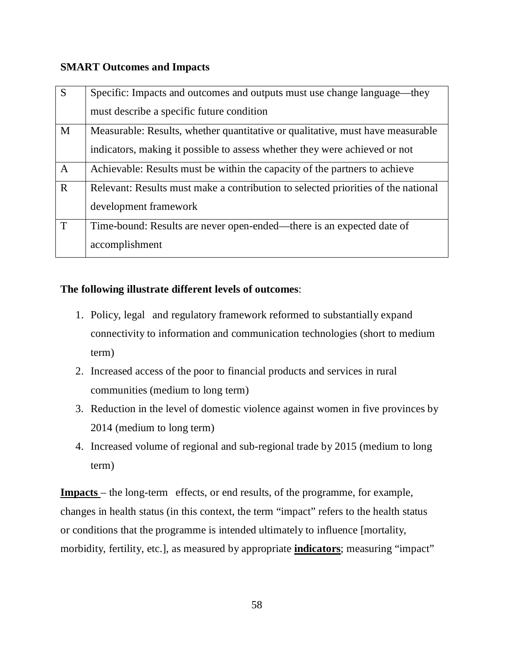## **SMART Outcomes and Impacts**

| $\overline{S}$ | Specific: Impacts and outcomes and outputs must use change language—they          |
|----------------|-----------------------------------------------------------------------------------|
|                | must describe a specific future condition                                         |
| M              | Measurable: Results, whether quantitative or qualitative, must have measurable    |
|                | indicators, making it possible to assess whether they were achieved or not        |
| $\mathbf{A}$   | Achievable: Results must be within the capacity of the partners to achieve        |
| $\mathbf R$    | Relevant: Results must make a contribution to selected priorities of the national |
|                | development framework                                                             |
| T              | Time-bound: Results are never open-ended—there is an expected date of             |
|                | accomplishment                                                                    |

## **The following illustrate different levels of outcomes**:

- 1. Policy, legal and regulatory framework reformed to substantially expand connectivity to information and communication technologies (short to medium term)
- 2. Increased access of the poor to financial products and services in rural communities (medium to long term)
- 3. Reduction in the level of domestic violence against women in five provinces by 2014 (medium to long term)
- 4. Increased volume of regional and sub-regional trade by 2015 (medium to long term)

**Impacts** – the long-term effects, or end results, of the programme, for example, changes in health status (in this context, the term "impact" refers to the health status or conditions that the programme is intended ultimately to influence [mortality, morbidity, fertility, etc.], as measured by appropriate **indicators**; measuring "impact"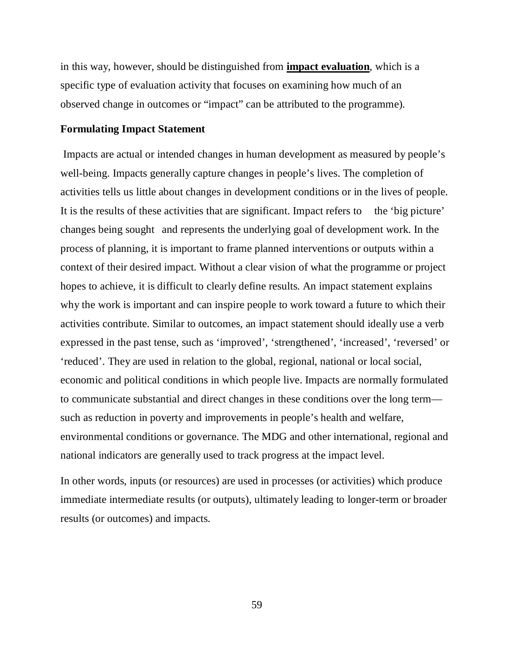in this way, however, should be distinguished from **impact evaluation**, which is a specific type of evaluation activity that focuses on examining how much of an observed change in outcomes or "impact" can be attributed to the programme).

### **Formulating Impact Statement**

 Impacts are actual or intended changes in human development as measured by people's well-being. Impacts generally capture changes in people's lives. The completion of activities tells us little about changes in development conditions or in the lives of people. It is the results of these activities that are significant. Impact refers to the 'big picture' changes being sought "and represents the underlying goal of development work. In the process of planning, it is important to frame planned interventions or outputs within a context of their desired impact. Without a clear vision of what the programme or project hopes to achieve, it is difficult to clearly define results. An impact statement explains why the work is important and can inspire people to work toward a future to which their activities contribute. Similar to outcomes, an impact statement should ideally use a verb expressed in the past tense, such as 'improved', 'strengthened', 'increased', 'reversed' or 'reduced'. They are used in relation to the global, regional, national or local social, economic and political conditions in which people live. Impacts are normally formulated to communicate substantial and direct changes in these conditions over the long term such as reduction in poverty and improvements in people's health and welfare, environmental conditions or governance. The MDG and other international, regional and national indicators are generally used to track progress at the impact level.

In other words, inputs (or resources) are used in processes (or activities) which produce immediate intermediate results (or outputs), ultimately leading to longer-term or broader results (or outcomes) and impacts.

59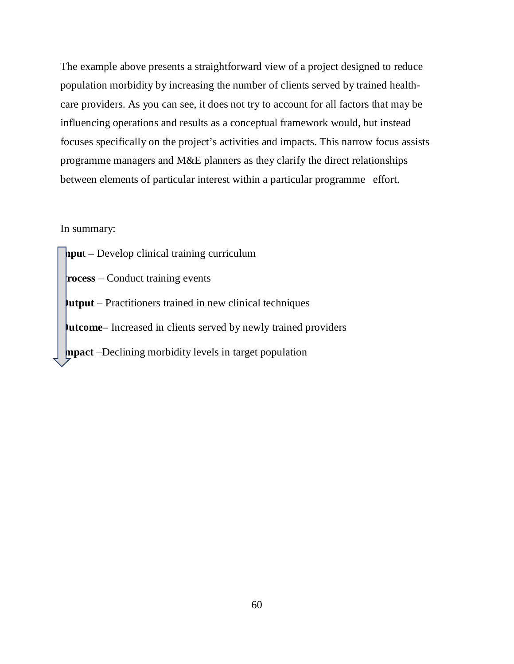The example above presents a straightforward view of a project designed to reduce population morbidity by increasing the number of clients served by trained healthcare providers. As you can see, it does not try to account for all factors that may be influencing operations and results as a conceptual framework would, but instead focuses specifically on the project's activities and impacts. This narrow focus assists programme managers and M&E planners as they clarify the direct relationships between elements of particular interest within a particular programme effort.

#### In summary:

**Inpu**t – Develop clinical training curriculum **Process** – Conduct training events **Output** – Practitioners trained in new clinical techniques **Outcome**– Increased in clients served by newly trained providers **Impact** –Declining morbidity levels in target population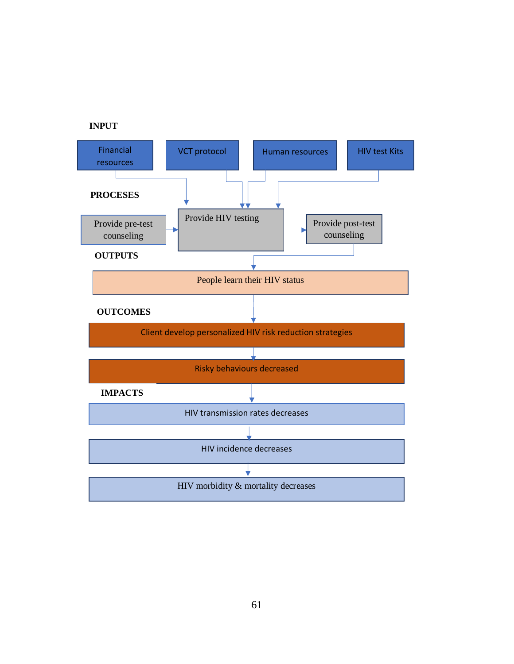

**INPUT**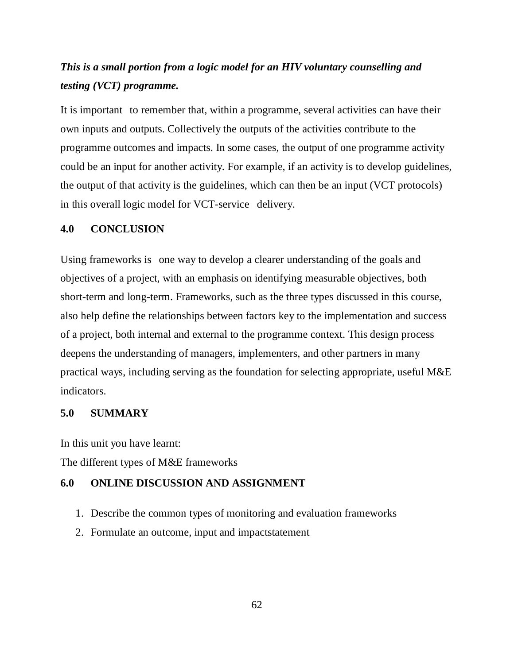# *This is a small portion from a logic model for an HIV voluntary counselling and testing (VCT) programme.*

It is important to remember that, within a programme, several activities can have their own inputs and outputs. Collectively the outputs of the activities contribute to the programme outcomes and impacts. In some cases, the output of one programme activity could be an input for another activity. For example, if an activity is to develop guidelines, the output of that activity is the guidelines, which can then be an input (VCT protocols) in this overall logic model for VCT-service" delivery.

#### **4.0 CONCLUSION**

Using frameworks is one way to develop a clearer understanding of the goals and objectives of a project, with an emphasis on identifying measurable objectives, both short-term and long-term. Frameworks, such as the three types discussed in this course, also help define the relationships between factors key to the implementation and success of a project, both internal and external to the programme context. This design process deepens the understanding of managers, implementers, and other partners in many practical ways, including serving as the foundation for selecting appropriate, useful M&E indicators.

#### **5.0 SUMMARY**

In this unit you have learnt:

The different types of M&E frameworks

### **6.0 ONLINE DISCUSSION AND ASSIGNMENT**

- 1. Describe the common types of monitoring and evaluation frameworks
- 2. Formulate an outcome, input and impactstatement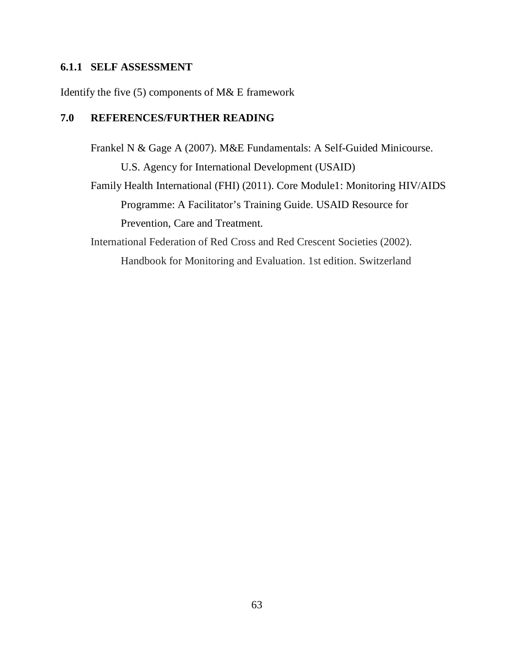## **6.1.1 SELF ASSESSMENT**

Identify the five (5) components of M& E framework

## **7.0 REFERENCES/FURTHER READING**

Frankel N & Gage A (2007). M&E Fundamentals: A Self-Guided Minicourse. U.S. Agency for International Development (USAID) Family Health International (FHI) (2011). Core Module1: Monitoring HIV/AIDS Programme: A Facilitator's Training Guide. USAID Resource for Prevention, Care and Treatment.

International Federation of Red Cross and Red Crescent Societies (2002). Handbook for Monitoring and Evaluation. 1st edition. Switzerland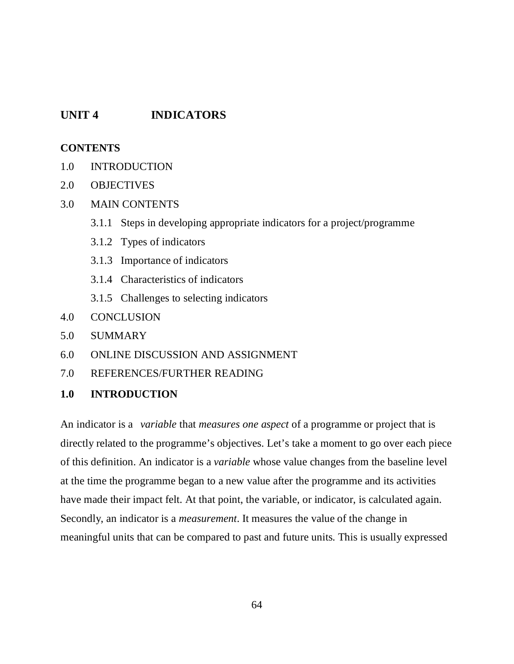## **UNIT 4 INDICATORS**

## **CONTENTS**

- 1.0 INTRODUCTION
- 2.0 OBJECTIVES
- 3.0 MAIN CONTENTS
	- 3.1.1 Steps in developing appropriate indicators for a project/programme
	- 3.1.2 Types of indicators
	- 3.1.3 Importance of indicators
	- 3.1.4 Characteristics of indicators
	- 3.1.5 Challenges to selecting indicators
- 4.0 CONCLUSION
- 5.0 SUMMARY
- 6.0 ONLINE DISCUSSION AND ASSIGNMENT
- 7.0 REFERENCES/FURTHER READING
- **1.0 INTRODUCTION**

An indicator is a "*variable* that *measures one aspect* of a programme or project that is directly related to the programme's objectives. Let's take a moment to go over each piece of this definition. An indicator is a *variable* whose value changes from the baseline level at the time the programme began to a new value after the programme and its activities have made their impact felt. At that point, the variable, or indicator, is calculated again. Secondly, an indicator is a *measurement*. It measures the value of the change in meaningful units that can be compared to past and future units. This is usually expressed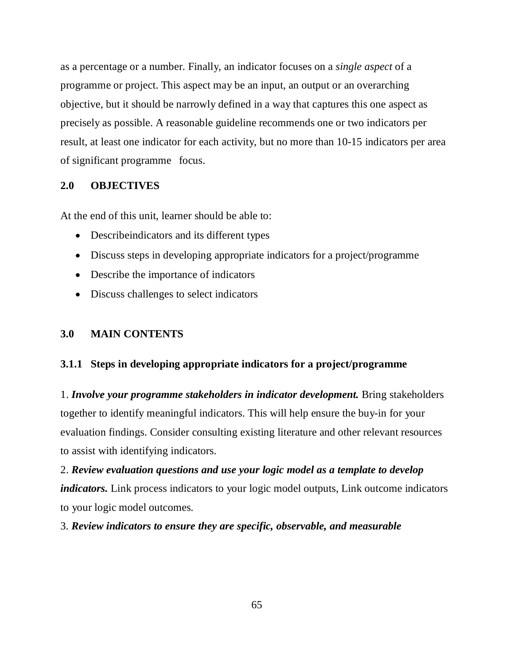as a percentage or a number. Finally, an indicator focuses on a *single aspect* of a programme or project. This aspect may be an input, an output or an overarching objective, but it should be narrowly defined in a way that captures this one aspect as precisely as possible. A reasonable guideline recommends one or two indicators per result, at least one indicator for each activity, but no more than 10-15 indicators per area of significant programme" focus.

## **2.0 OBJECTIVES**

At the end of this unit, learner should be able to:

- Describeindicators and its different types
- Discuss steps in developing appropriate indicators for a project/programme
- Describe the importance of indicators
- Discuss challenges to select indicators

### **3.0 MAIN CONTENTS**

### **3.1.1 Steps in developing appropriate indicators for a project/programme**

1. *Involve your programme stakeholders in indicator development.* Bring stakeholders together to identify meaningful indicators. This will help ensure the buy-in for your evaluation findings. Consider consulting existing literature and other relevant resources to assist with identifying indicators.

2. *Review evaluation questions and use your logic model as a template to develop indicators.* Link process indicators to your logic model outputs, Link outcome indicators to your logic model outcomes.

## 3. *Review indicators to ensure they are specific, observable, and measurable*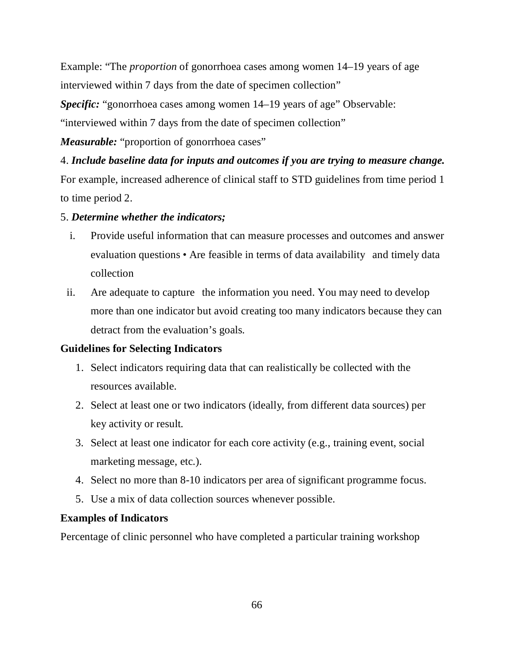Example: "The *proportion* of gonorrhoea cases among women 14–19 years of age interviewed within 7 days from the date of specimen collection"

*Specific:* "gonorrhoea cases among women 14–19 years of age" Observable:

"interviewed within 7 days from the date of specimen collection"

*Measurable:* "proportion of gonorrhoea cases"

## 4. *Include baseline data for inputs and outcomes if you are trying to measure change.*

For example, increased adherence of clinical staff to STD guidelines from time period 1 to time period 2.

## 5. *Determine whether the indicators;*

- i. Provide useful information that can measure processes and outcomes and answer evaluation questions • Are feasible in terms of data availability and timely data collection
- ii. Are adequate to capture the information you need. You may need to develop more than one indicator but avoid creating too many indicators because they can detract from the evaluation's goals.

## **Guidelines for Selecting Indicators**

- 1. Select indicators requiring data that can realistically be collected with the resources available.
- 2. Select at least one or two indicators (ideally, from different data sources) per key activity or result.
- 3. Select at least one indicator for each core activity (e.g., training event, social marketing message, etc.).
- 4. Select no more than 8-10 indicators per area of significant programme focus.
- 5. Use a mix of data collection sources whenever possible.

## **Examples of Indicators**

Percentage of clinic personnel who have completed a particular training workshop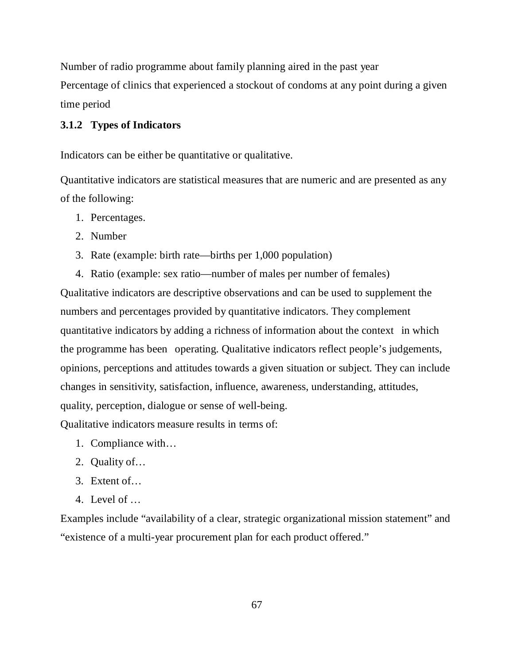Number of radio programme about family planning aired in the past year Percentage of clinics that experienced a stockout of condoms at any point during a given time period

### **3.1.2 Types of Indicators**

Indicators can be either be quantitative or qualitative.

Quantitative indicators are statistical measures that are numeric and are presented as any of the following:

- 1. Percentages.
- 2. Number
- 3. Rate (example: birth rate—births per 1,000 population)
- 4. Ratio (example: sex ratio—number of males per number of females)

Qualitative indicators are descriptive observations and can be used to supplement the numbers and percentages provided by quantitative indicators. They complement quantitative indicators by adding a richness of information about the context" in which the programme has been "operating. Qualitative indicators reflect people's judgements, opinions, perceptions and attitudes towards a given situation or subject. They can include changes in sensitivity, satisfaction, influence, awareness, understanding, attitudes, quality, perception, dialogue or sense of well-being.

Qualitative indicators measure results in terms of:

- 1. Compliance with…
- 2. Quality of…
- 3. Extent of…
- 4. Level of …

Examples include "availability of a clear, strategic organizational mission statement" and "existence of a multi-year procurement plan for each product offered."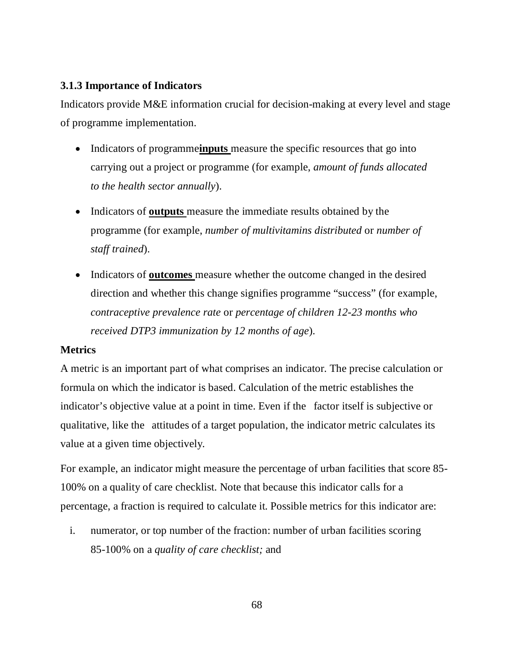## **3.1.3 Importance of Indicators**

Indicators provide M&E information crucial for decision-making at every level and stage of programme implementation.

- Indicators of programmeinputs measure the specific resources that go into carrying out a project or programme (for example, *amount of funds allocated to the health sector annually*).
- Indicators of **outputs** measure the immediate results obtained by the programme (for example, *number of multivitamins distributed* or *number of staff trained*).
- Indicators of **outcomes** measure whether the outcome changed in the desired direction and whether this change signifies programme "success" (for example, *contraceptive prevalence rate* or *percentage of children 12-23 months who received DTP3 immunization by 12 months of age*).

## **Metrics**

A metric is an important part of what comprises an indicator. The precise calculation or formula on which the indicator is based. Calculation of the metric establishes the indicator's objective value at a point in time. Even if the factor itself is subjective or qualitative, like the "attitudes of a target population, the indicator metric calculates its value at a given time objectively.

For example, an indicator might measure the percentage of urban facilities that score 85- 100% on a quality of care checklist. Note that because this indicator calls for a percentage, a fraction is required to calculate it. Possible metrics for this indicator are:

i. numerator, or top number of the fraction: number of urban facilities scoring 85-100% on a *quality of care checklist;* and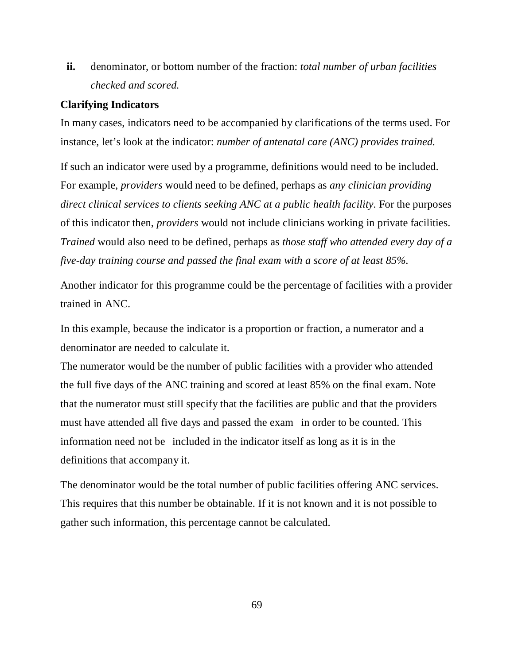**ii.** denominator, or bottom number of the fraction: *total number of urban facilities checked and scored.*

#### **Clarifying Indicators**

In many cases, indicators need to be accompanied by clarifications of the terms used. For instance, let's look at the indicator: *number of antenatal care (ANC) provides trained.* 

If such an indicator were used by a programme, definitions would need to be included. For example, *providers* would need to be defined, perhaps as *any clinician providing direct clinical services to clients seeking ANC at a public health facility*. For the purposes of this indicator then, *providers* would not include clinicians working in private facilities. *Trained* would also need to be defined, perhaps as *those staff who attended every day of a five-day training course and passed the final exam with a score of at least 85%*.

Another indicator for this programme could be the percentage of facilities with a provider trained in ANC.

In this example, because the indicator is a proportion or fraction, a numerator and a denominator are needed to calculate it.

The numerator would be the number of public facilities with a provider who attended the full five days of the ANC training and scored at least 85% on the final exam. Note that the numerator must still specify that the facilities are public and that the providers must have attended all five days and passed the exam in order to be counted. This information need not be "included in the indicator itself as long as it is in the definitions that accompany it.

The denominator would be the total number of public facilities offering ANC services. This requires that this number be obtainable. If it is not known and it is not possible to gather such information, this percentage cannot be calculated.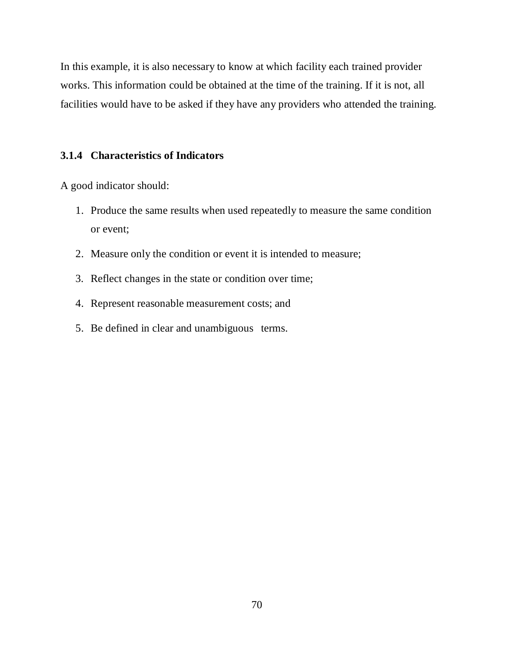In this example, it is also necessary to know at which facility each trained provider works. This information could be obtained at the time of the training. If it is not, all facilities would have to be asked if they have any providers who attended the training.

### **3.1.4 Characteristics of Indicators**

A good indicator should:

- 1. Produce the same results when used repeatedly to measure the same condition or event;
- 2. Measure only the condition or event it is intended to measure;
- 3. Reflect changes in the state or condition over time;
- 4. Represent reasonable measurement costs; and
- 5. Be defined in clear and unambiguous terms.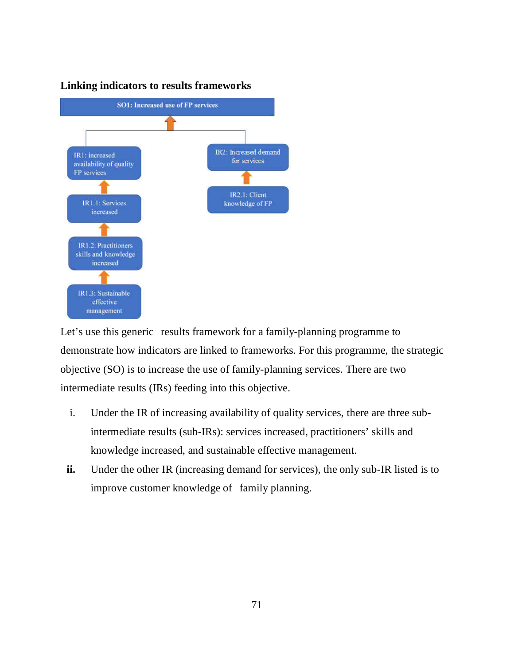



Let's use this generic results framework for a family-planning programme to demonstrate how indicators are linked to frameworks. For this programme, the strategic objective (SO) is to increase the use of family-planning services. There are two intermediate results (IRs) feeding into this objective.

- i. Under the IR of increasing availability of quality services, there are three subintermediate results (sub-IRs): services increased, practitioners' skills and knowledge increased, and sustainable effective management.
- **ii.** Under the other IR (increasing demand for services), the only sub-IR listed is to improve customer knowledge of family planning.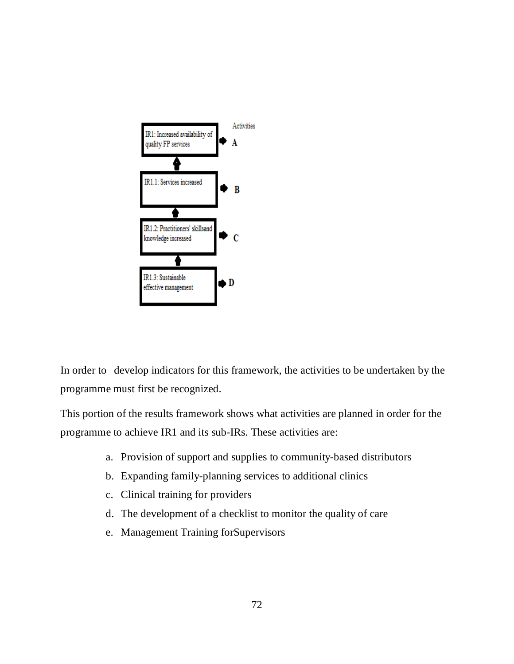

In order to develop indicators for this framework, the activities to be undertaken by the programme must first be recognized.

This portion of the results framework shows what activities are planned in order for the programme to achieve IR1 and its sub-IRs. These activities are:

- a. Provision of support and supplies to community-based distributors
- b. Expanding family-planning services to additional clinics
- c. Clinical training for providers
- d. The development of a checklist to monitor the quality of care
- e. Management Training forSupervisors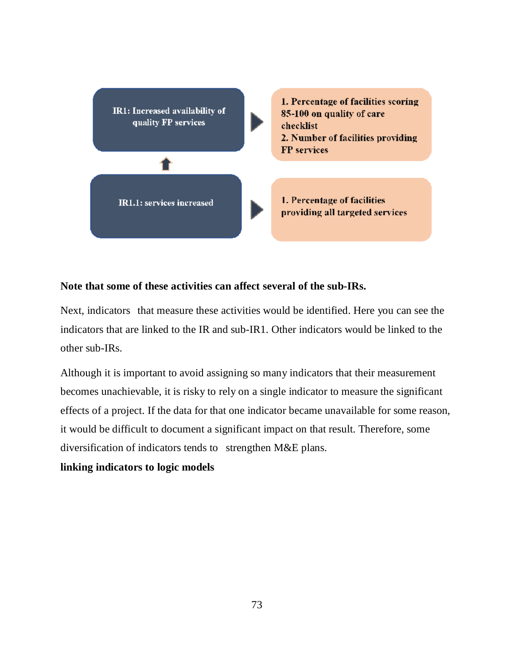

## **Note that some of these activities can affect several of the sub-IRs.**

Next, indicators that measure these activities would be identified. Here you can see the indicators that are linked to the IR and sub-IR1. Other indicators would be linked to the other sub-IRs.

Although it is important to avoid assigning so many indicators that their measurement becomes unachievable, it is risky to rely on a single indicator to measure the significant effects of a project. If the data for that one indicator became unavailable for some reason, it would be difficult to document a significant impact on that result. Therefore, some diversification of indicators tends to strengthen M&E plans.

## **linking indicators to logic models**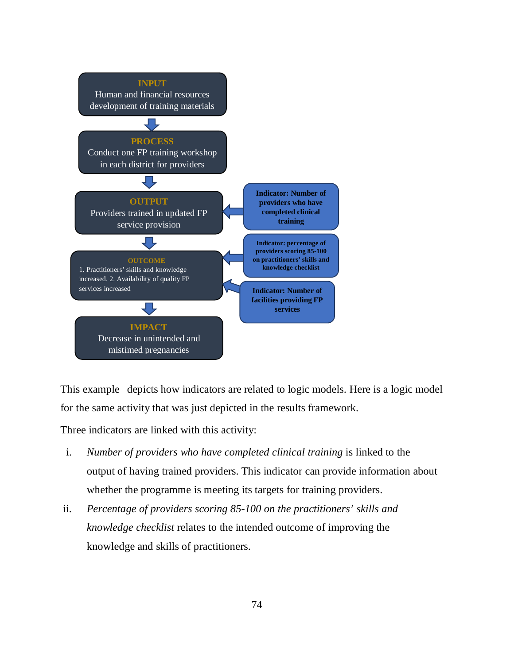

This example depicts how indicators are related to logic models. Here is a logic model for the same activity that was just depicted in the results framework.

Three indicators are linked with this activity:

- i. *Number of providers who have completed clinical training* is linked to the output of having trained providers. This indicator can provide information about whether the programme is meeting its targets for training providers.
- ii. *Percentage of providers scoring 85-100 on the practitioners' skills and knowledge checklist* relates to the intended outcome of improving the knowledge and skills of practitioners.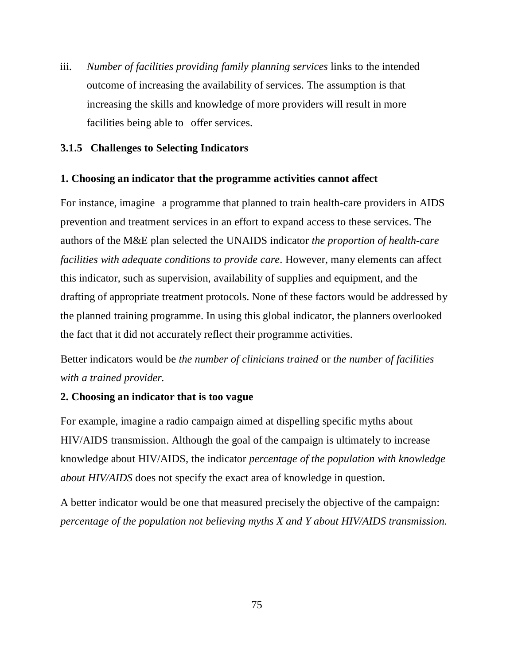iii. *Number of facilities providing family planning services* links to the intended outcome of increasing the availability of services. The assumption is that increasing the skills and knowledge of more providers will result in more facilities being able to offer services.

## **3.1.5 Challenges to Selecting Indicators**

## **1. Choosing an indicator that the programme activities cannot affect**

For instance, imagine a programme that planned to train health-care providers in AIDS prevention and treatment services in an effort to expand access to these services. The authors of the M&E plan selected the UNAIDS indicator *the proportion of health-care facilities with adequate conditions to provide care*. However, many elements can affect this indicator, such as supervision, availability of supplies and equipment, and the drafting of appropriate treatment protocols. None of these factors would be addressed by the planned training programme. In using this global indicator, the planners overlooked the fact that it did not accurately reflect their programme activities.

Better indicators would be *the number of clinicians trained* or *the number of facilities with a trained provider.*

## **2. Choosing an indicator that is too vague**

For example, imagine a radio campaign aimed at dispelling specific myths about HIV/AIDS transmission. Although the goal of the campaign is ultimately to increase knowledge about HIV/AIDS, the indicator *percentage of the population with knowledge about HIV/AIDS* does not specify the exact area of knowledge in question.

A better indicator would be one that measured precisely the objective of the campaign: *percentage of the population not believing myths X and Y about HIV/AIDS transmission.*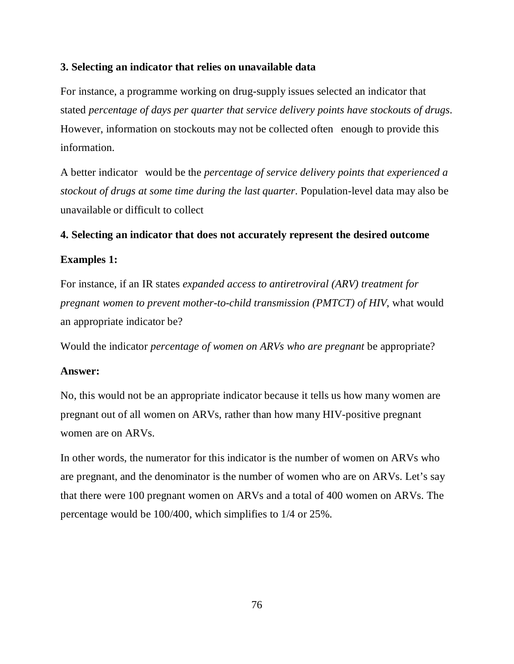### **3. Selecting an indicator that relies on unavailable data**

For instance, a programme working on drug-supply issues selected an indicator that stated *percentage of days per quarter that service delivery points have stockouts of drugs*. However, information on stockouts may not be collected often enough to provide this information.

A better indicator "would be the *percentage of service delivery points that experienced a stockout of drugs at some time during the last quarter*. Population-level data may also be unavailable or difficult to collect

#### **4. Selecting an indicator that does not accurately represent the desired outcome**

#### **Examples 1:**

For instance, if an IR states *expanded access to antiretroviral (ARV) treatment for pregnant women to prevent mother-to-child transmission (PMTCT) of HIV*, what would an appropriate indicator be?

Would the indicator *percentage of women on ARVs who are pregnant* be appropriate?

#### **Answer:**

No, this would not be an appropriate indicator because it tells us how many women are pregnant out of all women on ARVs, rather than how many HIV-positive pregnant women are on ARVs.

In other words, the numerator for this indicator is the number of women on ARVs who are pregnant, and the denominator is the number of women who are on ARVs. Let's say that there were 100 pregnant women on ARVs and a total of 400 women on ARVs. The percentage would be 100/400, which simplifies to 1/4 or 25%.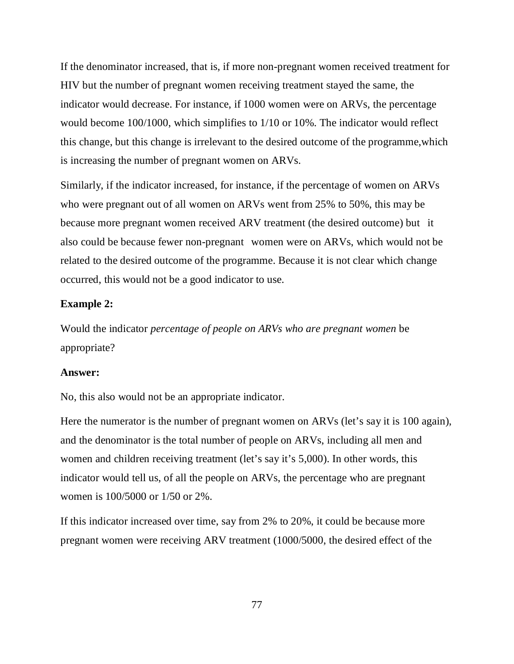If the denominator increased, that is, if more non-pregnant women received treatment for HIV but the number of pregnant women receiving treatment stayed the same, the indicator would decrease. For instance, if 1000 women were on ARVs, the percentage would become 100/1000, which simplifies to 1/10 or 10%. The indicator would reflect this change, but this change is irrelevant to the desired outcome of the programme,which is increasing the number of pregnant women on ARVs.

Similarly, if the indicator increased, for instance, if the percentage of women on ARVs who were pregnant out of all women on ARVs went from 25% to 50%, this may be because more pregnant women received ARV treatment (the desired outcome) but it also could be because fewer non-pregnant "women were on ARVs, which would not be related to the desired outcome of the programme. Because it is not clear which change occurred, this would not be a good indicator to use.

## **Example 2:**

Would the indicator *percentage of people on ARVs who are pregnant women* be appropriate?

#### **Answer:**

No, this also would not be an appropriate indicator.

Here the numerator is the number of pregnant women on ARVs (let's say it is 100 again), and the denominator is the total number of people on ARVs, including all men and women and children receiving treatment (let's say it's 5,000). In other words, this indicator would tell us, of all the people on ARVs, the percentage who are pregnant women is 100/5000 or 1/50 or 2%.

If this indicator increased over time, say from 2% to 20%, it could be because more pregnant women were receiving ARV treatment (1000/5000, the desired effect of the

77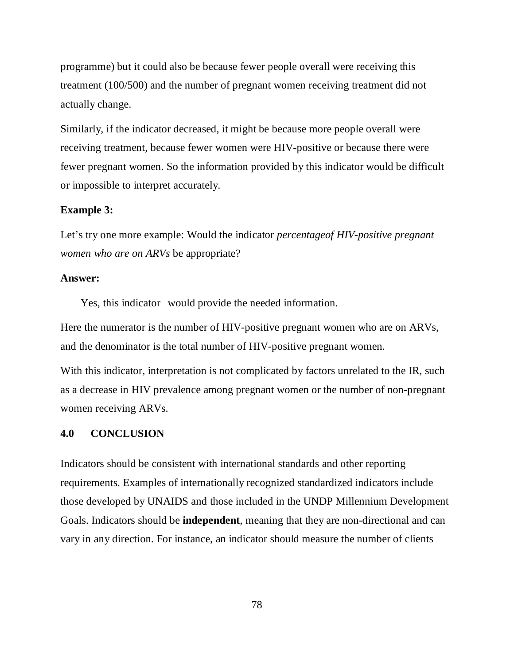programme) but it could also be because fewer people overall were receiving this treatment (100/500) and the number of pregnant women receiving treatment did not actually change.

Similarly, if the indicator decreased, it might be because more people overall were receiving treatment, because fewer women were HIV-positive or because there were fewer pregnant women. So the information provided by this indicator would be difficult or impossible to interpret accurately.

#### **Example 3:**

Let's try one more example: Would the indicator *percentageof HIV-positive pregnant women who are on ARVs* be appropriate?

#### **Answer:**

Yes, this indicator would provide the needed information.

Here the numerator is the number of HIV-positive pregnant women who are on ARVs, and the denominator is the total number of HIV-positive pregnant women.

With this indicator, interpretation is not complicated by factors unrelated to the IR, such as a decrease in HIV prevalence among pregnant women or the number of non-pregnant women receiving ARVs.

#### **4.0 CONCLUSION**

Indicators should be consistent with international standards and other reporting requirements. Examples of internationally recognized standardized indicators include those developed by UNAIDS and those included in the UNDP Millennium Development Goals. Indicators should be **independent**, meaning that they are non-directional and can vary in any direction. For instance, an indicator should measure the number of clients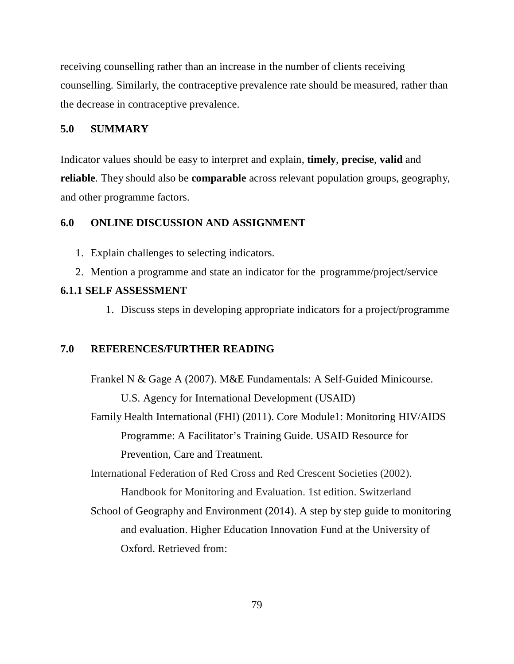receiving counselling rather than an increase in the number of clients receiving counselling. Similarly, the contraceptive prevalence rate should be measured, rather than the decrease in contraceptive prevalence.

### **5.0 SUMMARY**

Indicator values should be easy to interpret and explain, **timely**, **precise**, **valid** and **reliable**. They should also be **comparable** across relevant population groups, geography, and other programme factors.

## **6.0 ONLINE DISCUSSION AND ASSIGNMENT**

- 1. Explain challenges to selecting indicators.
- 2. Mention a programme and state an indicator for the programme/project/service

## **6.1.1 SELF ASSESSMENT**

1. Discuss steps in developing appropriate indicators for a project/programme

## **7.0 REFERENCES/FURTHER READING**

Frankel N & Gage A (2007). M&E Fundamentals: A Self-Guided Minicourse. U.S. Agency for International Development (USAID) Family Health International (FHI) (2011). Core Module1: Monitoring HIV/AIDS Programme: A Facilitator's Training Guide. USAID Resource for Prevention, Care and Treatment. International Federation of Red Cross and Red Crescent Societies (2002). Handbook for Monitoring and Evaluation. 1st edition. Switzerland School of Geography and Environment (2014). A step by step guide to monitoring and evaluation. Higher Education Innovation Fund at the University of Oxford. Retrieved from: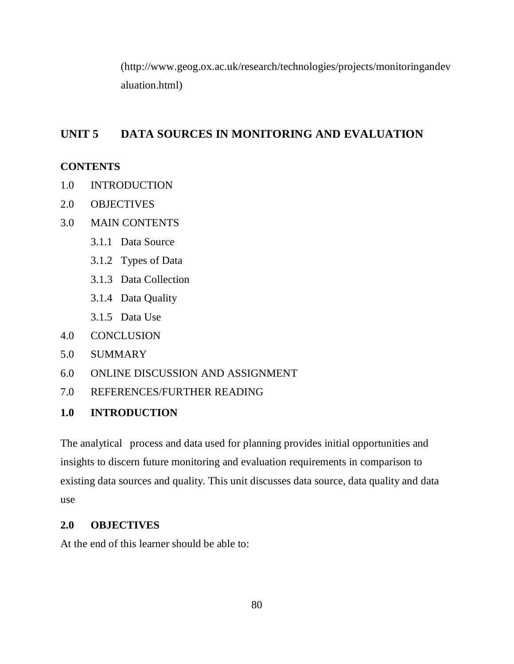(http://www.geog.ox.ac.uk/research/technologies/projects/monitoringandev aluation.html)

## **UNIT 5 DATA SOURCES IN MONITORING AND EVALUATION**

## **CONTENTS**

- 1.0 INTRODUCTION
- 2.0 OBJECTIVES
- 3.0 MAIN CONTENTS
	- 3.1.1 Data Source
	- 3.1.2 Types of Data
	- 3.1.3 Data Collection
	- 3.1.4 Data Quality
	- 3.1.5 Data Use
- 4.0 CONCLUSION
- 5.0 SUMMARY
- 6.0 ONLINE DISCUSSION AND ASSIGNMENT
- 7.0 REFERENCES/FURTHER READING

## **1.0 INTRODUCTION**

The analytical process and data used for planning provides initial opportunities and insights to discern future monitoring and evaluation requirements in comparison to existing data sources and quality. This unit discusses data source, data quality and data use

## **2.0 OBJECTIVES**

At the end of this learner should be able to: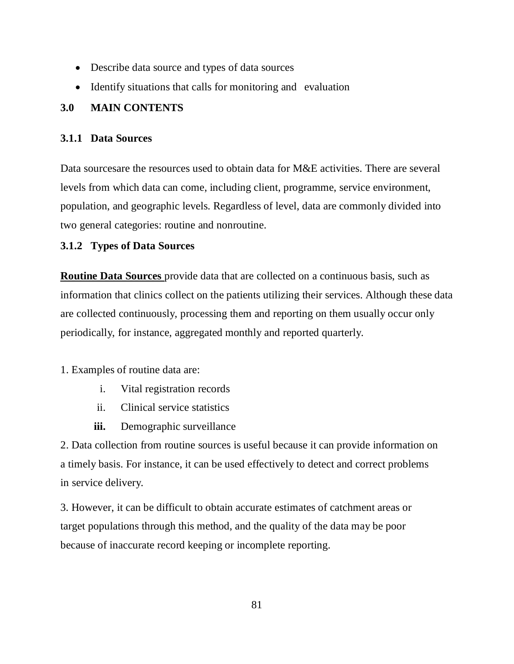- Describe data source and types of data sources
- Identify situations that calls for monitoring and evaluation

## **3.0 MAIN CONTENTS**

## **3.1.1 Data Sources**

Data sourcesare the resources used to obtain data for M&E activities. There are several levels from which data can come, including client, programme, service environment, population, and geographic levels. Regardless of level, data are commonly divided into two general categories: routine and nonroutine.

## **3.1.2 Types of Data Sources**

**Routine Data Sources** provide data that are collected on a continuous basis, such as information that clinics collect on the patients utilizing their services. Although these data are collected continuously, processing them and reporting on them usually occur only periodically, for instance, aggregated monthly and reported quarterly.

1. Examples of routine data are:

- i. Vital registration records
- ii. Clinical service statistics
- **iii.** Demographic surveillance

2. Data collection from routine sources is useful because it can provide information on a timely basis. For instance, it can be used effectively to detect and correct problems in service delivery.

3. However, it can be difficult to obtain accurate estimates of catchment areas or target populations through this method, and the quality of the data may be poor because of inaccurate record keeping or incomplete reporting.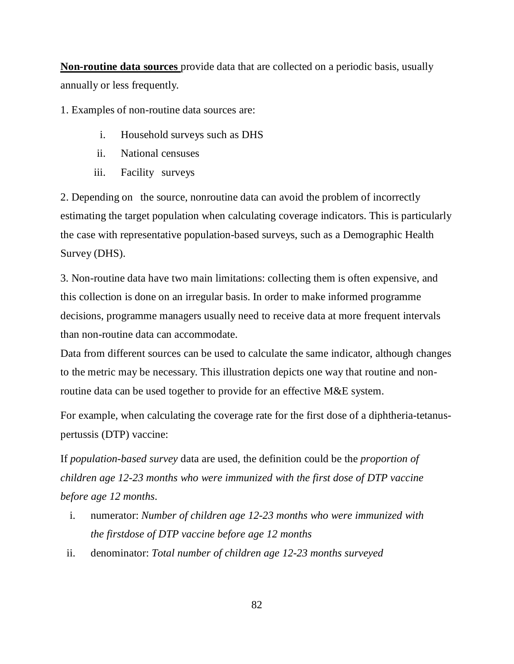**Non-routine data sources** provide data that are collected on a periodic basis, usually annually or less frequently.

1. Examples of non-routine data sources are:

- i. Household surveys such as DHS
- ii. National censuses
- iii. Facility surveys

2. Depending on the source, nonroutine data can avoid the problem of incorrectly estimating the target population when calculating coverage indicators. This is particularly the case with representative population-based surveys, such as a Demographic Health Survey (DHS).

3. Non-routine data have two main limitations: collecting them is often expensive, and this collection is done on an irregular basis. In order to make informed programme decisions, programme managers usually need to receive data at more frequent intervals than non-routine data can accommodate.

Data from different sources can be used to calculate the same indicator, although changes to the metric may be necessary. This illustration depicts one way that routine and nonroutine data can be used together to provide for an effective M&E system.

For example, when calculating the coverage rate for the first dose of a diphtheria-tetanuspertussis (DTP) vaccine:

If *population-based survey* data are used, the definition could be the *proportion of children age 12-23 months who were immunized with the first dose of DTP vaccine before age 12 months*.

- i. numerator: *Number of children age 12-23 months who were immunized with the firstdose of DTP vaccine before age 12 months*
- ii. denominator: *Total number of children age 12-23 months surveyed*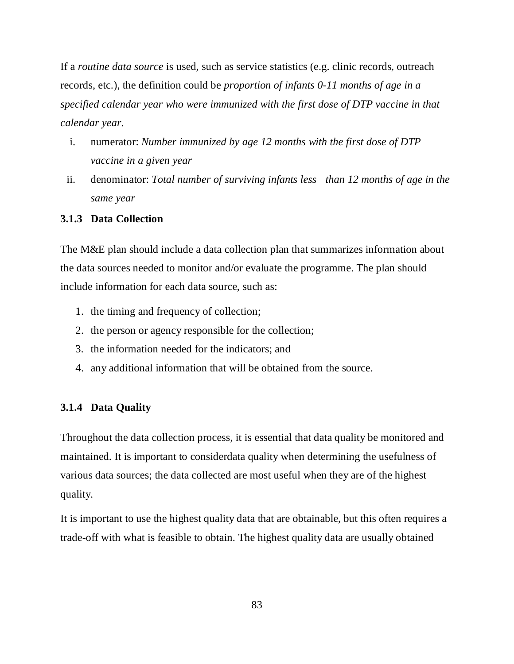If a *routine data source* is used, such as service statistics (e.g. clinic records, outreach records, etc.), the definition could be *proportion of infants 0-11 months of age in a specified calendar year who were immunized with the first dose of DTP vaccine in that calendar year*.

- i. numerator: *Number immunized by age 12 months with the first dose of DTP vaccine in a given year*
- ii. denominator: *Total number of surviving infants less" than 12 months of age in the same year*

## **3.1.3 Data Collection**

The M&E plan should include a data collection plan that summarizes information about the data sources needed to monitor and/or evaluate the programme. The plan should include information for each data source, such as:

- 1. the timing and frequency of collection;
- 2. the person or agency responsible for the collection;
- 3. the information needed for the indicators; and
- 4. any additional information that will be obtained from the source.

## **3.1.4 Data Quality**

Throughout the data collection process, it is essential that data quality be monitored and maintained. It is important to considerdata quality when determining the usefulness of various data sources; the data collected are most useful when they are of the highest quality.

It is important to use the highest quality data that are obtainable, but this often requires a trade-off with what is feasible to obtain. The highest quality data are usually obtained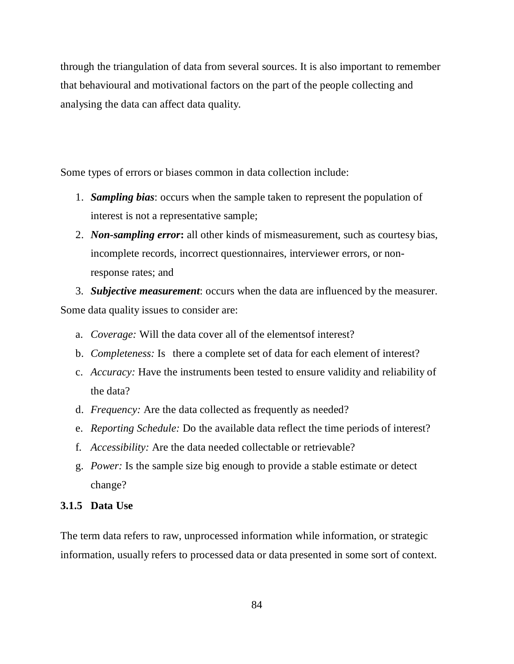through the triangulation of data from several sources. It is also important to remember that behavioural and motivational factors on the part of the people collecting and analysing the data can affect data quality.

Some types of errors or biases common in data collection include:

- 1. *Sampling bias*: occurs when the sample taken to represent the population of interest is not a representative sample;
- 2. *Non-sampling error***:** all other kinds of mismeasurement, such as courtesy bias, incomplete records, incorrect questionnaires, interviewer errors, or nonresponse rates; and

3. *Subjective measurement*: occurs when the data are influenced by the measurer. Some data quality issues to consider are:

- a. *Coverage:* Will the data cover all of the elementsof interest?
- b. *Completeness:* Is there a complete set of data for each element of interest?
- c. *Accuracy:* Have the instruments been tested to ensure validity and reliability of the data?
- d. *Frequency:* Are the data collected as frequently as needed?
- e. *Reporting Schedule:* Do the available data reflect the time periods of interest?
- f. *Accessibility:* Are the data needed collectable or retrievable?
- g. *Power:* Is the sample size big enough to provide a stable estimate or detect change?

## **3.1.5 Data Use**

The term data refers to raw, unprocessed information while information, or strategic information, usually refers to processed data or data presented in some sort of context.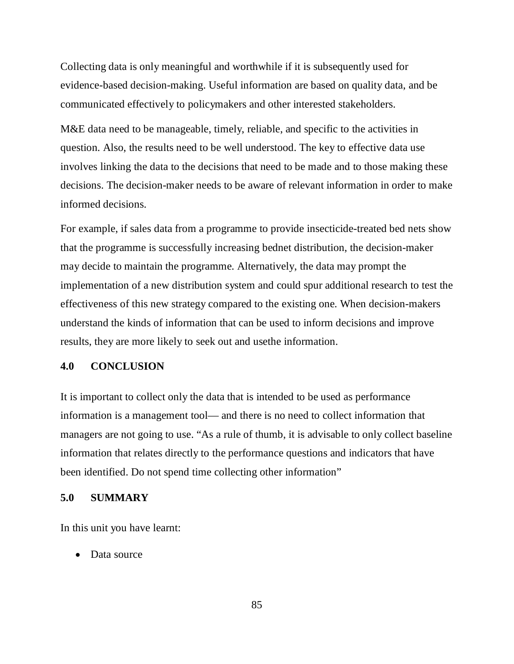Collecting data is only meaningful and worthwhile if it is subsequently used for evidence-based decision-making. Useful information are based on quality data, and be communicated effectively to policymakers and other interested stakeholders.

M&E data need to be manageable, timely, reliable, and specific to the activities in question. Also, the results need to be well understood. The key to effective data use involves linking the data to the decisions that need to be made and to those making these decisions. The decision-maker needs to be aware of relevant information in order to make informed decisions.

For example, if sales data from a programme to provide insecticide-treated bed nets show that the programme is successfully increasing bednet distribution, the decision-maker may decide to maintain the programme. Alternatively, the data may prompt the implementation of a new distribution system and could spur additional research to test the effectiveness of this new strategy compared to the existing one. When decision-makers understand the kinds of information that can be used to inform decisions and improve results, they are more likely to seek out and usethe information.

#### **4.0 CONCLUSION**

It is important to collect only the data that is intended to be used as performance information is a management tool— and there is no need to collect information that managers are not going to use. "As a rule of thumb, it is advisable to only collect baseline information that relates directly to the performance questions and indicators that have been identified. Do not spend time collecting other information"

### **5.0 SUMMARY**

In this unit you have learnt:

• Data source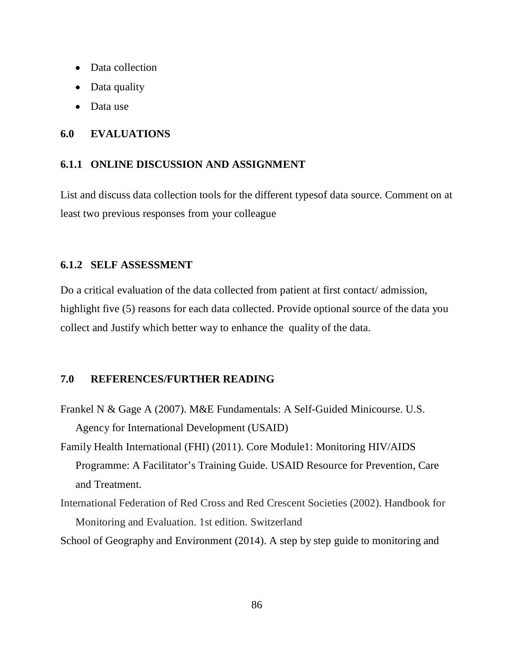- Data collection
- Data quality
- Data use

### **6.0 EVALUATIONS**

#### **6.1.1 ONLINE DISCUSSION AND ASSIGNMENT**

List and discuss data collection tools for the different typesof data source. Comment on at least two previous responses from your colleague

### **6.1.2 SELF ASSESSMENT**

Do a critical evaluation of the data collected from patient at first contact/ admission, highlight five (5) reasons for each data collected. Provide optional source of the data you collect and Justify which better way to enhance the quality of the data.

## **7.0 REFERENCES/FURTHER READING**

- Frankel N & Gage A (2007). M&E Fundamentals: A Self-Guided Minicourse. U.S. Agency for International Development (USAID)
- Family Health International (FHI) (2011). Core Module1: Monitoring HIV/AIDS Programme: A Facilitator's Training Guide. USAID Resource for Prevention, Care and Treatment.
- International Federation of Red Cross and Red Crescent Societies (2002). Handbook for Monitoring and Evaluation. 1st edition. Switzerland

School of Geography and Environment (2014). A step by step guide to monitoring and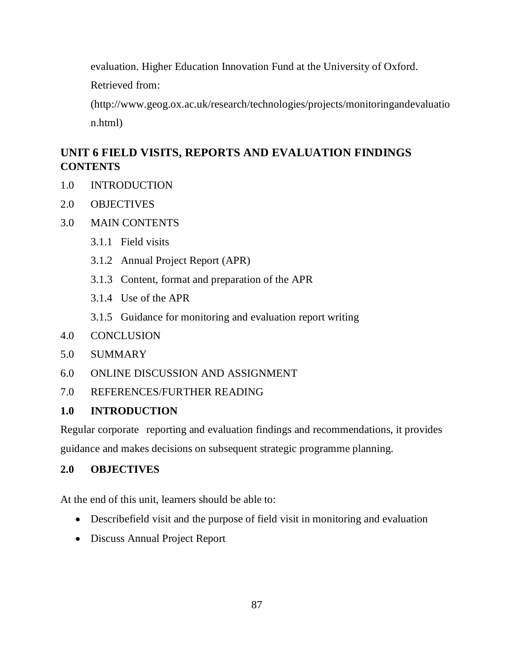evaluation. Higher Education Innovation Fund at the University of Oxford.

Retrieved from:

(http://www.geog.ox.ac.uk/research/technologies/projects/monitoringandevaluatio n.html)

# **UNIT 6 FIELD VISITS, REPORTS AND EVALUATION FINDINGS CONTENTS**

- 1.0 INTRODUCTION
- 2.0 OBJECTIVES
- 3.0 MAIN CONTENTS
	- 3.1.1 Field visits
	- 3.1.2 Annual Project Report (APR)
	- 3.1.3 Content, format and preparation of the APR
	- 3.1.4 Use of the APR
	- 3.1.5 Guidance for monitoring and evaluation report writing
- 4.0 CONCLUSION
- 5.0 SUMMARY
- 6.0 ONLINE DISCUSSION AND ASSIGNMENT
- 7.0 REFERENCES/FURTHER READING

## **1.0 INTRODUCTION**

Regular corporate reporting and evaluation findings and recommendations, it provides guidance and makes decisions on subsequent strategic programme planning.

# **2.0 OBJECTIVES**

At the end of this unit, learners should be able to:

- Describefield visit and the purpose of field visit in monitoring and evaluation
- Discuss Annual Project Report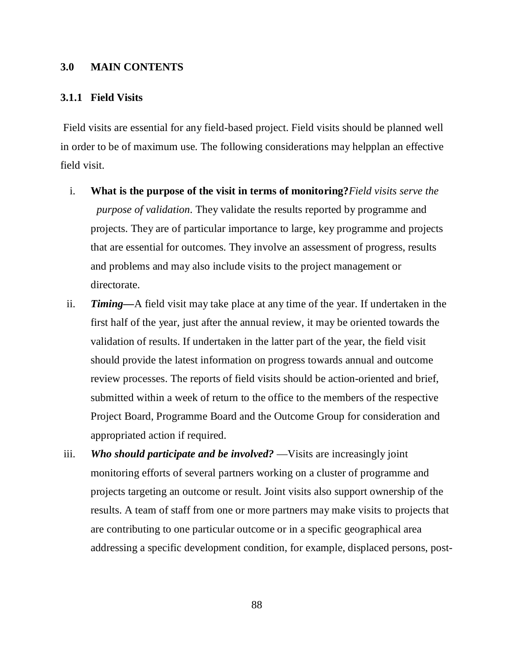#### **3.0 MAIN CONTENTS**

#### **3.1.1 Field Visits**

 Field visits are essential for any field-based project. Field visits should be planned well in order to be of maximum use. The following considerations may helpplan an effective field visit.

- i. **What is the purpose of the visit in terms of monitoring?***Field visits serve the purpose of validation*. They validate the results reported by programme and projects. They are of particular importance to large, key programme and projects that are essential for outcomes. They involve an assessment of progress, results and problems and may also include visits to the project management or directorate.
- ii. *Timing—*A field visit may take place at any time of the year. If undertaken in the first half of the year, just after the annual review, it may be oriented towards the validation of results. If undertaken in the latter part of the year, the field visit should provide the latest information on progress towards annual and outcome review processes. The reports of field visits should be action-oriented and brief, submitted within a week of return to the office to the members of the respective Project Board, Programme Board and the Outcome Group for consideration and appropriated action if required.
- iii. *Who should participate and be involved?* —Visits are increasingly joint monitoring efforts of several partners working on a cluster of programme and projects targeting an outcome or result. Joint visits also support ownership of the results. A team of staff from one or more partners may make visits to projects that are contributing to one particular outcome or in a specific geographical area addressing a specific development condition, for example, displaced persons, post-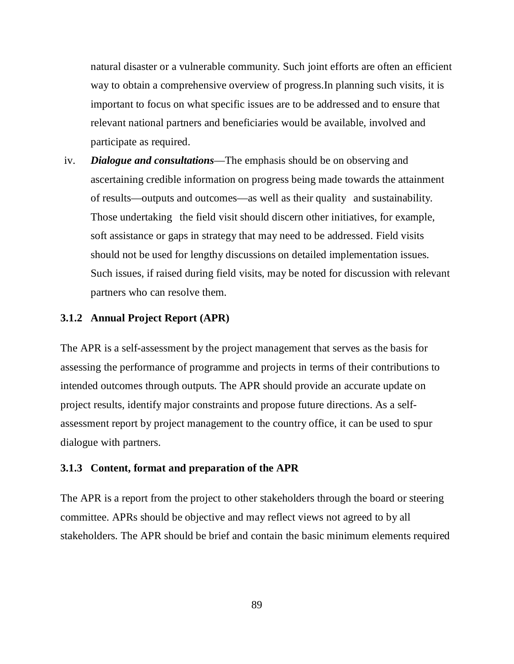natural disaster or a vulnerable community. Such joint efforts are often an efficient way to obtain a comprehensive overview of progress.In planning such visits, it is important to focus on what specific issues are to be addressed and to ensure that relevant national partners and beneficiaries would be available, involved and participate as required.

iv. *Dialogue and consultations*—The emphasis should be on observing and ascertaining credible information on progress being made towards the attainment of results—outputs and outcomes—as well as their quality" and sustainability. Those undertaking the field visit should discern other initiatives, for example, soft assistance or gaps in strategy that may need to be addressed. Field visits should not be used for lengthy discussions on detailed implementation issues. Such issues, if raised during field visits, may be noted for discussion with relevant partners who can resolve them.

### **3.1.2 Annual Project Report (APR)**

The APR is a self-assessment by the project management that serves as the basis for assessing the performance of programme and projects in terms of their contributions to intended outcomes through outputs. The APR should provide an accurate update on project results, identify major constraints and propose future directions. As a selfassessment report by project management to the country office, it can be used to spur dialogue with partners.

### **3.1.3 Content, format and preparation of the APR**

The APR is a report from the project to other stakeholders through the board or steering committee. APRs should be objective and may reflect views not agreed to by all stakeholders. The APR should be brief and contain the basic minimum elements required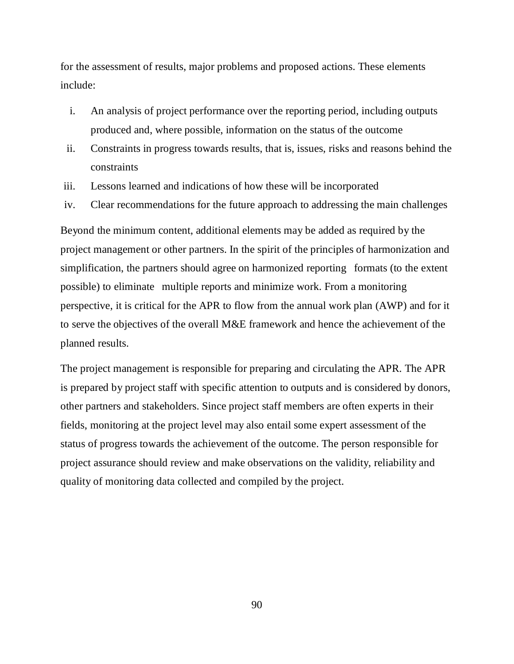for the assessment of results, major problems and proposed actions. These elements include:

- i. An analysis of project performance over the reporting period, including outputs produced and, where possible, information on the status of the outcome
- ii. Constraints in progress towards results, that is, issues, risks and reasons behind the constraints
- iii. Lessons learned and indications of how these will be incorporated
- iv. Clear recommendations for the future approach to addressing the main challenges

Beyond the minimum content, additional elements may be added as required by the project management or other partners. In the spirit of the principles of harmonization and simplification, the partners should agree on harmonized reporting formats (to the extent possible) to eliminate multiple reports and minimize work. From a monitoring perspective, it is critical for the APR to flow from the annual work plan (AWP) and for it to serve the objectives of the overall M&E framework and hence the achievement of the planned results.

The project management is responsible for preparing and circulating the APR. The APR is prepared by project staff with specific attention to outputs and is considered by donors, other partners and stakeholders. Since project staff members are often experts in their fields, monitoring at the project level may also entail some expert assessment of the status of progress towards the achievement of the outcome. The person responsible for project assurance should review and make observations on the validity, reliability and quality of monitoring data collected and compiled by the project.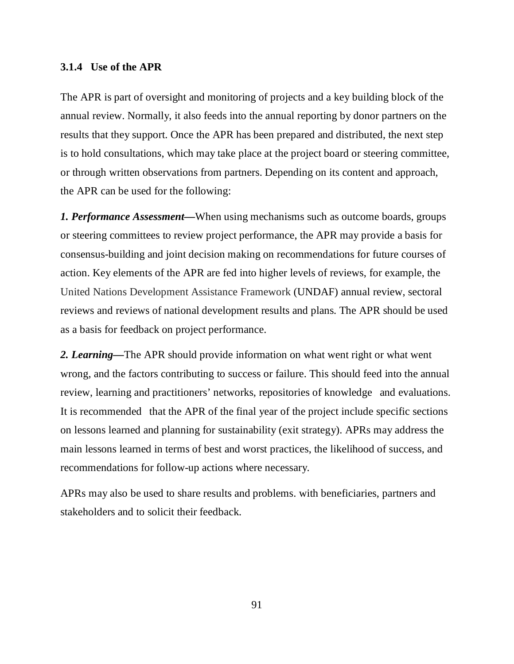#### **3.1.4 Use of the APR**

The APR is part of oversight and monitoring of projects and a key building block of the annual review. Normally, it also feeds into the annual reporting by donor partners on the results that they support. Once the APR has been prepared and distributed, the next step is to hold consultations, which may take place at the project board or steering committee, or through written observations from partners. Depending on its content and approach, the APR can be used for the following:

*1. Performance Assessment—*When using mechanisms such as outcome boards, groups or steering committees to review project performance, the APR may provide a basis for consensus-building and joint decision making on recommendations for future courses of action. Key elements of the APR are fed into higher levels of reviews, for example, the United Nations Development Assistance Framework (UNDAF) annual review, sectoral reviews and reviews of national development results and plans. The APR should be used as a basis for feedback on project performance.

*2. Learning—*The APR should provide information on what went right or what went wrong, and the factors contributing to success or failure. This should feed into the annual review, learning and practitioners' networks, repositories of knowledge and evaluations. It is recommended that the APR of the final year of the project include specific sections on lessons learned and planning for sustainability (exit strategy). APRs may address the main lessons learned in terms of best and worst practices, the likelihood of success, and recommendations for follow-up actions where necessary.

APRs may also be used to share results and problems. with beneficiaries, partners and stakeholders and to solicit their feedback.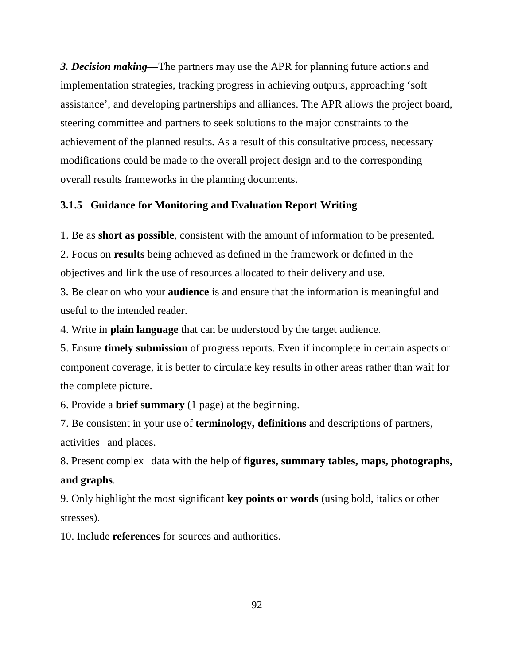*3. Decision making—*The partners may use the APR for planning future actions and implementation strategies, tracking progress in achieving outputs, approaching 'soft assistance', and developing partnerships and alliances. The APR allows the project board, steering committee and partners to seek solutions to the major constraints to the achievement of the planned results. As a result of this consultative process, necessary modifications could be made to the overall project design and to the corresponding overall results frameworks in the planning documents.

### **3.1.5 Guidance for Monitoring and Evaluation Report Writing**

1. Be as **short as possible**, consistent with the amount of information to be presented.

2. Focus on **results** being achieved as defined in the framework or defined in the objectives and link the use of resources allocated to their delivery and use.

3. Be clear on who your **audience** is and ensure that the information is meaningful and useful to the intended reader.

4. Write in **plain language** that can be understood by the target audience.

5. Ensure **timely submission** of progress reports. Even if incomplete in certain aspects or component coverage, it is better to circulate key results in other areas rather than wait for the complete picture.

6. Provide a **brief summary** (1 page) at the beginning.

7. Be consistent in your use of **terminology, definitions** and descriptions of partners, activities and places.

8. Present complex "data with the help of **figures, summary tables, maps, photographs, and graphs**.

9. Only highlight the most significant **key points or words** (using bold, italics or other stresses).

10. Include **references** for sources and authorities.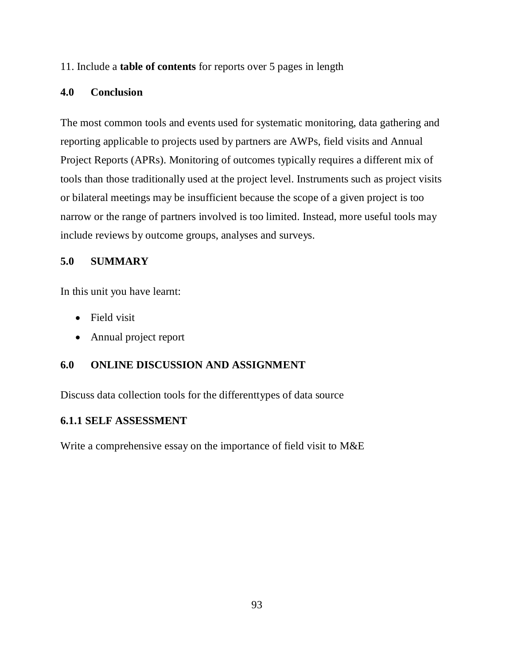### 11. Include a **table of contents** for reports over 5 pages in length

### **4.0 Conclusion**

The most common tools and events used for systematic monitoring, data gathering and reporting applicable to projects used by partners are AWPs, field visits and Annual Project Reports (APRs). Monitoring of outcomes typically requires a different mix of tools than those traditionally used at the project level. Instruments such as project visits or bilateral meetings may be insufficient because the scope of a given project is too narrow or the range of partners involved is too limited. Instead, more useful tools may include reviews by outcome groups, analyses and surveys.

# **5.0 SUMMARY**

In this unit you have learnt:

- Field visit
- Annual project report

# **6.0 ONLINE DISCUSSION AND ASSIGNMENT**

Discuss data collection tools for the differenttypes of data source

## **6.1.1 SELF ASSESSMENT**

Write a comprehensive essay on the importance of field visit to M&E